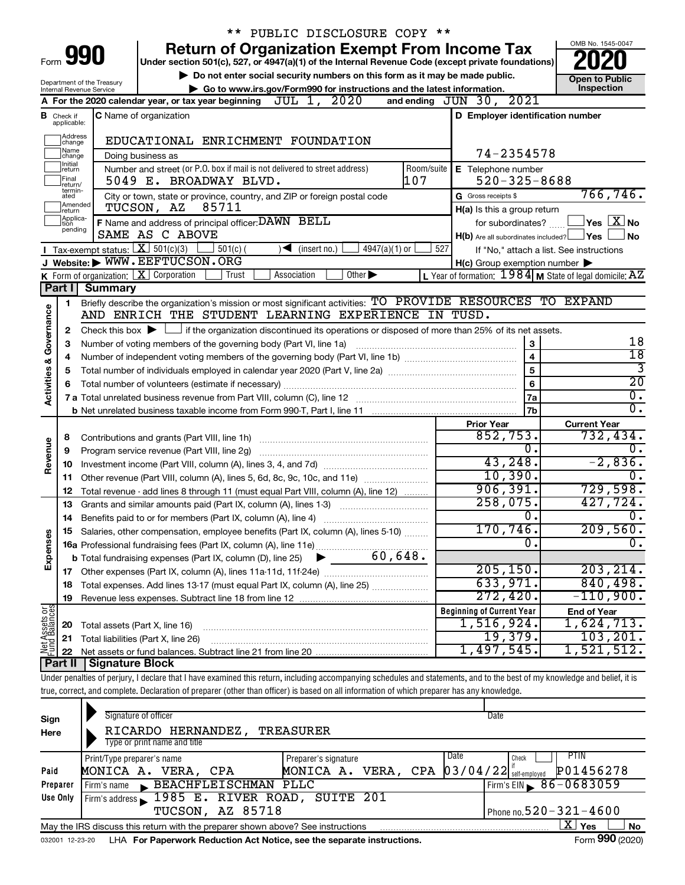|                                    |                               |                        | ** PUBLIC DISCLOSURE COPY **                                                                                                                                               |                                                                                                                    |                                                              |
|------------------------------------|-------------------------------|------------------------|----------------------------------------------------------------------------------------------------------------------------------------------------------------------------|--------------------------------------------------------------------------------------------------------------------|--------------------------------------------------------------|
|                                    |                               |                        | <b>Return of Organization Exempt From Income Tax</b>                                                                                                                       |                                                                                                                    | OMB No. 1545-0047                                            |
| Form <b>990</b>                    |                               |                        | Under section 501(c), 527, or 4947(a)(1) of the Internal Revenue Code (except private foundations)                                                                         |                                                                                                                    |                                                              |
|                                    | Department of the Treasury    |                        | Do not enter social security numbers on this form as it may be made public.<br>Go to www.irs.gov/Form990 for instructions and the latest information.                      |                                                                                                                    | <b>Open to Public</b><br>Inspection                          |
|                                    | Internal Revenue Service      |                        | JUL 1, 2020<br>A For the 2020 calendar year, or tax year beginning                                                                                                         | 2021<br>and ending $JUN$ 30,                                                                                       |                                                              |
|                                    |                               |                        | <b>C</b> Name of organization                                                                                                                                              | D Employer identification number                                                                                   |                                                              |
|                                    | <b>B</b> Check if applicable: |                        |                                                                                                                                                                            |                                                                                                                    |                                                              |
|                                    | Address<br> change            |                        | EDUCATIONAL ENRICHMENT FOUNDATION                                                                                                                                          |                                                                                                                    |                                                              |
|                                    | Name<br>change                |                        | Doing business as                                                                                                                                                          | 74-2354578                                                                                                         |                                                              |
|                                    | Ilnitial<br>return            |                        | Number and street (or P.O. box if mail is not delivered to street address)<br>Room/suite                                                                                   | E Telephone number                                                                                                 |                                                              |
|                                    | Final<br>return/<br>termin-   |                        | 107<br>5049 E. BROADWAY BLVD.                                                                                                                                              | $520 - 325 - 8688$                                                                                                 |                                                              |
|                                    | ated<br>Amended               |                        | City or town, state or province, country, and ZIP or foreign postal code                                                                                                   | G Gross receipts \$                                                                                                | 766,746.                                                     |
|                                    | return                        |                        | TUCSON, AZ<br>85711                                                                                                                                                        | H(a) Is this a group return                                                                                        |                                                              |
|                                    | Applica-<br>Ition<br>pending  |                        | F Name and address of principal officer: DAWN BELL                                                                                                                         | for subordinates?                                                                                                  | $ {\mathsf Y}\mathsf{es} \; \; \overline{{\mathbf X}}\; $ No |
|                                    |                               |                        | SAME AS C ABOVE<br>Tax-exempt status: $X \over 301(c)(3)$                                                                                                                  | H(b) Are all subordinates included? Ves                                                                            | J No                                                         |
|                                    |                               |                        | $501(c)$ (<br>$4947(a)(1)$ or<br>$(\text{insert no.})$<br>J Website: WWW.EEFTUCSON.ORG                                                                                     | 527                                                                                                                | If "No," attach a list. See instructions                     |
|                                    |                               |                        | K Form of organization:   X Corporation<br>$\overline{Other}$<br>Association<br>Trust                                                                                      | $H(c)$ Group exemption number $\blacktriangleright$<br>L Year of formation: $1984$ M State of legal domicile: $AZ$ |                                                              |
|                                    | Part I                        | <b>Summary</b>         |                                                                                                                                                                            |                                                                                                                    |                                                              |
|                                    | 1                             |                        | Briefly describe the organization's mission or most significant activities: TO PROVIDE RESOURCES TO EXPAND                                                                 |                                                                                                                    |                                                              |
|                                    |                               |                        | AND ENRICH THE STUDENT LEARNING EXPERIENCE IN TUSD.                                                                                                                        |                                                                                                                    |                                                              |
|                                    | 2                             |                        | Check this box $\blacktriangleright$ $\Box$ if the organization discontinued its operations or disposed of more than 25% of its net assets.                                |                                                                                                                    |                                                              |
|                                    | З                             |                        | Number of voting members of the governing body (Part VI, line 1a)                                                                                                          | $\mathbf{3}$                                                                                                       | 18                                                           |
|                                    | 4                             |                        |                                                                                                                                                                            | $\overline{4}$                                                                                                     | $\overline{18}$                                              |
|                                    | 5                             |                        |                                                                                                                                                                            | $\overline{5}$                                                                                                     | $\overline{3}$                                               |
|                                    | 6                             |                        |                                                                                                                                                                            | $6\phantom{1}6$                                                                                                    | $\overline{20}$                                              |
| <b>Activities &amp; Governance</b> |                               |                        |                                                                                                                                                                            | 7a                                                                                                                 | $\overline{0}$ .                                             |
|                                    |                               |                        |                                                                                                                                                                            | 7b                                                                                                                 | $\overline{0}$ .                                             |
|                                    |                               |                        |                                                                                                                                                                            | <b>Prior Year</b>                                                                                                  | <b>Current Year</b>                                          |
|                                    | 8                             |                        |                                                                                                                                                                            | 852,753.                                                                                                           | 732,434.                                                     |
| Revenue                            | 9                             |                        |                                                                                                                                                                            | $\overline{0}$ .                                                                                                   | 0.                                                           |
|                                    | 10                            |                        |                                                                                                                                                                            | 43,248.                                                                                                            | $-2,836.$                                                    |
|                                    | 11                            |                        | Other revenue (Part VIII, column (A), lines 5, 6d, 8c, 9c, 10c, and 11e)                                                                                                   | 10,390.                                                                                                            | $\overline{0}$ .                                             |
|                                    | 12                            |                        | Total revenue - add lines 8 through 11 (must equal Part VIII, column (A), line 12)                                                                                         | 906, 391.                                                                                                          | 729,598.                                                     |
|                                    | 13                            |                        | Grants and similar amounts paid (Part IX, column (A), lines 1-3)                                                                                                           | 258,075.                                                                                                           | 427,724.                                                     |
|                                    |                               |                        |                                                                                                                                                                            | 0.                                                                                                                 | 0.                                                           |
|                                    |                               |                        | 15 Salaries, other compensation, employee benefits (Part IX, column (A), lines 5-10)                                                                                       | 170,746.                                                                                                           | 209,560.                                                     |
| Expenses                           |                               |                        |                                                                                                                                                                            | $\overline{0}$                                                                                                     | $\overline{0}$ .                                             |
|                                    |                               |                        |                                                                                                                                                                            |                                                                                                                    |                                                              |
|                                    | 17                            |                        |                                                                                                                                                                            | 205, 150.                                                                                                          | 203, 214.                                                    |
|                                    | 18                            |                        | Total expenses. Add lines 13-17 (must equal Part IX, column (A), line 25)                                                                                                  | 633,971.                                                                                                           | 840, 498.                                                    |
|                                    | 19                            |                        |                                                                                                                                                                            | 272,420.                                                                                                           | $-110,900.$                                                  |
| Net Assets or<br>Fund Balances     |                               |                        |                                                                                                                                                                            | <b>Beginning of Current Year</b>                                                                                   | <b>End of Year</b>                                           |
|                                    | 20                            |                        | Total assets (Part X, line 16)                                                                                                                                             | 1,516,924.                                                                                                         | 1,624,713.                                                   |
|                                    | 21                            |                        | Total liabilities (Part X, line 26)                                                                                                                                        | 19,379.                                                                                                            | 103, 201.                                                    |
|                                    | 22                            |                        |                                                                                                                                                                            | 1,497,545.                                                                                                         | 1,521,512.                                                   |
|                                    | Part II                       | <b>Signature Block</b> |                                                                                                                                                                            |                                                                                                                    |                                                              |
|                                    |                               |                        | Under penalties of perjury, I declare that I have examined this return, including accompanying schedules and statements, and to the best of my knowledge and belief, it is |                                                                                                                    |                                                              |
|                                    |                               |                        | true, correct, and complete. Declaration of preparer (other than officer) is based on all information of which preparer has any knowledge.                                 |                                                                                                                    |                                                              |
|                                    |                               |                        |                                                                                                                                                                            |                                                                                                                    |                                                              |

| Sign<br>Here | Signature of officer<br>RICARDO HERNANDEZ,<br>Type or print name and title      | TREASURER                                   | Date                                                                                       |           |
|--------------|---------------------------------------------------------------------------------|---------------------------------------------|--------------------------------------------------------------------------------------------|-----------|
| Paid         | Print/Type preparer's name<br>MONICA A. VERA, CPA                               | Preparer's signature<br>MONICA A. VERA, CPA | <b>PTIN</b><br><b>Date</b><br>Check<br>P01456278<br>$03/04/22$ $\frac{1}{3}$ self-employed |           |
| Preparer     | BEACHFLEISCHMAN PLLC<br>Firm's name                                             |                                             | Firm's EIN $\, 86 - 0683059$                                                               |           |
| Use Only     | Firm's address 1985 E. RIVER ROAD, SUITE 201<br><b>TUCSON, AZ 85718</b>         |                                             | Phone no. $520 - 321 - 4600$                                                               |           |
|              | May the IRS discuss this return with the preparer shown above? See instructions |                                             | ΧI<br>Yes<br>$\sim$                                                                        | <b>No</b> |

032001 12-23-20 LHA **For Paperwork Reduction Act Notice, see the separate instructions.** Form 990 (2020)

Form **990** (2020)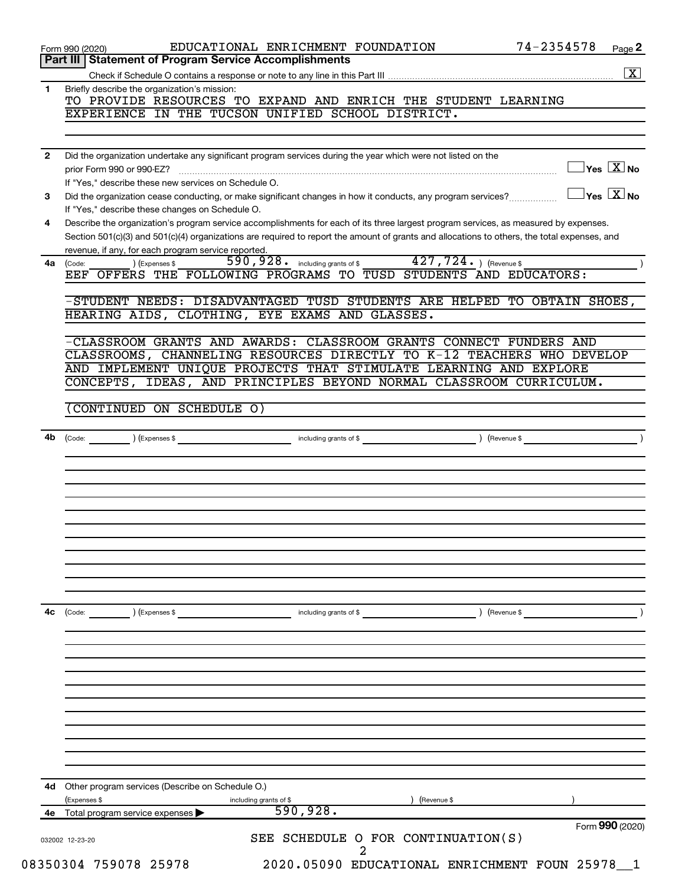|              | 74-2354578<br>EDUCATIONAL ENRICHMENT FOUNDATION<br>Page 2<br>Form 990 (2020)<br>Part III   Statement of Program Service Accomplishments                                                                                                                                              |
|--------------|--------------------------------------------------------------------------------------------------------------------------------------------------------------------------------------------------------------------------------------------------------------------------------------|
|              | $\boxed{\textbf{X}}$                                                                                                                                                                                                                                                                 |
| 1            | Briefly describe the organization's mission:<br>TO PROVIDE RESOURCES TO EXPAND AND ENRICH THE STUDENT LEARNING                                                                                                                                                                       |
|              | EXPERIENCE IN THE TUCSON UNIFIED SCHOOL DISTRICT.                                                                                                                                                                                                                                    |
| $\mathbf{2}$ | Did the organization undertake any significant program services during the year which were not listed on the                                                                                                                                                                         |
|              | $\overline{\ }$ Yes $\overline{\ \ \ }$ No<br>prior Form 990 or 990-EZ?<br>If "Yes," describe these new services on Schedule O.                                                                                                                                                      |
| 3            | $\vert$ Yes $\vert$ $\overline{\mathrm{X}}$ $\vert$ No<br>Did the organization cease conducting, or make significant changes in how it conducts, any program services?<br>If "Yes," describe these changes on Schedule O.                                                            |
| 4            | Describe the organization's program service accomplishments for each of its three largest program services, as measured by expenses.<br>Section 501(c)(3) and 501(c)(4) organizations are required to report the amount of grants and allocations to others, the total expenses, and |
| 4a           | revenue, if any, for each program service reported.<br>$\overline{427,724.}$ (Revenue \$<br>590, 928 . including grants of \$<br>) (Expenses \$<br>(Code:<br>EEF OFFERS THE FOLLOWING PROGRAMS TO TUSD STUDENTS AND EDUCATORS:                                                       |
|              | -STUDENT NEEDS: DISADVANTAGED TUSD STUDENTS ARE HELPED TO OBTAIN SHOES,<br>HEARING AIDS, CLOTHING, EYE EXAMS AND GLASSES.                                                                                                                                                            |
|              |                                                                                                                                                                                                                                                                                      |
|              | -CLASSROOM GRANTS AND AWARDS: CLASSROOM GRANTS CONNECT FUNDERS AND<br>CLASSROOMS, CHANNELING RESOURCES DIRECTLY TO K-12 TEACHERS WHO DEVELOP                                                                                                                                         |
|              | AND IMPLEMENT UNIQUE PROJECTS THAT STIMULATE LEARNING AND EXPLORE                                                                                                                                                                                                                    |
|              | CONCEPTS, IDEAS, AND PRINCIPLES BEYOND NORMAL CLASSROOM CURRICULUM.                                                                                                                                                                                                                  |
|              | CONTINUED ON SCHEDULE O)                                                                                                                                                                                                                                                             |
|              |                                                                                                                                                                                                                                                                                      |
| 4b           | including grants of \$<br>$(\mathsf{Expenses} \$<br>(Revenue \$<br>(Code:                                                                                                                                                                                                            |
|              |                                                                                                                                                                                                                                                                                      |
|              |                                                                                                                                                                                                                                                                                      |
|              |                                                                                                                                                                                                                                                                                      |
|              |                                                                                                                                                                                                                                                                                      |
|              |                                                                                                                                                                                                                                                                                      |
|              |                                                                                                                                                                                                                                                                                      |
|              |                                                                                                                                                                                                                                                                                      |
|              |                                                                                                                                                                                                                                                                                      |
|              |                                                                                                                                                                                                                                                                                      |
| 4с           | ) (Revenue \$<br>(Code:<br>) (Expenses \$<br>including grants of \$                                                                                                                                                                                                                  |
|              |                                                                                                                                                                                                                                                                                      |
|              |                                                                                                                                                                                                                                                                                      |
|              |                                                                                                                                                                                                                                                                                      |
|              |                                                                                                                                                                                                                                                                                      |
|              |                                                                                                                                                                                                                                                                                      |
|              |                                                                                                                                                                                                                                                                                      |
| 4d           | Other program services (Describe on Schedule O.)<br>(Expenses \$<br>including grants of \$<br>(Revenue \$                                                                                                                                                                            |
|              | 590, 928.<br>4e Total program service expenses                                                                                                                                                                                                                                       |
|              | Form 990 (2020)<br>SEE SCHEDULE O FOR CONTINUATION(S)<br>032002 12-23-20                                                                                                                                                                                                             |
|              | 2                                                                                                                                                                                                                                                                                    |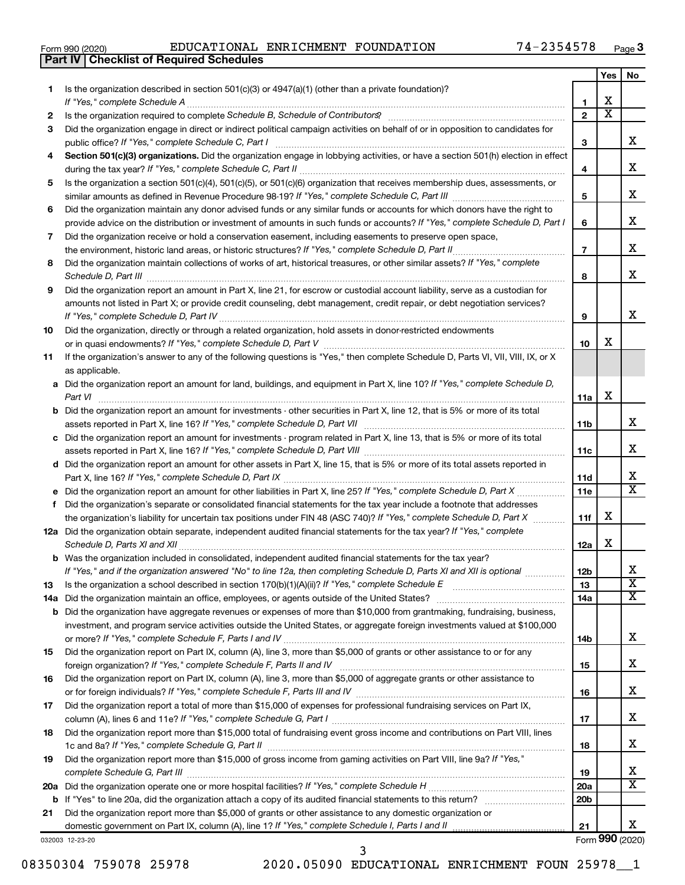|  | Form 990 (2020) |
|--|-----------------|
|  |                 |

**Part IV Checklist of Required Schedules**

Form 990 (2020)  ${\rm EDUCATIONAL-ENRICHMENT-FOUNDATION} \qquad \qquad 74-2354578 \qquad \qquad {\rm Page}$ 

|    |                                                                                                                                                                 |                 | Yes                   | No                      |
|----|-----------------------------------------------------------------------------------------------------------------------------------------------------------------|-----------------|-----------------------|-------------------------|
| 1. | Is the organization described in section $501(c)(3)$ or $4947(a)(1)$ (other than a private foundation)?                                                         |                 |                       |                         |
|    | If "Yes," complete Schedule A                                                                                                                                   | 1               | х                     |                         |
| 2  | Is the organization required to complete Schedule B, Schedule of Contributors? [11] The organization required to complete Schedule B, Schedule of Contributors? | $\overline{2}$  | $\overline{\text{x}}$ |                         |
| 3  | Did the organization engage in direct or indirect political campaign activities on behalf of or in opposition to candidates for                                 |                 |                       |                         |
|    | public office? If "Yes," complete Schedule C, Part I                                                                                                            | 3               |                       | х                       |
| 4  | Section 501(c)(3) organizations. Did the organization engage in lobbying activities, or have a section 501(h) election in effect                                | 4               |                       | х                       |
| 5  | Is the organization a section 501(c)(4), 501(c)(5), or 501(c)(6) organization that receives membership dues, assessments, or                                    |                 |                       |                         |
|    |                                                                                                                                                                 | 5               |                       | х                       |
| 6  | Did the organization maintain any donor advised funds or any similar funds or accounts for which donors have the right to                                       |                 |                       |                         |
|    | provide advice on the distribution or investment of amounts in such funds or accounts? If "Yes," complete Schedule D, Part I                                    | 6               |                       | х                       |
| 7  | Did the organization receive or hold a conservation easement, including easements to preserve open space,                                                       |                 |                       |                         |
|    | .                                                                                                                                                               | $\overline{7}$  |                       | х                       |
| 8  | Did the organization maintain collections of works of art, historical treasures, or other similar assets? If "Yes," complete                                    | 8               |                       | х                       |
| 9  | Did the organization report an amount in Part X, line 21, for escrow or custodial account liability, serve as a custodian for                                   |                 |                       |                         |
|    | amounts not listed in Part X; or provide credit counseling, debt management, credit repair, or debt negotiation services?                                       |                 |                       |                         |
|    |                                                                                                                                                                 | 9               |                       | х                       |
| 10 | Did the organization, directly or through a related organization, hold assets in donor-restricted endowments                                                    |                 |                       |                         |
|    |                                                                                                                                                                 | 10              | х                     |                         |
| 11 | If the organization's answer to any of the following questions is "Yes," then complete Schedule D, Parts VI, VII, VIII, IX, or X<br>as applicable.              |                 |                       |                         |
|    | a Did the organization report an amount for land, buildings, and equipment in Part X, line 10? If "Yes," complete Schedule D,                                   |                 |                       |                         |
|    | Part VI                                                                                                                                                         | 11a             | х                     |                         |
|    | <b>b</b> Did the organization report an amount for investments - other securities in Part X, line 12, that is 5% or more of its total                           |                 |                       |                         |
|    |                                                                                                                                                                 | 11 <sub>b</sub> |                       | х                       |
|    | c Did the organization report an amount for investments - program related in Part X, line 13, that is 5% or more of its total                                   |                 |                       |                         |
|    |                                                                                                                                                                 | 11c             |                       | х                       |
|    | d Did the organization report an amount for other assets in Part X, line 15, that is 5% or more of its total assets reported in                                 |                 |                       |                         |
|    |                                                                                                                                                                 | 11d             |                       | x                       |
|    |                                                                                                                                                                 | 11e             |                       | $\overline{\texttt{x}}$ |
| f  | Did the organization's separate or consolidated financial statements for the tax year include a footnote that addresses                                         |                 |                       |                         |
|    | the organization's liability for uncertain tax positions under FIN 48 (ASC 740)? If "Yes," complete Schedule D, Part X                                          | 11f             | х                     |                         |
|    | 12a Did the organization obtain separate, independent audited financial statements for the tax year? If "Yes," complete<br>Schedule D, Parts XI and XII         | 12a             | х                     |                         |
|    | <b>b</b> Was the organization included in consolidated, independent audited financial statements for the tax year?                                              |                 |                       |                         |
|    | If "Yes," and if the organization answered "No" to line 12a, then completing Schedule D, Parts XI and XII is optional <i>www.</i>                               | 12b             |                       | ∡⊾                      |
| 13 |                                                                                                                                                                 | 13              |                       | $\overline{\textbf{x}}$ |
|    |                                                                                                                                                                 | 14a             |                       | $\overline{\mathtt{x}}$ |
|    | <b>b</b> Did the organization have aggregate revenues or expenses of more than \$10,000 from grantmaking, fundraising, business,                                |                 |                       |                         |
|    | investment, and program service activities outside the United States, or aggregate foreign investments valued at \$100,000                                      |                 |                       | X.                      |
|    | Did the organization report on Part IX, column (A), line 3, more than \$5,000 of grants or other assistance to or for any                                       | 14b             |                       |                         |
| 15 |                                                                                                                                                                 | 15              |                       | x                       |
| 16 | Did the organization report on Part IX, column (A), line 3, more than \$5,000 of aggregate grants or other assistance to                                        |                 |                       |                         |
|    |                                                                                                                                                                 | 16              |                       | x                       |
| 17 | Did the organization report a total of more than \$15,000 of expenses for professional fundraising services on Part IX,                                         |                 |                       |                         |
|    |                                                                                                                                                                 | 17              |                       | x                       |
| 18 | Did the organization report more than \$15,000 total of fundraising event gross income and contributions on Part VIII, lines                                    |                 |                       |                         |
|    |                                                                                                                                                                 | 18              |                       | X.                      |
| 19 | Did the organization report more than \$15,000 of gross income from gaming activities on Part VIII, line 9a? If "Yes,"                                          |                 |                       |                         |
|    |                                                                                                                                                                 | 19              |                       | х                       |
|    |                                                                                                                                                                 | 20a             |                       | $\overline{\texttt{x}}$ |
|    | <b>b</b> If "Yes" to line 20a, did the organization attach a copy of its audited financial statements to this return?                                           | 20 <sub>b</sub> |                       |                         |
| 21 | Did the organization report more than \$5,000 of grants or other assistance to any domestic organization or                                                     |                 |                       |                         |
|    |                                                                                                                                                                 | 21              |                       | X.                      |

032003 12-23-20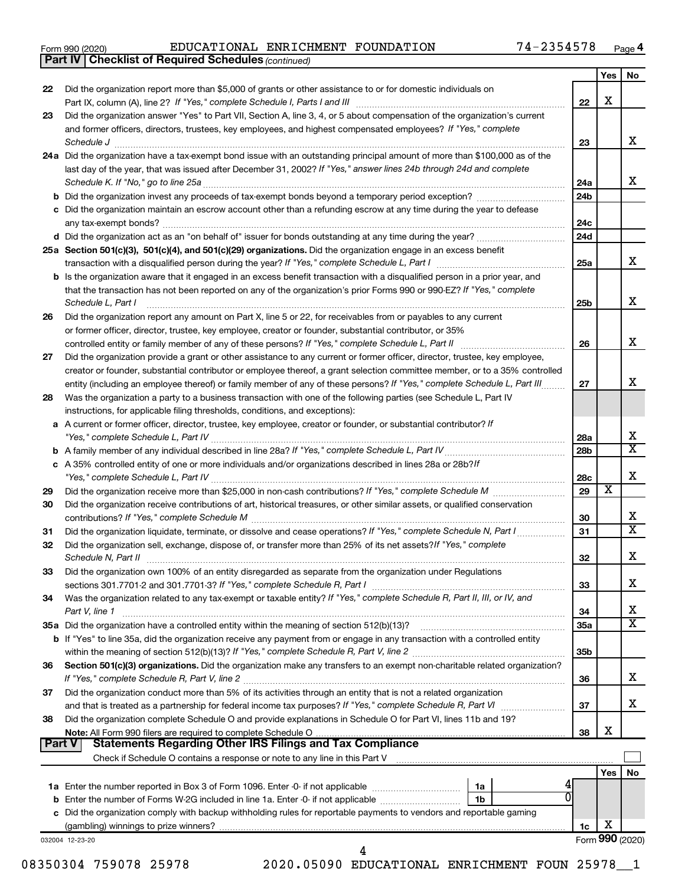|  | Form 990 (2020) |
|--|-----------------|
|  |                 |

*(continued)* **Part IV Checklist of Required Schedules**

|               |                                                                                                                                                                                                                                              |                 | Yes | No.                     |
|---------------|----------------------------------------------------------------------------------------------------------------------------------------------------------------------------------------------------------------------------------------------|-----------------|-----|-------------------------|
| 22            | Did the organization report more than \$5,000 of grants or other assistance to or for domestic individuals on                                                                                                                                |                 |     |                         |
|               |                                                                                                                                                                                                                                              | 22              | х   |                         |
| 23            | Did the organization answer "Yes" to Part VII, Section A, line 3, 4, or 5 about compensation of the organization's current<br>and former officers, directors, trustees, key employees, and highest compensated employees? If "Yes," complete |                 |     |                         |
|               | Schedule J                                                                                                                                                                                                                                   | 23              |     | x                       |
|               | 24a Did the organization have a tax-exempt bond issue with an outstanding principal amount of more than \$100,000 as of the                                                                                                                  |                 |     |                         |
|               | last day of the year, that was issued after December 31, 2002? If "Yes," answer lines 24b through 24d and complete                                                                                                                           |                 |     |                         |
|               | Schedule K. If "No," go to line 25a                                                                                                                                                                                                          | 24a             |     | x                       |
|               |                                                                                                                                                                                                                                              | 24 <sub>b</sub> |     |                         |
|               | c Did the organization maintain an escrow account other than a refunding escrow at any time during the year to defease                                                                                                                       |                 |     |                         |
|               |                                                                                                                                                                                                                                              | 24c             |     |                         |
|               |                                                                                                                                                                                                                                              | 24d             |     |                         |
|               | 25a Section 501(c)(3), 501(c)(4), and 501(c)(29) organizations. Did the organization engage in an excess benefit                                                                                                                             |                 |     | x                       |
|               | <b>b</b> Is the organization aware that it engaged in an excess benefit transaction with a disqualified person in a prior year, and                                                                                                          | 25a             |     |                         |
|               | that the transaction has not been reported on any of the organization's prior Forms 990 or 990-EZ? If "Yes," complete                                                                                                                        |                 |     |                         |
|               | Schedule L, Part I                                                                                                                                                                                                                           | 25b             |     | х                       |
| 26            | Did the organization report any amount on Part X, line 5 or 22, for receivables from or payables to any current                                                                                                                              |                 |     |                         |
|               | or former officer, director, trustee, key employee, creator or founder, substantial contributor, or 35%                                                                                                                                      |                 |     |                         |
|               |                                                                                                                                                                                                                                              | 26              |     | х                       |
| 27            | Did the organization provide a grant or other assistance to any current or former officer, director, trustee, key employee,                                                                                                                  |                 |     |                         |
|               | creator or founder, substantial contributor or employee thereof, a grant selection committee member, or to a 35% controlled                                                                                                                  |                 |     |                         |
|               | entity (including an employee thereof) or family member of any of these persons? If "Yes," complete Schedule L, Part III                                                                                                                     | 27              |     | x                       |
| 28            | Was the organization a party to a business transaction with one of the following parties (see Schedule L, Part IV                                                                                                                            |                 |     |                         |
|               | instructions, for applicable filing thresholds, conditions, and exceptions):<br>a A current or former officer, director, trustee, key employee, creator or founder, or substantial contributor? If                                           |                 |     |                         |
|               |                                                                                                                                                                                                                                              | 28a             |     | х                       |
|               |                                                                                                                                                                                                                                              | 28 <sub>b</sub> |     | $\overline{\texttt{x}}$ |
|               | c A 35% controlled entity of one or more individuals and/or organizations described in lines 28a or 28b?If                                                                                                                                   |                 |     |                         |
|               |                                                                                                                                                                                                                                              | 28c             |     | х                       |
| 29            |                                                                                                                                                                                                                                              | 29              | х   |                         |
| 30            | Did the organization receive contributions of art, historical treasures, or other similar assets, or qualified conservation                                                                                                                  |                 |     |                         |
|               |                                                                                                                                                                                                                                              | 30              |     | x                       |
| 31            | Did the organization liquidate, terminate, or dissolve and cease operations? If "Yes," complete Schedule N, Part I                                                                                                                           | 31              |     | $\overline{\texttt{x}}$ |
| 32            | Did the organization sell, exchange, dispose of, or transfer more than 25% of its net assets? If "Yes," complete                                                                                                                             |                 |     | х                       |
|               | Schedule N, Part II                                                                                                                                                                                                                          | 32              |     |                         |
| 33            | Did the organization own 100% of an entity disregarded as separate from the organization under Regulations                                                                                                                                   | 33              |     | х                       |
| 34            | Was the organization related to any tax-exempt or taxable entity? If "Yes," complete Schedule R, Part II, III, or IV, and                                                                                                                    |                 |     |                         |
|               | Part V, line 1                                                                                                                                                                                                                               | 34              |     | х                       |
|               |                                                                                                                                                                                                                                              | 35a             |     | $\overline{\text{X}}$   |
|               | b If "Yes" to line 35a, did the organization receive any payment from or engage in any transaction with a controlled entity                                                                                                                  |                 |     |                         |
|               |                                                                                                                                                                                                                                              | 35b             |     |                         |
| 36            | Section 501(c)(3) organizations. Did the organization make any transfers to an exempt non-charitable related organization?                                                                                                                   |                 |     |                         |
|               |                                                                                                                                                                                                                                              | 36              |     | x                       |
| 37            | Did the organization conduct more than 5% of its activities through an entity that is not a related organization                                                                                                                             |                 |     | x                       |
|               | and that is treated as a partnership for federal income tax purposes? If "Yes," complete Schedule R, Part VI<br>Did the organization complete Schedule O and provide explanations in Schedule O for Part VI, lines 11b and 19?               | 37              |     |                         |
| 38            |                                                                                                                                                                                                                                              | 38              | х   |                         |
| <b>Part V</b> | <b>Statements Regarding Other IRS Filings and Tax Compliance</b>                                                                                                                                                                             |                 |     |                         |
|               |                                                                                                                                                                                                                                              |                 |     |                         |
|               |                                                                                                                                                                                                                                              |                 | Yes | No                      |
|               | 1a                                                                                                                                                                                                                                           |                 |     |                         |
|               | 0<br>1b                                                                                                                                                                                                                                      |                 |     |                         |
|               | c Did the organization comply with backup withholding rules for reportable payments to vendors and reportable gaming                                                                                                                         |                 |     |                         |
|               |                                                                                                                                                                                                                                              | 1c              | х   |                         |
|               | 032004 12-23-20<br>4                                                                                                                                                                                                                         |                 |     | Form 990 (2020)         |

08350304 759078 25978 2020.05090 EDUCATIONAL ENRICHMENT FOUN 25978\_\_1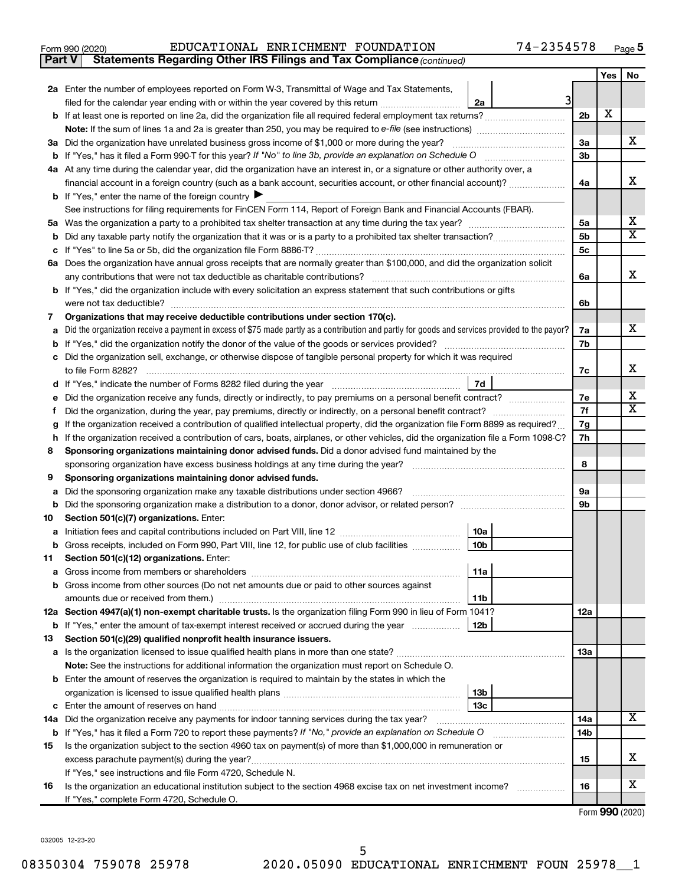| Form 990 (2020) |  |  | EDUCATIONAL ENRICHMENT FOUNDATION |  | 74-2354578 | Page |  |
|-----------------|--|--|-----------------------------------|--|------------|------|--|
|-----------------|--|--|-----------------------------------|--|------------|------|--|

**Part V Statements Regarding Other IRS Filings and Tax Compliance**

*(continued)*

|    |                                                                                                                                                 |                | Yes | No |
|----|-------------------------------------------------------------------------------------------------------------------------------------------------|----------------|-----|----|
|    | 2a Enter the number of employees reported on Form W-3, Transmittal of Wage and Tax Statements,                                                  |                |     |    |
|    | 31<br>2a<br>filed for the calendar year ending with or within the year covered by this return                                                   |                |     |    |
|    |                                                                                                                                                 | 2 <sub>b</sub> | X   |    |
|    |                                                                                                                                                 |                |     |    |
|    | 3a Did the organization have unrelated business gross income of \$1,000 or more during the year?                                                | За             |     | x  |
|    | <b>b</b> If "Yes," has it filed a Form 990-T for this year? If "No" to line 3b, provide an explanation on Schedule O                            | 3b             |     |    |
|    | 4a At any time during the calendar year, did the organization have an interest in, or a signature or other authority over, a                    |                |     |    |
|    | financial account in a foreign country (such as a bank account, securities account, or other financial account)?                                | 4a             |     | x  |
|    | <b>b</b> If "Yes," enter the name of the foreign country                                                                                        |                |     |    |
|    | See instructions for filing requirements for FinCEN Form 114, Report of Foreign Bank and Financial Accounts (FBAR).                             |                |     |    |
|    |                                                                                                                                                 | 5a             |     | х  |
| b  |                                                                                                                                                 | 5 <sub>b</sub> |     | X  |
|    |                                                                                                                                                 | 5 <sub>c</sub> |     |    |
|    | 6a Does the organization have annual gross receipts that are normally greater than \$100,000, and did the organization solicit                  |                |     | x  |
|    | any contributions that were not tax deductible as charitable contributions?                                                                     | 6а             |     |    |
|    | b If "Yes," did the organization include with every solicitation an express statement that such contributions or gifts                          |                |     |    |
| 7  | were not tax deductible?<br>Organizations that may receive deductible contributions under section 170(c).                                       | 6b             |     |    |
| a  | Did the organization receive a payment in excess of \$75 made partly as a contribution and partly for goods and services provided to the payor? | 7а             |     | X. |
|    | If "Yes," did the organization notify the donor of the value of the goods or services provided?                                                 | 7b             |     |    |
| c  | Did the organization sell, exchange, or otherwise dispose of tangible personal property for which it was required                               |                |     |    |
|    | to file Form 8282?                                                                                                                              | 7c             |     | x  |
|    | 7d                                                                                                                                              |                |     |    |
| е  | Did the organization receive any funds, directly or indirectly, to pay premiums on a personal benefit contract?                                 | 7е             |     | х  |
|    |                                                                                                                                                 | 7f             |     | X  |
|    | If the organization received a contribution of qualified intellectual property, did the organization file Form 8899 as required?                | 7g             |     |    |
| h. | If the organization received a contribution of cars, boats, airplanes, or other vehicles, did the organization file a Form 1098-C?              | 7h             |     |    |
| 8  | Sponsoring organizations maintaining donor advised funds. Did a donor advised fund maintained by the                                            |                |     |    |
|    | sponsoring organization have excess business holdings at any time during the year?                                                              | 8              |     |    |
| 9  | Sponsoring organizations maintaining donor advised funds.                                                                                       |                |     |    |
| а  | Did the sponsoring organization make any taxable distributions under section 4966?                                                              | 9а             |     |    |
| b  |                                                                                                                                                 | 9b             |     |    |
| 10 | Section 501(c)(7) organizations. Enter:                                                                                                         |                |     |    |
| а  | 10a                                                                                                                                             |                |     |    |
| b  | 10 <sub>b</sub><br>Gross receipts, included on Form 990, Part VIII, line 12, for public use of club facilities                                  |                |     |    |
| 11 | Section 501(c)(12) organizations. Enter:<br> 11a                                                                                                |                |     |    |
|    | <b>b</b> Gross income from other sources (Do not net amounts due or paid to other sources against                                               |                |     |    |
|    | amounts due or received from them.)<br>11b                                                                                                      |                |     |    |
|    | 12a Section 4947(a)(1) non-exempt charitable trusts. Is the organization filing Form 990 in lieu of Form 1041?                                  | 12a            |     |    |
|    | <b>b</b> If "Yes," enter the amount of tax-exempt interest received or accrued during the year<br>12b                                           |                |     |    |
| 13 | Section 501(c)(29) qualified nonprofit health insurance issuers.                                                                                |                |     |    |
|    | a Is the organization licensed to issue qualified health plans in more than one state?                                                          | 13a            |     |    |
|    | Note: See the instructions for additional information the organization must report on Schedule O.                                               |                |     |    |
|    | <b>b</b> Enter the amount of reserves the organization is required to maintain by the states in which the                                       |                |     |    |
|    | 13 <sub>b</sub>                                                                                                                                 |                |     |    |
|    | 13с                                                                                                                                             |                |     |    |
|    | 14a Did the organization receive any payments for indoor tanning services during the tax year?                                                  | 14a            |     | х  |
|    | <b>b</b> If "Yes," has it filed a Form 720 to report these payments? If "No," provide an explanation on Schedule O                              | 14b            |     |    |
| 15 | Is the organization subject to the section 4960 tax on payment(s) of more than \$1,000,000 in remuneration or                                   |                |     |    |
|    |                                                                                                                                                 | 15             |     | x. |
|    | If "Yes," see instructions and file Form 4720, Schedule N.                                                                                      |                |     |    |
| 16 | Is the organization an educational institution subject to the section 4968 excise tax on net investment income?                                 | 16             |     | х  |
|    | If "Yes," complete Form 4720, Schedule O.                                                                                                       |                |     |    |

Form (2020) **990**

032005 12-23-20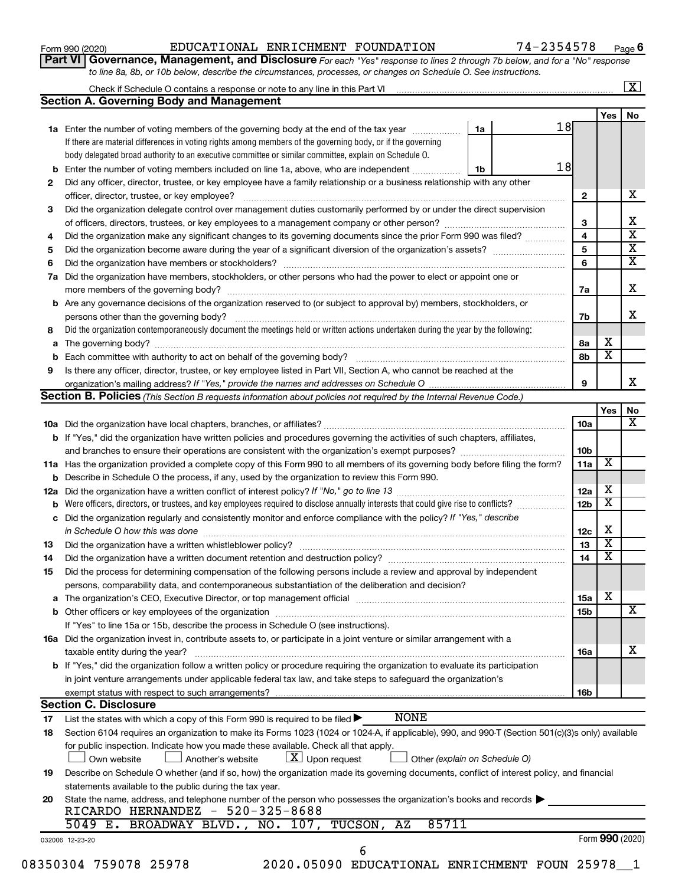| Form 990 (2020) |  |
|-----------------|--|
|-----------------|--|

**Part VI** Governance, Management, and Disclosure For each "Yes" response to lines 2 through 7b below, and for a "No" response *to line 8a, 8b, or 10b below, describe the circumstances, processes, or changes on Schedule O. See instructions.*

|     |                                                                                                                                                                                                                                |    |  |                 |                         | $\mathbf{X}$ |
|-----|--------------------------------------------------------------------------------------------------------------------------------------------------------------------------------------------------------------------------------|----|--|-----------------|-------------------------|--------------|
|     | <b>Section A. Governing Body and Management</b>                                                                                                                                                                                |    |  |                 |                         |              |
|     |                                                                                                                                                                                                                                |    |  |                 | Yes                     | No           |
|     | 1a Enter the number of voting members of the governing body at the end of the tax year manuscom                                                                                                                                | 1a |  | 18              |                         |              |
|     | If there are material differences in voting rights among members of the governing body, or if the governing                                                                                                                    |    |  |                 |                         |              |
|     | body delegated broad authority to an executive committee or similar committee, explain on Schedule O.                                                                                                                          |    |  |                 |                         |              |
| b   | Enter the number of voting members included on line 1a, above, who are independent                                                                                                                                             | 1b |  | 18              |                         |              |
| 2   | Did any officer, director, trustee, or key employee have a family relationship or a business relationship with any other                                                                                                       |    |  |                 |                         |              |
|     |                                                                                                                                                                                                                                |    |  | $\mathbf{2}$    |                         | х            |
| 3   | Did the organization delegate control over management duties customarily performed by or under the direct supervision                                                                                                          |    |  |                 |                         |              |
|     |                                                                                                                                                                                                                                |    |  | 3               |                         |              |
| 4   | Did the organization make any significant changes to its governing documents since the prior Form 990 was filed?                                                                                                               |    |  | 4               |                         |              |
| 5   |                                                                                                                                                                                                                                |    |  | 5               |                         |              |
| 6   |                                                                                                                                                                                                                                |    |  | 6               |                         |              |
| 7a  | Did the organization have members, stockholders, or other persons who had the power to elect or appoint one or                                                                                                                 |    |  |                 |                         |              |
|     |                                                                                                                                                                                                                                |    |  | 7a              |                         |              |
| b   | Are any governance decisions of the organization reserved to (or subject to approval by) members, stockholders, or                                                                                                             |    |  |                 |                         |              |
|     |                                                                                                                                                                                                                                |    |  | 7b              |                         |              |
| 8   | Did the organization contemporaneously document the meetings held or written actions undertaken during the year by the following:                                                                                              |    |  |                 |                         |              |
| а   |                                                                                                                                                                                                                                |    |  | 8а              | х                       |              |
|     |                                                                                                                                                                                                                                |    |  | 8b              | $\overline{\mathbf{x}}$ |              |
| 9   | Is there any officer, director, trustee, or key employee listed in Part VII, Section A, who cannot be reached at the                                                                                                           |    |  |                 |                         |              |
|     |                                                                                                                                                                                                                                |    |  | 9               |                         |              |
|     | Section B. Policies (This Section B requests information about policies not required by the Internal Revenue Code.)                                                                                                            |    |  |                 |                         |              |
|     |                                                                                                                                                                                                                                |    |  |                 | Yes                     |              |
|     |                                                                                                                                                                                                                                |    |  | 10a             |                         |              |
|     | <b>b</b> If "Yes," did the organization have written policies and procedures governing the activities of such chapters, affiliates,                                                                                            |    |  |                 |                         |              |
|     |                                                                                                                                                                                                                                |    |  | 10 <sub>b</sub> |                         |              |
|     | 11a Has the organization provided a complete copy of this Form 990 to all members of its governing body before filing the form?                                                                                                |    |  | 11a             | х                       |              |
|     | Describe in Schedule O the process, if any, used by the organization to review this Form 990.                                                                                                                                  |    |  |                 |                         |              |
| 12a |                                                                                                                                                                                                                                |    |  | 12a             | х                       |              |
|     | Were officers, directors, or trustees, and key employees required to disclose annually interests that could give rise to conflicts?                                                                                            |    |  | 12 <sub>b</sub> | $\overline{\textbf{x}}$ |              |
| с   | Did the organization regularly and consistently monitor and enforce compliance with the policy? If "Yes," describe                                                                                                             |    |  |                 |                         |              |
|     | in Schedule O how this was done manufactured and contain a series of the state of the state of the state of th                                                                                                                 |    |  | 12c             | х                       |              |
| 13  |                                                                                                                                                                                                                                |    |  | 13              | $\overline{\textbf{x}}$ |              |
| 14  |                                                                                                                                                                                                                                |    |  | 14              | $\overline{\mathbf{X}}$ |              |
| 15  | Did the process for determining compensation of the following persons include a review and approval by independent                                                                                                             |    |  |                 |                         |              |
|     | persons, comparability data, and contemporaneous substantiation of the deliberation and decision?                                                                                                                              |    |  |                 |                         |              |
| а   | The organization's CEO, Executive Director, or top management official manufactured content of the organization's CEO, Executive Director, or top management official manufactured content of the state of the state of the st |    |  | 15a             | х                       |              |
|     |                                                                                                                                                                                                                                |    |  | 15b             |                         |              |
|     | If "Yes" to line 15a or 15b, describe the process in Schedule O (see instructions).                                                                                                                                            |    |  |                 |                         |              |
|     | 16a Did the organization invest in, contribute assets to, or participate in a joint venture or similar arrangement with a                                                                                                      |    |  |                 |                         |              |
|     | taxable entity during the year?                                                                                                                                                                                                |    |  | 16a             |                         |              |
|     | b If "Yes," did the organization follow a written policy or procedure requiring the organization to evaluate its participation                                                                                                 |    |  |                 |                         |              |
|     | in joint venture arrangements under applicable federal tax law, and take steps to safeguard the organization's                                                                                                                 |    |  |                 |                         |              |
|     | exempt status with respect to such arrangements?                                                                                                                                                                               |    |  | 16b             |                         |              |
|     | <b>Section C. Disclosure</b>                                                                                                                                                                                                   |    |  |                 |                         |              |
| 17  | <b>NONE</b><br>List the states with which a copy of this Form 990 is required to be filed $\blacktriangleright$                                                                                                                |    |  |                 |                         |              |
| 18  | Section 6104 requires an organization to make its Forms 1023 (1024 or 1024-A, if applicable), 990, and 990-T (Section 501(c)(3)s only) available                                                                               |    |  |                 |                         |              |
|     | for public inspection. Indicate how you made these available. Check all that apply.                                                                                                                                            |    |  |                 |                         |              |
|     | $\lfloor x \rfloor$ Upon request<br>Another's website<br>Other (explain on Schedule O)<br>Own website                                                                                                                          |    |  |                 |                         |              |
| 19  | Describe on Schedule O whether (and if so, how) the organization made its governing documents, conflict of interest policy, and financial                                                                                      |    |  |                 |                         |              |
|     | statements available to the public during the tax year.                                                                                                                                                                        |    |  |                 |                         |              |
| 20  | State the name, address, and telephone number of the person who possesses the organization's books and records                                                                                                                 |    |  |                 |                         |              |
|     | RICARDO HERNANDEZ - 520-325-8688                                                                                                                                                                                               |    |  |                 |                         |              |
|     | 85711<br>5049 E. BROADWAY BLVD., NO. 107, TUCSON, AZ                                                                                                                                                                           |    |  |                 |                         |              |
|     | 032006 12-23-20                                                                                                                                                                                                                |    |  |                 | Form 990 (2020)         |              |
|     | 6                                                                                                                                                                                                                              |    |  |                 |                         |              |
|     | 08350304 759078 25978<br>2020.05090 EDUCATIONAL ENRICHMENT FOUN 25978 1                                                                                                                                                        |    |  |                 |                         |              |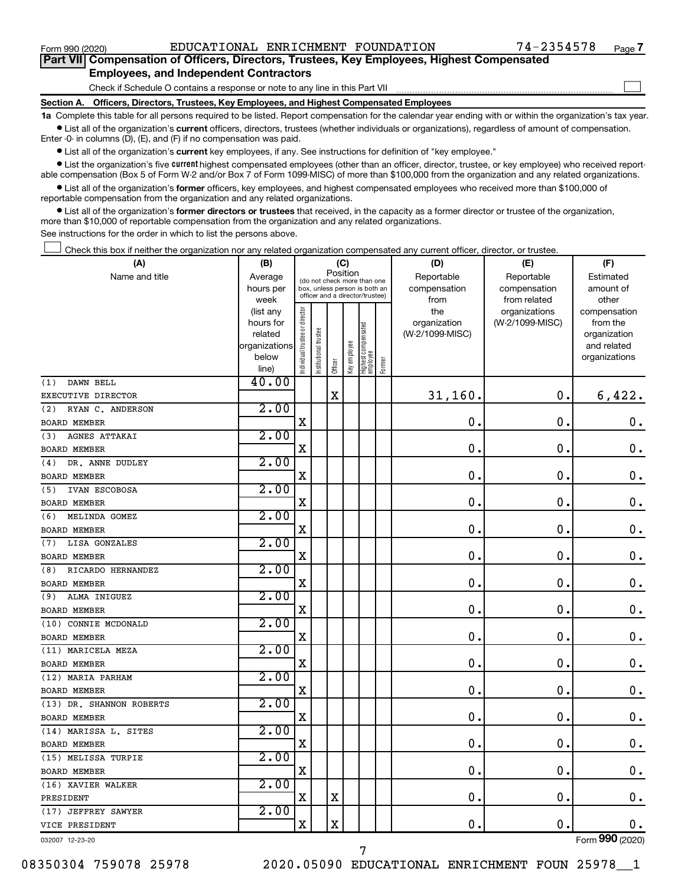$\Box$ 

| Part VII Compensation of Officers, Directors, Trustees, Key Employees, Highest Compensated |  |
|--------------------------------------------------------------------------------------------|--|
| <b>Employees, and Independent Contractors</b>                                              |  |

Check if Schedule O contains a response or note to any line in this Part VII

**Section A. Officers, Directors, Trustees, Key Employees, and Highest Compensated Employees**

**1a**  Complete this table for all persons required to be listed. Report compensation for the calendar year ending with or within the organization's tax year.  $\bullet$  List all of the organization's current officers, directors, trustees (whether individuals or organizations), regardless of amount of compensation.

Enter -0- in columns (D), (E), and (F) if no compensation was paid.

**•** List all of the organization's current key employees, if any. See instructions for definition of "key employee."

• List the organization's five *current* highest compensated employees (other than an officer, director, trustee, or key employee) who received reportable compensation (Box 5 of Form W-2 and/or Box 7 of Form 1099-MISC) of more than \$100,000 from the organization and any related organizations.

 $\bullet$  List all of the organization's former officers, key employees, and highest compensated employees who received more than \$100,000 of reportable compensation from the organization and any related organizations.

**•** List all of the organization's former directors or trustees that received, in the capacity as a former director or trustee of the organization, more than \$10,000 of reportable compensation from the organization and any related organizations.

See instructions for the order in which to list the persons above.

Check this box if neither the organization nor any related organization compensated any current officer, director, or trustee.  $\Box$ 

| (A)                      | (B)                      |                               |                                                                  | (C)         |              |                                   |        | (D)             | (E)             | (F)                         |
|--------------------------|--------------------------|-------------------------------|------------------------------------------------------------------|-------------|--------------|-----------------------------------|--------|-----------------|-----------------|-----------------------------|
| Name and title           | Average                  |                               | (do not check more than one                                      | Position    |              |                                   |        | Reportable      | Reportable      | Estimated                   |
|                          | hours per                |                               | box, unless person is both an<br>officer and a director/trustee) |             |              |                                   |        | compensation    | compensation    | amount of                   |
|                          | week                     |                               |                                                                  |             |              |                                   |        | from            | from related    | other                       |
|                          | (list any                |                               |                                                                  |             |              |                                   |        | the             | organizations   | compensation                |
|                          | hours for                |                               |                                                                  |             |              |                                   |        | organization    | (W-2/1099-MISC) | from the                    |
|                          | related<br>organizations |                               |                                                                  |             |              |                                   |        | (W-2/1099-MISC) |                 | organization<br>and related |
|                          | below                    |                               |                                                                  |             |              |                                   |        |                 |                 | organizations               |
|                          | line)                    | ndividual trustee or director | Institutional trustee                                            | Officer     | Key employee | Highest compensated<br>  employee | Former |                 |                 |                             |
| DAWN BELL<br>(1)         | 40.00                    |                               |                                                                  |             |              |                                   |        |                 |                 |                             |
| EXECUTIVE DIRECTOR       |                          |                               |                                                                  | $\mathbf X$ |              |                                   |        | 31,160.         | $\mathbf 0$ .   | 6,422.                      |
| RYAN C. ANDERSON<br>(2)  | 2.00                     |                               |                                                                  |             |              |                                   |        |                 |                 |                             |
| <b>BOARD MEMBER</b>      |                          | X                             |                                                                  |             |              |                                   |        | $\mathbf 0$ .   | $\mathbf 0$ .   | $\mathbf 0$ .               |
| AGNES ATTAKAI<br>(3)     | 2.00                     |                               |                                                                  |             |              |                                   |        |                 |                 |                             |
| BOARD MEMBER             |                          | $\mathbf X$                   |                                                                  |             |              |                                   |        | 0.              | $\mathbf 0$     | $\mathbf 0$ .               |
| DR. ANNE DUDLEY<br>(4)   | 2.00                     |                               |                                                                  |             |              |                                   |        |                 |                 |                             |
| <b>BOARD MEMBER</b>      |                          | $\mathbf X$                   |                                                                  |             |              |                                   |        | $\mathbf 0$     | 0.              | $\boldsymbol{0}$ .          |
| IVAN ESCOBOSA<br>(5)     | 2.00                     |                               |                                                                  |             |              |                                   |        |                 |                 |                             |
| <b>BOARD MEMBER</b>      |                          | X                             |                                                                  |             |              |                                   |        | 0               | 0.              | $\mathbf 0$ .               |
| MELINDA GOMEZ<br>(6)     | 2.00                     |                               |                                                                  |             |              |                                   |        |                 |                 |                             |
| <b>BOARD MEMBER</b>      |                          | X                             |                                                                  |             |              |                                   |        | 0               | 0.              | $\mathbf 0$ .               |
| LISA GONZALES<br>(7)     | 2.00                     |                               |                                                                  |             |              |                                   |        |                 |                 |                             |
| <b>BOARD MEMBER</b>      |                          | X                             |                                                                  |             |              |                                   |        | $\mathbf 0$ .   | $\mathbf 0$     | $\mathbf 0$ .               |
| RICARDO HERNANDEZ<br>(8) | 2.00                     |                               |                                                                  |             |              |                                   |        |                 |                 |                             |
| <b>BOARD MEMBER</b>      |                          | X                             |                                                                  |             |              |                                   |        | $\mathbf 0$     | 0.              | $\mathbf 0$ .               |
| ALMA INIGUEZ<br>(9)      | 2.00                     |                               |                                                                  |             |              |                                   |        |                 |                 |                             |
| <b>BOARD MEMBER</b>      |                          | $\mathbf X$                   |                                                                  |             |              |                                   |        | $\mathbf 0$ .   | $\mathbf 0$ .   | $\mathbf 0$ .               |
| (10) CONNIE MCDONALD     | 2.00                     |                               |                                                                  |             |              |                                   |        |                 |                 |                             |
| <b>BOARD MEMBER</b>      |                          | X                             |                                                                  |             |              |                                   |        | 0.              | $\mathbf 0$ .   | 0.                          |
| (11) MARICELA MEZA       | 2.00                     |                               |                                                                  |             |              |                                   |        |                 |                 |                             |
| <b>BOARD MEMBER</b>      |                          | $\mathbf X$                   |                                                                  |             |              |                                   |        | $\mathbf 0$     | $\mathbf 0$     | $\mathbf 0$ .               |
| (12) MARIA PARHAM        | 2.00                     |                               |                                                                  |             |              |                                   |        |                 |                 |                             |
| <b>BOARD MEMBER</b>      |                          | X                             |                                                                  |             |              |                                   |        | 0               | $\mathbf 0$ .   | $\mathbf 0$ .               |
| (13) DR. SHANNON ROBERTS | 2.00                     |                               |                                                                  |             |              |                                   |        |                 |                 |                             |
| <b>BOARD MEMBER</b>      |                          | X                             |                                                                  |             |              |                                   |        | 0               | 0.              | $\mathbf 0$ .               |
| (14) MARISSA L. SITES    | 2.00                     |                               |                                                                  |             |              |                                   |        |                 |                 |                             |
| <b>BOARD MEMBER</b>      |                          | $\mathbf X$                   |                                                                  |             |              |                                   |        | $\mathbf 0$ .   | $\mathbf 0$ .   | $\mathbf 0$ .               |
| (15) MELISSA TURPIE      | 2.00                     |                               |                                                                  |             |              |                                   |        |                 |                 |                             |
| <b>BOARD MEMBER</b>      |                          | $\mathbf X$                   |                                                                  |             |              |                                   |        | 0               | $\mathbf 0$     | $\mathbf 0$ .               |
| (16) XAVIER WALKER       | 2.00                     |                               |                                                                  |             |              |                                   |        |                 |                 |                             |
| PRESIDENT                |                          | X                             |                                                                  | X           |              |                                   |        | $\mathbf 0$ .   | $\mathbf 0$ .   | 0.                          |
| (17) JEFFREY SAWYER      | 2.00                     |                               |                                                                  |             |              |                                   |        |                 |                 |                             |
| VICE PRESIDENT           |                          | X                             |                                                                  | X           |              |                                   |        | 0.              | $\mathbf 0$     | 0.                          |
| 032007 12-23-20          |                          |                               |                                                                  |             |              |                                   |        |                 |                 | Form 990 (2020)             |

7

08350304 759078 25978 2020.05090 EDUCATIONAL ENRICHMENT FOUN 25978 1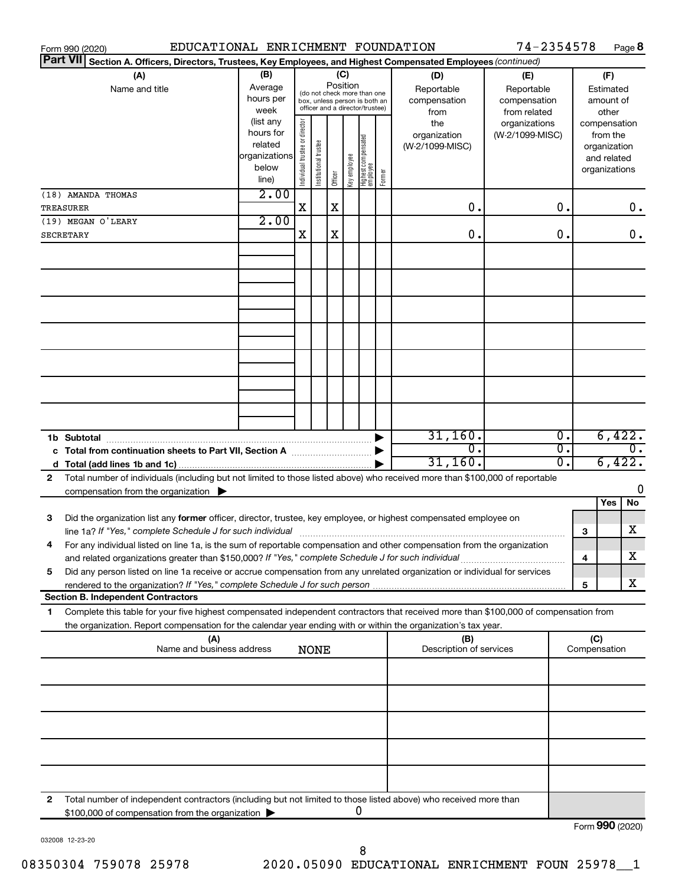| Section A. Officers, Directors, Trustees, Key Employees, and Highest Compensated Employees (continued)<br>(B)<br>(C)<br>(A)<br>(D)<br>(F)<br>(E)<br>Position<br>Average<br>Name and title<br>Reportable<br>Reportable<br>Estimated<br>(do not check more than one<br>hours per<br>compensation<br>compensation<br>amount of<br>box, unless person is both an<br>officer and a director/trustee)<br>week<br>from related<br>other<br>from<br>(list any<br>Individual trustee or director<br>the<br>organizations<br>compensation<br>hours for<br>(W-2/1099-MISC)<br>organization<br>from the<br>  Highest compensated<br>  employee<br>Institutional trustee<br>related<br>(W-2/1099-MISC)<br>organization<br>organizations<br>Key employee<br>and related<br>below<br>organizations<br>Former<br>Officer<br>line)<br>2.00<br>X<br>X<br>0.<br>0.<br>0.<br>2.00<br>X<br>X<br>0.<br>0.<br>0.<br>31,160.<br>6,422.<br>Ο.<br>$\overline{0}$ .<br>σ.<br>σ.<br>c Total from continuation sheets to Part VII, Section A <b>Constitution</b><br>6,422.<br>31,160.<br>О.<br>Total number of individuals (including but not limited to those listed above) who received more than \$100,000 of reportable<br>2<br>0<br>compensation from the organization $\blacktriangleright$<br>Yes<br>No<br>3<br>Did the organization list any former officer, director, trustee, key employee, or highest compensated employee on<br>х<br>line 1a? If "Yes," complete Schedule J for such individual [11] manufacture in the term in the set of the set o<br>3<br>For any individual listed on line 1a, is the sum of reportable compensation and other compensation from the organization<br>х<br>and related organizations greater than \$150,000? If "Yes," complete Schedule J for such individual<br>4<br>Did any person listed on line 1a receive or accrue compensation from any unrelated organization or individual for services<br>5<br>х<br>5<br><b>Section B. Independent Contractors</b><br>Complete this table for your five highest compensated independent contractors that received more than \$100,000 of compensation from<br>1<br>the organization. Report compensation for the calendar year ending with or within the organization's tax year.<br>(C)<br>(A)<br>(B)<br>Name and business address<br>Description of services<br>Compensation<br><b>NONE</b><br>Total number of independent contractors (including but not limited to those listed above) who received more than<br>2<br>0<br>\$100,000 of compensation from the organization | Form 990 (2020)    | EDUCATIONAL ENRICHMENT FOUNDATION |  |  |  | 74-2354578 |  | Page 8 |
|---------------------------------------------------------------------------------------------------------------------------------------------------------------------------------------------------------------------------------------------------------------------------------------------------------------------------------------------------------------------------------------------------------------------------------------------------------------------------------------------------------------------------------------------------------------------------------------------------------------------------------------------------------------------------------------------------------------------------------------------------------------------------------------------------------------------------------------------------------------------------------------------------------------------------------------------------------------------------------------------------------------------------------------------------------------------------------------------------------------------------------------------------------------------------------------------------------------------------------------------------------------------------------------------------------------------------------------------------------------------------------------------------------------------------------------------------------------------------------------------------------------------------------------------------------------------------------------------------------------------------------------------------------------------------------------------------------------------------------------------------------------------------------------------------------------------------------------------------------------------------------------------------------------------------------------------------------------------------------------------------------------------------------------------------------------------------------------------------------------------------------------------------------------------------------------------------------------------------------------------------------------------------------------------------------------------------------------------------------------------------------------------------------------------------------------------------------------------------------------------------------------------------------------------|--------------------|-----------------------------------|--|--|--|------------|--|--------|
|                                                                                                                                                                                                                                                                                                                                                                                                                                                                                                                                                                                                                                                                                                                                                                                                                                                                                                                                                                                                                                                                                                                                                                                                                                                                                                                                                                                                                                                                                                                                                                                                                                                                                                                                                                                                                                                                                                                                                                                                                                                                                                                                                                                                                                                                                                                                                                                                                                                                                                                                             | <b>Part VII</b>    |                                   |  |  |  |            |  |        |
|                                                                                                                                                                                                                                                                                                                                                                                                                                                                                                                                                                                                                                                                                                                                                                                                                                                                                                                                                                                                                                                                                                                                                                                                                                                                                                                                                                                                                                                                                                                                                                                                                                                                                                                                                                                                                                                                                                                                                                                                                                                                                                                                                                                                                                                                                                                                                                                                                                                                                                                                             |                    |                                   |  |  |  |            |  |        |
|                                                                                                                                                                                                                                                                                                                                                                                                                                                                                                                                                                                                                                                                                                                                                                                                                                                                                                                                                                                                                                                                                                                                                                                                                                                                                                                                                                                                                                                                                                                                                                                                                                                                                                                                                                                                                                                                                                                                                                                                                                                                                                                                                                                                                                                                                                                                                                                                                                                                                                                                             |                    |                                   |  |  |  |            |  |        |
|                                                                                                                                                                                                                                                                                                                                                                                                                                                                                                                                                                                                                                                                                                                                                                                                                                                                                                                                                                                                                                                                                                                                                                                                                                                                                                                                                                                                                                                                                                                                                                                                                                                                                                                                                                                                                                                                                                                                                                                                                                                                                                                                                                                                                                                                                                                                                                                                                                                                                                                                             |                    |                                   |  |  |  |            |  |        |
|                                                                                                                                                                                                                                                                                                                                                                                                                                                                                                                                                                                                                                                                                                                                                                                                                                                                                                                                                                                                                                                                                                                                                                                                                                                                                                                                                                                                                                                                                                                                                                                                                                                                                                                                                                                                                                                                                                                                                                                                                                                                                                                                                                                                                                                                                                                                                                                                                                                                                                                                             |                    |                                   |  |  |  |            |  |        |
|                                                                                                                                                                                                                                                                                                                                                                                                                                                                                                                                                                                                                                                                                                                                                                                                                                                                                                                                                                                                                                                                                                                                                                                                                                                                                                                                                                                                                                                                                                                                                                                                                                                                                                                                                                                                                                                                                                                                                                                                                                                                                                                                                                                                                                                                                                                                                                                                                                                                                                                                             |                    |                                   |  |  |  |            |  |        |
|                                                                                                                                                                                                                                                                                                                                                                                                                                                                                                                                                                                                                                                                                                                                                                                                                                                                                                                                                                                                                                                                                                                                                                                                                                                                                                                                                                                                                                                                                                                                                                                                                                                                                                                                                                                                                                                                                                                                                                                                                                                                                                                                                                                                                                                                                                                                                                                                                                                                                                                                             |                    |                                   |  |  |  |            |  |        |
|                                                                                                                                                                                                                                                                                                                                                                                                                                                                                                                                                                                                                                                                                                                                                                                                                                                                                                                                                                                                                                                                                                                                                                                                                                                                                                                                                                                                                                                                                                                                                                                                                                                                                                                                                                                                                                                                                                                                                                                                                                                                                                                                                                                                                                                                                                                                                                                                                                                                                                                                             |                    |                                   |  |  |  |            |  |        |
|                                                                                                                                                                                                                                                                                                                                                                                                                                                                                                                                                                                                                                                                                                                                                                                                                                                                                                                                                                                                                                                                                                                                                                                                                                                                                                                                                                                                                                                                                                                                                                                                                                                                                                                                                                                                                                                                                                                                                                                                                                                                                                                                                                                                                                                                                                                                                                                                                                                                                                                                             |                    |                                   |  |  |  |            |  |        |
| $F_{\alpha r m}$ QQ $\Omega$ (2020)                                                                                                                                                                                                                                                                                                                                                                                                                                                                                                                                                                                                                                                                                                                                                                                                                                                                                                                                                                                                                                                                                                                                                                                                                                                                                                                                                                                                                                                                                                                                                                                                                                                                                                                                                                                                                                                                                                                                                                                                                                                                                                                                                                                                                                                                                                                                                                                                                                                                                                         |                    |                                   |  |  |  |            |  |        |
|                                                                                                                                                                                                                                                                                                                                                                                                                                                                                                                                                                                                                                                                                                                                                                                                                                                                                                                                                                                                                                                                                                                                                                                                                                                                                                                                                                                                                                                                                                                                                                                                                                                                                                                                                                                                                                                                                                                                                                                                                                                                                                                                                                                                                                                                                                                                                                                                                                                                                                                                             | (18) AMANDA THOMAS |                                   |  |  |  |            |  |        |
|                                                                                                                                                                                                                                                                                                                                                                                                                                                                                                                                                                                                                                                                                                                                                                                                                                                                                                                                                                                                                                                                                                                                                                                                                                                                                                                                                                                                                                                                                                                                                                                                                                                                                                                                                                                                                                                                                                                                                                                                                                                                                                                                                                                                                                                                                                                                                                                                                                                                                                                                             | TREASURER          |                                   |  |  |  |            |  |        |
|                                                                                                                                                                                                                                                                                                                                                                                                                                                                                                                                                                                                                                                                                                                                                                                                                                                                                                                                                                                                                                                                                                                                                                                                                                                                                                                                                                                                                                                                                                                                                                                                                                                                                                                                                                                                                                                                                                                                                                                                                                                                                                                                                                                                                                                                                                                                                                                                                                                                                                                                             | (19) MEGAN O'LEARY |                                   |  |  |  |            |  |        |
|                                                                                                                                                                                                                                                                                                                                                                                                                                                                                                                                                                                                                                                                                                                                                                                                                                                                                                                                                                                                                                                                                                                                                                                                                                                                                                                                                                                                                                                                                                                                                                                                                                                                                                                                                                                                                                                                                                                                                                                                                                                                                                                                                                                                                                                                                                                                                                                                                                                                                                                                             | <b>SECRETARY</b>   |                                   |  |  |  |            |  |        |
|                                                                                                                                                                                                                                                                                                                                                                                                                                                                                                                                                                                                                                                                                                                                                                                                                                                                                                                                                                                                                                                                                                                                                                                                                                                                                                                                                                                                                                                                                                                                                                                                                                                                                                                                                                                                                                                                                                                                                                                                                                                                                                                                                                                                                                                                                                                                                                                                                                                                                                                                             |                    |                                   |  |  |  |            |  |        |
|                                                                                                                                                                                                                                                                                                                                                                                                                                                                                                                                                                                                                                                                                                                                                                                                                                                                                                                                                                                                                                                                                                                                                                                                                                                                                                                                                                                                                                                                                                                                                                                                                                                                                                                                                                                                                                                                                                                                                                                                                                                                                                                                                                                                                                                                                                                                                                                                                                                                                                                                             |                    |                                   |  |  |  |            |  |        |
|                                                                                                                                                                                                                                                                                                                                                                                                                                                                                                                                                                                                                                                                                                                                                                                                                                                                                                                                                                                                                                                                                                                                                                                                                                                                                                                                                                                                                                                                                                                                                                                                                                                                                                                                                                                                                                                                                                                                                                                                                                                                                                                                                                                                                                                                                                                                                                                                                                                                                                                                             |                    |                                   |  |  |  |            |  |        |
|                                                                                                                                                                                                                                                                                                                                                                                                                                                                                                                                                                                                                                                                                                                                                                                                                                                                                                                                                                                                                                                                                                                                                                                                                                                                                                                                                                                                                                                                                                                                                                                                                                                                                                                                                                                                                                                                                                                                                                                                                                                                                                                                                                                                                                                                                                                                                                                                                                                                                                                                             |                    |                                   |  |  |  |            |  |        |
|                                                                                                                                                                                                                                                                                                                                                                                                                                                                                                                                                                                                                                                                                                                                                                                                                                                                                                                                                                                                                                                                                                                                                                                                                                                                                                                                                                                                                                                                                                                                                                                                                                                                                                                                                                                                                                                                                                                                                                                                                                                                                                                                                                                                                                                                                                                                                                                                                                                                                                                                             |                    |                                   |  |  |  |            |  |        |
|                                                                                                                                                                                                                                                                                                                                                                                                                                                                                                                                                                                                                                                                                                                                                                                                                                                                                                                                                                                                                                                                                                                                                                                                                                                                                                                                                                                                                                                                                                                                                                                                                                                                                                                                                                                                                                                                                                                                                                                                                                                                                                                                                                                                                                                                                                                                                                                                                                                                                                                                             |                    |                                   |  |  |  |            |  |        |
|                                                                                                                                                                                                                                                                                                                                                                                                                                                                                                                                                                                                                                                                                                                                                                                                                                                                                                                                                                                                                                                                                                                                                                                                                                                                                                                                                                                                                                                                                                                                                                                                                                                                                                                                                                                                                                                                                                                                                                                                                                                                                                                                                                                                                                                                                                                                                                                                                                                                                                                                             |                    |                                   |  |  |  |            |  |        |
|                                                                                                                                                                                                                                                                                                                                                                                                                                                                                                                                                                                                                                                                                                                                                                                                                                                                                                                                                                                                                                                                                                                                                                                                                                                                                                                                                                                                                                                                                                                                                                                                                                                                                                                                                                                                                                                                                                                                                                                                                                                                                                                                                                                                                                                                                                                                                                                                                                                                                                                                             |                    |                                   |  |  |  |            |  |        |
|                                                                                                                                                                                                                                                                                                                                                                                                                                                                                                                                                                                                                                                                                                                                                                                                                                                                                                                                                                                                                                                                                                                                                                                                                                                                                                                                                                                                                                                                                                                                                                                                                                                                                                                                                                                                                                                                                                                                                                                                                                                                                                                                                                                                                                                                                                                                                                                                                                                                                                                                             |                    |                                   |  |  |  |            |  |        |
|                                                                                                                                                                                                                                                                                                                                                                                                                                                                                                                                                                                                                                                                                                                                                                                                                                                                                                                                                                                                                                                                                                                                                                                                                                                                                                                                                                                                                                                                                                                                                                                                                                                                                                                                                                                                                                                                                                                                                                                                                                                                                                                                                                                                                                                                                                                                                                                                                                                                                                                                             |                    |                                   |  |  |  |            |  |        |
|                                                                                                                                                                                                                                                                                                                                                                                                                                                                                                                                                                                                                                                                                                                                                                                                                                                                                                                                                                                                                                                                                                                                                                                                                                                                                                                                                                                                                                                                                                                                                                                                                                                                                                                                                                                                                                                                                                                                                                                                                                                                                                                                                                                                                                                                                                                                                                                                                                                                                                                                             |                    |                                   |  |  |  |            |  |        |
|                                                                                                                                                                                                                                                                                                                                                                                                                                                                                                                                                                                                                                                                                                                                                                                                                                                                                                                                                                                                                                                                                                                                                                                                                                                                                                                                                                                                                                                                                                                                                                                                                                                                                                                                                                                                                                                                                                                                                                                                                                                                                                                                                                                                                                                                                                                                                                                                                                                                                                                                             |                    |                                   |  |  |  |            |  |        |
|                                                                                                                                                                                                                                                                                                                                                                                                                                                                                                                                                                                                                                                                                                                                                                                                                                                                                                                                                                                                                                                                                                                                                                                                                                                                                                                                                                                                                                                                                                                                                                                                                                                                                                                                                                                                                                                                                                                                                                                                                                                                                                                                                                                                                                                                                                                                                                                                                                                                                                                                             |                    |                                   |  |  |  |            |  |        |
|                                                                                                                                                                                                                                                                                                                                                                                                                                                                                                                                                                                                                                                                                                                                                                                                                                                                                                                                                                                                                                                                                                                                                                                                                                                                                                                                                                                                                                                                                                                                                                                                                                                                                                                                                                                                                                                                                                                                                                                                                                                                                                                                                                                                                                                                                                                                                                                                                                                                                                                                             |                    |                                   |  |  |  |            |  |        |
|                                                                                                                                                                                                                                                                                                                                                                                                                                                                                                                                                                                                                                                                                                                                                                                                                                                                                                                                                                                                                                                                                                                                                                                                                                                                                                                                                                                                                                                                                                                                                                                                                                                                                                                                                                                                                                                                                                                                                                                                                                                                                                                                                                                                                                                                                                                                                                                                                                                                                                                                             |                    |                                   |  |  |  |            |  |        |
|                                                                                                                                                                                                                                                                                                                                                                                                                                                                                                                                                                                                                                                                                                                                                                                                                                                                                                                                                                                                                                                                                                                                                                                                                                                                                                                                                                                                                                                                                                                                                                                                                                                                                                                                                                                                                                                                                                                                                                                                                                                                                                                                                                                                                                                                                                                                                                                                                                                                                                                                             |                    |                                   |  |  |  |            |  |        |
|                                                                                                                                                                                                                                                                                                                                                                                                                                                                                                                                                                                                                                                                                                                                                                                                                                                                                                                                                                                                                                                                                                                                                                                                                                                                                                                                                                                                                                                                                                                                                                                                                                                                                                                                                                                                                                                                                                                                                                                                                                                                                                                                                                                                                                                                                                                                                                                                                                                                                                                                             |                    |                                   |  |  |  |            |  |        |
|                                                                                                                                                                                                                                                                                                                                                                                                                                                                                                                                                                                                                                                                                                                                                                                                                                                                                                                                                                                                                                                                                                                                                                                                                                                                                                                                                                                                                                                                                                                                                                                                                                                                                                                                                                                                                                                                                                                                                                                                                                                                                                                                                                                                                                                                                                                                                                                                                                                                                                                                             |                    |                                   |  |  |  |            |  |        |
|                                                                                                                                                                                                                                                                                                                                                                                                                                                                                                                                                                                                                                                                                                                                                                                                                                                                                                                                                                                                                                                                                                                                                                                                                                                                                                                                                                                                                                                                                                                                                                                                                                                                                                                                                                                                                                                                                                                                                                                                                                                                                                                                                                                                                                                                                                                                                                                                                                                                                                                                             |                    |                                   |  |  |  |            |  |        |
|                                                                                                                                                                                                                                                                                                                                                                                                                                                                                                                                                                                                                                                                                                                                                                                                                                                                                                                                                                                                                                                                                                                                                                                                                                                                                                                                                                                                                                                                                                                                                                                                                                                                                                                                                                                                                                                                                                                                                                                                                                                                                                                                                                                                                                                                                                                                                                                                                                                                                                                                             |                    |                                   |  |  |  |            |  |        |
|                                                                                                                                                                                                                                                                                                                                                                                                                                                                                                                                                                                                                                                                                                                                                                                                                                                                                                                                                                                                                                                                                                                                                                                                                                                                                                                                                                                                                                                                                                                                                                                                                                                                                                                                                                                                                                                                                                                                                                                                                                                                                                                                                                                                                                                                                                                                                                                                                                                                                                                                             |                    |                                   |  |  |  |            |  |        |
|                                                                                                                                                                                                                                                                                                                                                                                                                                                                                                                                                                                                                                                                                                                                                                                                                                                                                                                                                                                                                                                                                                                                                                                                                                                                                                                                                                                                                                                                                                                                                                                                                                                                                                                                                                                                                                                                                                                                                                                                                                                                                                                                                                                                                                                                                                                                                                                                                                                                                                                                             |                    |                                   |  |  |  |            |  |        |
|                                                                                                                                                                                                                                                                                                                                                                                                                                                                                                                                                                                                                                                                                                                                                                                                                                                                                                                                                                                                                                                                                                                                                                                                                                                                                                                                                                                                                                                                                                                                                                                                                                                                                                                                                                                                                                                                                                                                                                                                                                                                                                                                                                                                                                                                                                                                                                                                                                                                                                                                             |                    |                                   |  |  |  |            |  |        |
|                                                                                                                                                                                                                                                                                                                                                                                                                                                                                                                                                                                                                                                                                                                                                                                                                                                                                                                                                                                                                                                                                                                                                                                                                                                                                                                                                                                                                                                                                                                                                                                                                                                                                                                                                                                                                                                                                                                                                                                                                                                                                                                                                                                                                                                                                                                                                                                                                                                                                                                                             |                    |                                   |  |  |  |            |  |        |
|                                                                                                                                                                                                                                                                                                                                                                                                                                                                                                                                                                                                                                                                                                                                                                                                                                                                                                                                                                                                                                                                                                                                                                                                                                                                                                                                                                                                                                                                                                                                                                                                                                                                                                                                                                                                                                                                                                                                                                                                                                                                                                                                                                                                                                                                                                                                                                                                                                                                                                                                             |                    |                                   |  |  |  |            |  |        |
|                                                                                                                                                                                                                                                                                                                                                                                                                                                                                                                                                                                                                                                                                                                                                                                                                                                                                                                                                                                                                                                                                                                                                                                                                                                                                                                                                                                                                                                                                                                                                                                                                                                                                                                                                                                                                                                                                                                                                                                                                                                                                                                                                                                                                                                                                                                                                                                                                                                                                                                                             |                    |                                   |  |  |  |            |  |        |
|                                                                                                                                                                                                                                                                                                                                                                                                                                                                                                                                                                                                                                                                                                                                                                                                                                                                                                                                                                                                                                                                                                                                                                                                                                                                                                                                                                                                                                                                                                                                                                                                                                                                                                                                                                                                                                                                                                                                                                                                                                                                                                                                                                                                                                                                                                                                                                                                                                                                                                                                             |                    |                                   |  |  |  |            |  |        |
|                                                                                                                                                                                                                                                                                                                                                                                                                                                                                                                                                                                                                                                                                                                                                                                                                                                                                                                                                                                                                                                                                                                                                                                                                                                                                                                                                                                                                                                                                                                                                                                                                                                                                                                                                                                                                                                                                                                                                                                                                                                                                                                                                                                                                                                                                                                                                                                                                                                                                                                                             |                    |                                   |  |  |  |            |  |        |
|                                                                                                                                                                                                                                                                                                                                                                                                                                                                                                                                                                                                                                                                                                                                                                                                                                                                                                                                                                                                                                                                                                                                                                                                                                                                                                                                                                                                                                                                                                                                                                                                                                                                                                                                                                                                                                                                                                                                                                                                                                                                                                                                                                                                                                                                                                                                                                                                                                                                                                                                             |                    |                                   |  |  |  |            |  |        |
|                                                                                                                                                                                                                                                                                                                                                                                                                                                                                                                                                                                                                                                                                                                                                                                                                                                                                                                                                                                                                                                                                                                                                                                                                                                                                                                                                                                                                                                                                                                                                                                                                                                                                                                                                                                                                                                                                                                                                                                                                                                                                                                                                                                                                                                                                                                                                                                                                                                                                                                                             |                    |                                   |  |  |  |            |  |        |
|                                                                                                                                                                                                                                                                                                                                                                                                                                                                                                                                                                                                                                                                                                                                                                                                                                                                                                                                                                                                                                                                                                                                                                                                                                                                                                                                                                                                                                                                                                                                                                                                                                                                                                                                                                                                                                                                                                                                                                                                                                                                                                                                                                                                                                                                                                                                                                                                                                                                                                                                             |                    |                                   |  |  |  |            |  |        |
|                                                                                                                                                                                                                                                                                                                                                                                                                                                                                                                                                                                                                                                                                                                                                                                                                                                                                                                                                                                                                                                                                                                                                                                                                                                                                                                                                                                                                                                                                                                                                                                                                                                                                                                                                                                                                                                                                                                                                                                                                                                                                                                                                                                                                                                                                                                                                                                                                                                                                                                                             |                    |                                   |  |  |  |            |  |        |
|                                                                                                                                                                                                                                                                                                                                                                                                                                                                                                                                                                                                                                                                                                                                                                                                                                                                                                                                                                                                                                                                                                                                                                                                                                                                                                                                                                                                                                                                                                                                                                                                                                                                                                                                                                                                                                                                                                                                                                                                                                                                                                                                                                                                                                                                                                                                                                                                                                                                                                                                             |                    |                                   |  |  |  |            |  |        |
|                                                                                                                                                                                                                                                                                                                                                                                                                                                                                                                                                                                                                                                                                                                                                                                                                                                                                                                                                                                                                                                                                                                                                                                                                                                                                                                                                                                                                                                                                                                                                                                                                                                                                                                                                                                                                                                                                                                                                                                                                                                                                                                                                                                                                                                                                                                                                                                                                                                                                                                                             |                    |                                   |  |  |  |            |  |        |
|                                                                                                                                                                                                                                                                                                                                                                                                                                                                                                                                                                                                                                                                                                                                                                                                                                                                                                                                                                                                                                                                                                                                                                                                                                                                                                                                                                                                                                                                                                                                                                                                                                                                                                                                                                                                                                                                                                                                                                                                                                                                                                                                                                                                                                                                                                                                                                                                                                                                                                                                             |                    |                                   |  |  |  |            |  |        |
|                                                                                                                                                                                                                                                                                                                                                                                                                                                                                                                                                                                                                                                                                                                                                                                                                                                                                                                                                                                                                                                                                                                                                                                                                                                                                                                                                                                                                                                                                                                                                                                                                                                                                                                                                                                                                                                                                                                                                                                                                                                                                                                                                                                                                                                                                                                                                                                                                                                                                                                                             |                    |                                   |  |  |  |            |  |        |
|                                                                                                                                                                                                                                                                                                                                                                                                                                                                                                                                                                                                                                                                                                                                                                                                                                                                                                                                                                                                                                                                                                                                                                                                                                                                                                                                                                                                                                                                                                                                                                                                                                                                                                                                                                                                                                                                                                                                                                                                                                                                                                                                                                                                                                                                                                                                                                                                                                                                                                                                             |                    |                                   |  |  |  |            |  |        |
|                                                                                                                                                                                                                                                                                                                                                                                                                                                                                                                                                                                                                                                                                                                                                                                                                                                                                                                                                                                                                                                                                                                                                                                                                                                                                                                                                                                                                                                                                                                                                                                                                                                                                                                                                                                                                                                                                                                                                                                                                                                                                                                                                                                                                                                                                                                                                                                                                                                                                                                                             |                    |                                   |  |  |  |            |  |        |
|                                                                                                                                                                                                                                                                                                                                                                                                                                                                                                                                                                                                                                                                                                                                                                                                                                                                                                                                                                                                                                                                                                                                                                                                                                                                                                                                                                                                                                                                                                                                                                                                                                                                                                                                                                                                                                                                                                                                                                                                                                                                                                                                                                                                                                                                                                                                                                                                                                                                                                                                             |                    |                                   |  |  |  |            |  |        |
|                                                                                                                                                                                                                                                                                                                                                                                                                                                                                                                                                                                                                                                                                                                                                                                                                                                                                                                                                                                                                                                                                                                                                                                                                                                                                                                                                                                                                                                                                                                                                                                                                                                                                                                                                                                                                                                                                                                                                                                                                                                                                                                                                                                                                                                                                                                                                                                                                                                                                                                                             |                    |                                   |  |  |  |            |  |        |
|                                                                                                                                                                                                                                                                                                                                                                                                                                                                                                                                                                                                                                                                                                                                                                                                                                                                                                                                                                                                                                                                                                                                                                                                                                                                                                                                                                                                                                                                                                                                                                                                                                                                                                                                                                                                                                                                                                                                                                                                                                                                                                                                                                                                                                                                                                                                                                                                                                                                                                                                             |                    |                                   |  |  |  |            |  |        |
|                                                                                                                                                                                                                                                                                                                                                                                                                                                                                                                                                                                                                                                                                                                                                                                                                                                                                                                                                                                                                                                                                                                                                                                                                                                                                                                                                                                                                                                                                                                                                                                                                                                                                                                                                                                                                                                                                                                                                                                                                                                                                                                                                                                                                                                                                                                                                                                                                                                                                                                                             |                    |                                   |  |  |  |            |  |        |
|                                                                                                                                                                                                                                                                                                                                                                                                                                                                                                                                                                                                                                                                                                                                                                                                                                                                                                                                                                                                                                                                                                                                                                                                                                                                                                                                                                                                                                                                                                                                                                                                                                                                                                                                                                                                                                                                                                                                                                                                                                                                                                                                                                                                                                                                                                                                                                                                                                                                                                                                             |                    |                                   |  |  |  |            |  |        |

032008 12-23-20

Form (2020) **990**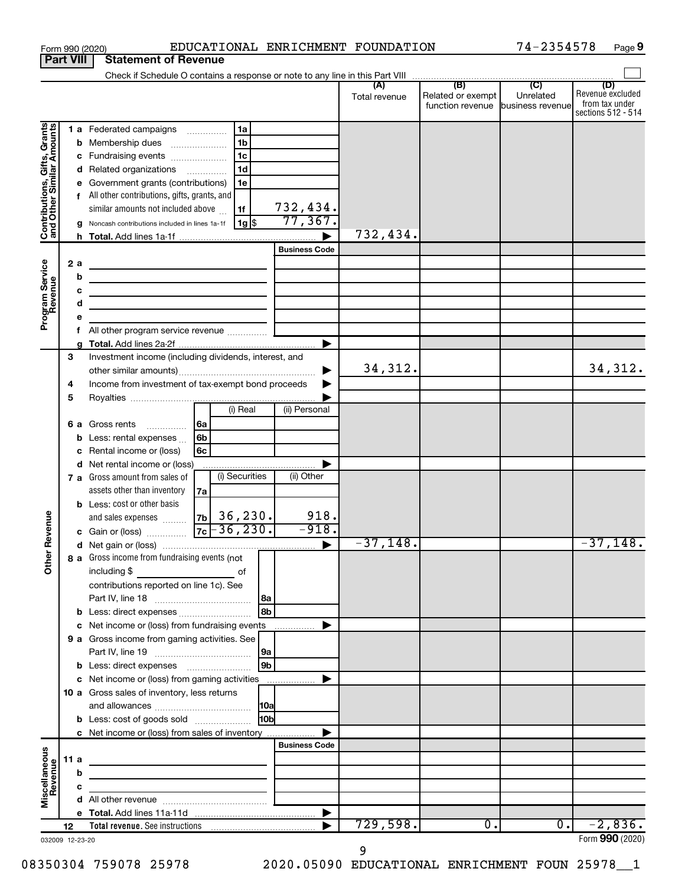|                                                                                         |             |                                            | EDUCATIONAL ENRICHMENT FOUNDATION<br>Form 990 (2020)                                                                                                                                                                                                                                                                                                                                                                                                                                                                                                                                    |                                             |               |                                       | 74-2354578                    | Page 9                                                          |
|-----------------------------------------------------------------------------------------|-------------|--------------------------------------------|-----------------------------------------------------------------------------------------------------------------------------------------------------------------------------------------------------------------------------------------------------------------------------------------------------------------------------------------------------------------------------------------------------------------------------------------------------------------------------------------------------------------------------------------------------------------------------------------|---------------------------------------------|---------------|---------------------------------------|-------------------------------|-----------------------------------------------------------------|
| <b>Part VIII</b>                                                                        |             |                                            | <b>Statement of Revenue</b>                                                                                                                                                                                                                                                                                                                                                                                                                                                                                                                                                             |                                             |               |                                       |                               |                                                                 |
|                                                                                         |             |                                            |                                                                                                                                                                                                                                                                                                                                                                                                                                                                                                                                                                                         |                                             |               |                                       |                               |                                                                 |
|                                                                                         |             |                                            |                                                                                                                                                                                                                                                                                                                                                                                                                                                                                                                                                                                         |                                             | Total revenue | Related or exempt<br>function revenue | Unrelated<br>business revenue | (D)<br>Revenue excluded<br>from tax under<br>sections 512 - 514 |
| Contributions, Gifts, Grants<br>and Other Similar Amounts<br>Program Service<br>Revenue |             | b<br>с<br>d<br>е<br>g<br>2a<br>b<br>с<br>d | 1a<br>1 a Federated campaigns<br>1 <sub>b</sub><br>Membership dues<br>$\ldots \ldots \ldots \ldots \ldots$<br>1 <sub>c</sub><br>Fundraising events<br>1 <sub>d</sub><br>Related organizations<br>Government grants (contributions)<br>1e<br>f All other contributions, gifts, grants, and<br>similar amounts not included above<br>1f<br>$1g$ \$<br>Noncash contributions included in lines 1a-1f<br><u> 1989 - Johann Barn, mars et al. (b. 1989)</u><br>the control of the control of the control of the control of the control of<br>the contract of the contract of the contract of | 732,434.<br>77,367.<br><b>Business Code</b> | 732,434.      |                                       |                               |                                                                 |
|                                                                                         |             | е<br>f                                     |                                                                                                                                                                                                                                                                                                                                                                                                                                                                                                                                                                                         |                                             |               |                                       |                               |                                                                 |
|                                                                                         |             |                                            |                                                                                                                                                                                                                                                                                                                                                                                                                                                                                                                                                                                         |                                             |               |                                       |                               |                                                                 |
|                                                                                         | 3<br>4<br>5 | a                                          | Investment income (including dividends, interest, and<br>Income from investment of tax-exempt bond proceeds                                                                                                                                                                                                                                                                                                                                                                                                                                                                             |                                             | 34,312.       |                                       |                               | 34,312.                                                         |
|                                                                                         |             | b<br>с                                     | (i) Real<br>6a<br>6 a Gross rents<br>6b<br>Less: rental expenses<br>6c<br>Rental income or (loss)                                                                                                                                                                                                                                                                                                                                                                                                                                                                                       | (ii) Personal                               |               |                                       |                               |                                                                 |
| evenue                                                                                  |             | d                                          | Net rental income or (loss)<br>7 a Gross amount from sales of<br>(i) Securities<br>assets other than inventory<br>7a<br><b>b</b> Less: cost or other basis<br>36, 230.<br>7 <sub>b</sub><br>and sales expenses                                                                                                                                                                                                                                                                                                                                                                          | (ii) Other<br>918.                          |               |                                       |                               |                                                                 |
|                                                                                         |             |                                            | $-36, 230.$<br>7c<br>c Gain or (loss)                                                                                                                                                                                                                                                                                                                                                                                                                                                                                                                                                   | $-918.$                                     |               |                                       |                               |                                                                 |
| Other                                                                                   |             |                                            | 8 a Gross income from fundraising events (not<br>including \$<br>$\overline{\phantom{a}}$ of<br>contributions reported on line 1c). See                                                                                                                                                                                                                                                                                                                                                                                                                                                 |                                             | $-37,148.$    |                                       |                               | $-37,148.$                                                      |
|                                                                                         |             |                                            | 8b<br>b Less: direct expenses                                                                                                                                                                                                                                                                                                                                                                                                                                                                                                                                                           |                                             |               |                                       |                               |                                                                 |
|                                                                                         |             | с                                          | Net income or (loss) from fundraising events                                                                                                                                                                                                                                                                                                                                                                                                                                                                                                                                            |                                             |               |                                       |                               |                                                                 |
|                                                                                         |             |                                            | 9 a Gross income from gaming activities. See                                                                                                                                                                                                                                                                                                                                                                                                                                                                                                                                            |                                             |               |                                       |                               |                                                                 |
|                                                                                         |             |                                            | 9b<br>c Net income or (loss) from gaming activities<br>10 a Gross sales of inventory, less returns                                                                                                                                                                                                                                                                                                                                                                                                                                                                                      |                                             |               |                                       |                               |                                                                 |
|                                                                                         |             |                                            | 10 <sub>b</sub><br><b>b</b> Less: cost of goods sold                                                                                                                                                                                                                                                                                                                                                                                                                                                                                                                                    |                                             |               |                                       |                               |                                                                 |
|                                                                                         |             |                                            | c Net income or (loss) from sales of inventory                                                                                                                                                                                                                                                                                                                                                                                                                                                                                                                                          |                                             |               |                                       |                               |                                                                 |
| Miscellaneous<br>Revenue                                                                | 11 a        |                                            | <u> 1980 - Johann John Stein, markin fan it ferstjer fan it ferstjer fan it ferstjer fan it ferstjer fan it fers</u>                                                                                                                                                                                                                                                                                                                                                                                                                                                                    | <b>Business Code</b>                        |               |                                       |                               |                                                                 |
|                                                                                         |             | b                                          | the control of the control of the control of the control of the control of                                                                                                                                                                                                                                                                                                                                                                                                                                                                                                              |                                             |               |                                       |                               |                                                                 |
|                                                                                         |             | с                                          |                                                                                                                                                                                                                                                                                                                                                                                                                                                                                                                                                                                         |                                             |               |                                       |                               |                                                                 |
|                                                                                         |             |                                            |                                                                                                                                                                                                                                                                                                                                                                                                                                                                                                                                                                                         |                                             |               |                                       |                               |                                                                 |
|                                                                                         |             |                                            |                                                                                                                                                                                                                                                                                                                                                                                                                                                                                                                                                                                         |                                             |               | $\overline{0}$ .                      | $0 \cdot$                     | $-2,836.$                                                       |
| 032009 12-23-20                                                                         | 12          |                                            |                                                                                                                                                                                                                                                                                                                                                                                                                                                                                                                                                                                         |                                             | 729,598.      |                                       |                               | Form 990 (2020)                                                 |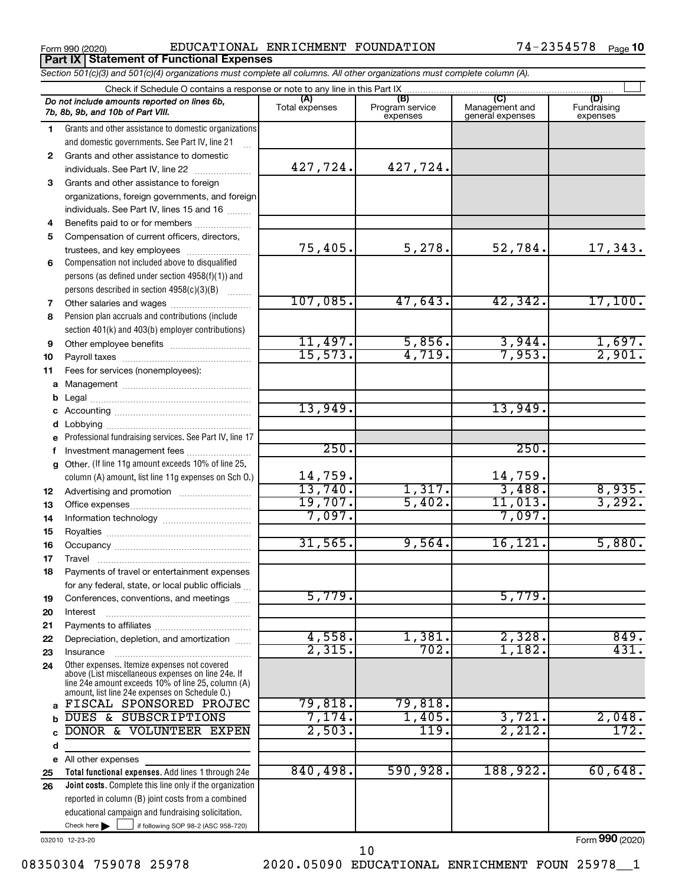**Part IX | Statement of Functional Expenses** 

Form 990 (2020) EDUCATIONAL ENRICHMENT FOUNDATION 74-2354578 Page

|    | Section 501(c)(3) and 501(c)(4) organizations must complete all columns. All other organizations must complete column (A).                                                                                 |                         |                                    |                                                      |                                |
|----|------------------------------------------------------------------------------------------------------------------------------------------------------------------------------------------------------------|-------------------------|------------------------------------|------------------------------------------------------|--------------------------------|
|    | Check if Schedule O contains a response or note to any line in this Part IX.                                                                                                                               |                         |                                    |                                                      |                                |
|    | Do not include amounts reported on lines 6b,<br>7b, 8b, 9b, and 10b of Part VIII.                                                                                                                          | (A)<br>Total expenses   | (B)<br>Program service<br>expenses | $\overline{C}$<br>Management and<br>general expenses | (D)<br>Fundraising<br>expenses |
| 1  | Grants and other assistance to domestic organizations                                                                                                                                                      |                         |                                    |                                                      |                                |
|    | and domestic governments. See Part IV, line 21                                                                                                                                                             |                         |                                    |                                                      |                                |
| 2  | Grants and other assistance to domestic                                                                                                                                                                    |                         |                                    |                                                      |                                |
|    | individuals. See Part IV, line 22                                                                                                                                                                          | 427,724.                | 427,724.                           |                                                      |                                |
| 3  | Grants and other assistance to foreign                                                                                                                                                                     |                         |                                    |                                                      |                                |
|    | organizations, foreign governments, and foreign                                                                                                                                                            |                         |                                    |                                                      |                                |
|    | individuals. See Part IV, lines 15 and 16                                                                                                                                                                  |                         |                                    |                                                      |                                |
| 4  | Benefits paid to or for members                                                                                                                                                                            |                         |                                    |                                                      |                                |
| 5  | Compensation of current officers, directors,                                                                                                                                                               |                         |                                    |                                                      |                                |
|    | trustees, and key employees                                                                                                                                                                                | 75,405.                 | 5,278.                             | 52,784.                                              | 17,343.                        |
| 6  | Compensation not included above to disqualified                                                                                                                                                            |                         |                                    |                                                      |                                |
|    | persons (as defined under section 4958(f)(1)) and                                                                                                                                                          |                         |                                    |                                                      |                                |
|    | persons described in section 4958(c)(3)(B)                                                                                                                                                                 |                         |                                    |                                                      |                                |
| 7  | Other salaries and wages                                                                                                                                                                                   | 107,085.                | 47,643.                            | 42,342.                                              | 17,100.                        |
| 8  | Pension plan accruals and contributions (include                                                                                                                                                           |                         |                                    |                                                      |                                |
|    | section 401(k) and 403(b) employer contributions)                                                                                                                                                          |                         |                                    |                                                      |                                |
| 9  | Other employee benefits                                                                                                                                                                                    | 11,497.                 | 5,856.                             | 3,944.                                               | $\frac{1,697.}{2,901.}$        |
| 10 |                                                                                                                                                                                                            | 15,573.                 | 4,719.                             | 7,953.                                               |                                |
| 11 | Fees for services (nonemployees):                                                                                                                                                                          |                         |                                    |                                                      |                                |
| a  |                                                                                                                                                                                                            |                         |                                    |                                                      |                                |
| b  |                                                                                                                                                                                                            |                         |                                    |                                                      |                                |
| c  |                                                                                                                                                                                                            | 13,949.                 |                                    | 13,949.                                              |                                |
|    |                                                                                                                                                                                                            |                         |                                    |                                                      |                                |
| е  | Professional fundraising services. See Part IV, line 17                                                                                                                                                    |                         |                                    |                                                      |                                |
| f  | Investment management fees                                                                                                                                                                                 | 250.                    |                                    | 250.                                                 |                                |
| g  | Other. (If line 11g amount exceeds 10% of line 25,                                                                                                                                                         |                         |                                    |                                                      |                                |
|    | column (A) amount, list line 11g expenses on Sch O.)                                                                                                                                                       | $\frac{14,759}{13,740}$ |                                    | $\frac{14,759}{3,488}$                               |                                |
| 12 |                                                                                                                                                                                                            |                         | 1,317.                             |                                                      | $\frac{8,935}{3,292}$          |
| 13 |                                                                                                                                                                                                            | 19,707.                 | 5,402.                             | 11,013.                                              |                                |
| 14 |                                                                                                                                                                                                            | 7,097.                  |                                    | 7,097.                                               |                                |
| 15 |                                                                                                                                                                                                            |                         |                                    |                                                      |                                |
| 16 |                                                                                                                                                                                                            | 31,565.                 | 9,564.                             | 16, 121.                                             | 5,880.                         |
| 17 |                                                                                                                                                                                                            |                         |                                    |                                                      |                                |
| 18 | Payments of travel or entertainment expenses                                                                                                                                                               |                         |                                    |                                                      |                                |
|    | for any federal, state, or local public officials                                                                                                                                                          |                         |                                    |                                                      |                                |
| 19 | Conferences, conventions, and meetings                                                                                                                                                                     | 5,779.                  |                                    | 5,779.                                               |                                |
| 20 | Interest                                                                                                                                                                                                   |                         |                                    |                                                      |                                |
| 21 |                                                                                                                                                                                                            |                         |                                    |                                                      |                                |
| 22 | Depreciation, depletion, and amortization                                                                                                                                                                  | 4,558.                  | 1,381.<br>702.                     | 2,328.                                               | 849.<br>431.                   |
| 23 | Insurance                                                                                                                                                                                                  | 2,315.                  |                                    | 1,182.                                               |                                |
| 24 | Other expenses. Itemize expenses not covered<br>above (List miscellaneous expenses on line 24e. If<br>line 24e amount exceeds 10% of line 25, column (A)<br>amount, list line 24e expenses on Schedule O.) |                         |                                    |                                                      |                                |
| a  | FISCAL SPONSORED PROJEC                                                                                                                                                                                    | 79,818.                 | 79,818.                            |                                                      |                                |
|    | <b>DUES &amp; SUBSCRIPTIONS</b>                                                                                                                                                                            | 7,174.                  | 1,405.                             | 3,721.                                               | 2,048.                         |
|    | DONOR & VOLUNTEER EXPEN                                                                                                                                                                                    | 2,503.                  | 119.                               | 2,212.                                               | 172.                           |
| d  |                                                                                                                                                                                                            |                         |                                    |                                                      |                                |
| е  | All other expenses                                                                                                                                                                                         |                         |                                    |                                                      |                                |
| 25 | Total functional expenses. Add lines 1 through 24e                                                                                                                                                         | 840,498.                | 590,928.                           | 188,922.                                             | 60,648.                        |
| 26 | Joint costs. Complete this line only if the organization                                                                                                                                                   |                         |                                    |                                                      |                                |
|    | reported in column (B) joint costs from a combined                                                                                                                                                         |                         |                                    |                                                      |                                |
|    | educational campaign and fundraising solicitation.                                                                                                                                                         |                         |                                    |                                                      |                                |

032010 12-23-20

Check here

Form (2020) **990**

08350304 759078 25978 2020.05090 EDUCATIONAL ENRICHMENT FOUN 25978 1

 $\Box$ 

if following SOP 98-2 (ASC 958-720)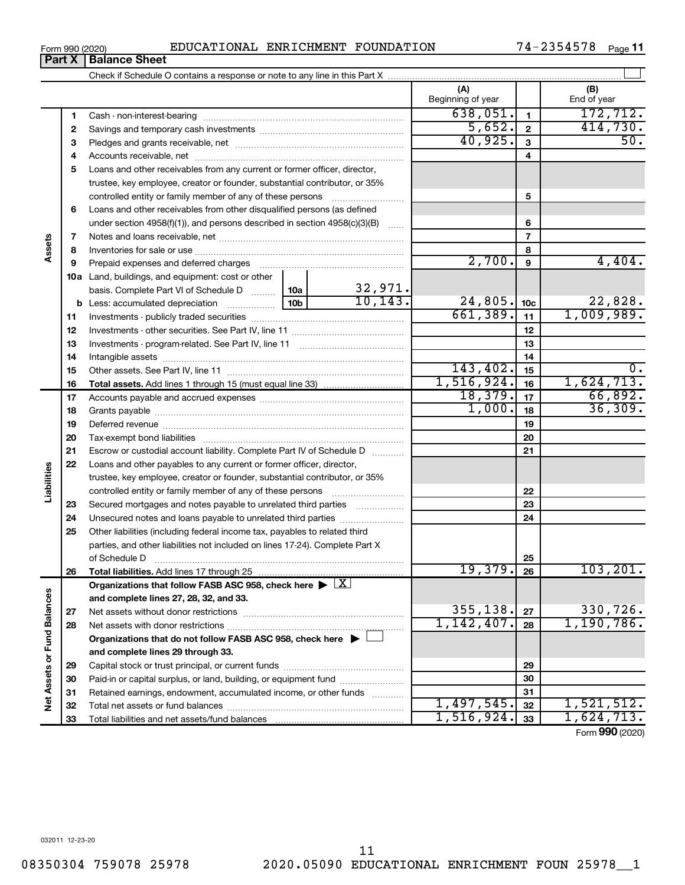## Form 990 (2020) EDUCATIONAL ENRICHMENT FOUNDATION 74-2354578 Page

Check if Schedule O contains a response or note to any line in this Part X

**1** 638,051. 172,712. Beginning of year  $\vert$  | End of year

**(A) (B)**

 $\perp$ 

|                             | 1  |                                                                                            |                 |          | 638,051.       | $\mathbf{1}$   | 172,712.        |
|-----------------------------|----|--------------------------------------------------------------------------------------------|-----------------|----------|----------------|----------------|-----------------|
|                             | 2  |                                                                                            |                 |          | 5,652.         | $\mathbf{2}$   | 414,730.        |
|                             | 3  |                                                                                            |                 |          | 40,925.        | 3              | 50.             |
|                             | 4  |                                                                                            |                 |          |                | 4              |                 |
|                             | 5  | Loans and other receivables from any current or former officer, director,                  |                 |          |                |                |                 |
|                             |    | trustee, key employee, creator or founder, substantial contributor, or 35%                 |                 |          |                |                |                 |
|                             |    |                                                                                            |                 |          |                | 5              |                 |
|                             | 6  | Loans and other receivables from other disqualified persons (as defined                    |                 |          |                |                |                 |
|                             |    | under section $4958(f)(1)$ , and persons described in section $4958(c)(3)(B)$              |                 |          |                | 6              |                 |
|                             | 7  |                                                                                            |                 |          |                | $\overline{7}$ |                 |
| ssets                       | 8  |                                                                                            |                 |          |                | 8              |                 |
|                             | 9  |                                                                                            |                 |          | 2,700.         | 9              | 4,404.          |
|                             |    | <b>10a</b> Land, buildings, and equipment: cost or other                                   |                 |          |                |                |                 |
|                             |    | basis. Complete Part VI of Schedule D  10a                                                 |                 | 32,971.  |                |                |                 |
|                             | b  |                                                                                            | 10 <sub>b</sub> | 10, 143. | $24,805$ . 10c |                | 22,828.         |
|                             | 11 |                                                                                            |                 |          | 661,389.       | 11             | 1,009,989.      |
|                             | 12 |                                                                                            |                 |          |                | 12             |                 |
|                             | 13 |                                                                                            |                 |          |                | 13             |                 |
|                             | 14 |                                                                                            |                 |          |                | 14             |                 |
|                             | 15 |                                                                                            |                 |          | 143, 402.      | 15             | 0.              |
|                             | 16 |                                                                                            |                 |          | 1,516,924.     | 16             | 1,624,713.      |
|                             | 17 |                                                                                            |                 |          | 18,379.        | 17             | 66,892.         |
|                             | 18 |                                                                                            |                 |          | 1,000.         | 18             | 36,309.         |
|                             | 19 |                                                                                            |                 |          |                | 19             |                 |
|                             | 20 |                                                                                            |                 |          | 20             |                |                 |
|                             | 21 | Escrow or custodial account liability. Complete Part IV of Schedule D                      |                 | 21       |                |                |                 |
|                             | 22 | Loans and other payables to any current or former officer, director,                       |                 |          |                |                |                 |
| Liabilities                 |    | trustee, key employee, creator or founder, substantial contributor, or 35%                 |                 |          |                |                |                 |
|                             |    | controlled entity or family member of any of these persons                                 |                 |          |                | 22             |                 |
|                             | 23 | Secured mortgages and notes payable to unrelated third parties                             |                 |          |                | 23             |                 |
|                             | 24 |                                                                                            |                 |          |                | 24             |                 |
|                             | 25 | Other liabilities (including federal income tax, payables to related third                 |                 |          |                |                |                 |
|                             |    | parties, and other liabilities not included on lines 17-24). Complete Part X               |                 |          |                |                |                 |
|                             |    | of Schedule D                                                                              |                 |          | 19,379.        | 25<br>26       | 103, 201.       |
|                             | 26 | Organizations that follow FASB ASC 958, check here $\blacktriangleright \lfloor X \rfloor$ |                 |          |                |                |                 |
|                             |    | and complete lines 27, 28, 32, and 33.                                                     |                 |          |                |                |                 |
|                             | 27 |                                                                                            |                 |          | 355,138.       | ${\bf 27}$     | 330,726         |
|                             | 28 |                                                                                            |                 |          | 1,142,407.     | 28             | 1,190,786.      |
|                             |    | Organizations that do not follow FASB ASC 958, check here $\blacktriangleright \bot$       |                 |          |                |                |                 |
|                             |    | and complete lines 29 through 33.                                                          |                 |          |                |                |                 |
|                             | 29 |                                                                                            |                 |          |                | 29             |                 |
|                             | 30 | Paid-in or capital surplus, or land, building, or equipment fund                           |                 |          | 30             |                |                 |
| Net Assets or Fund Balances | 31 | Retained earnings, endowment, accumulated income, or other funds                           |                 |          | 31             |                |                 |
|                             | 32 |                                                                                            |                 |          | 1,497,545.     | 32             | 1,521,512.      |
|                             | 33 |                                                                                            |                 |          | 1,516,924.     | 33             | 1,624,713.      |
|                             |    |                                                                                            |                 |          |                |                | Form 990 (2020) |

**Assets**

**Liabilities**

Net Assets or Fund Balances

**Part X** | Balance Sheet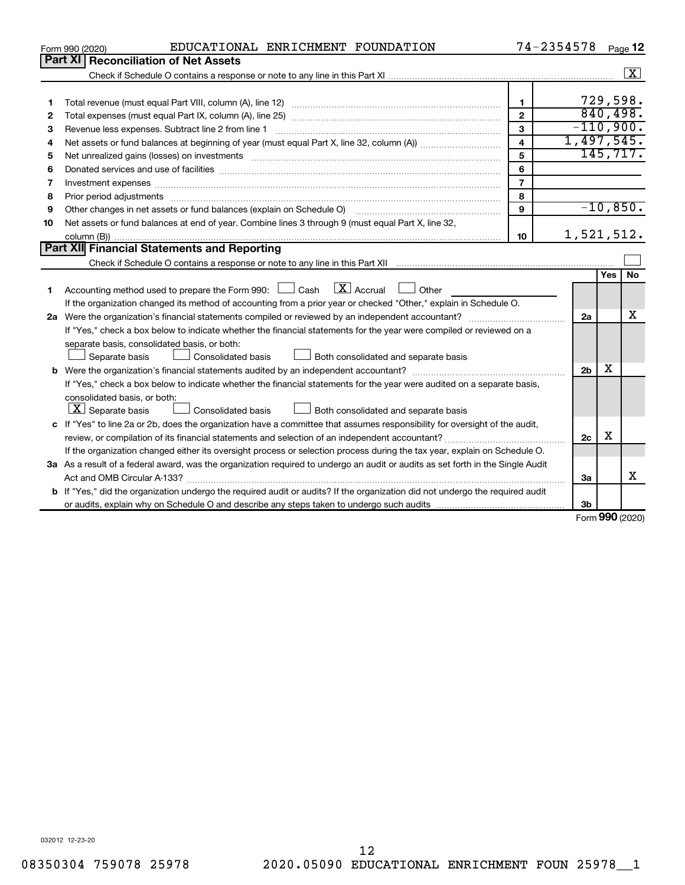|    | EDUCATIONAL ENRICHMENT FOUNDATION<br>Form 990 (2020)                                                                                                                                                                           | 74-2354578              |                |              | Page 12              |
|----|--------------------------------------------------------------------------------------------------------------------------------------------------------------------------------------------------------------------------------|-------------------------|----------------|--------------|----------------------|
|    | Part XI   Reconciliation of Net Assets                                                                                                                                                                                         |                         |                |              |                      |
|    |                                                                                                                                                                                                                                |                         |                |              | $\boxed{\textbf{X}}$ |
|    |                                                                                                                                                                                                                                |                         |                |              |                      |
| 1  |                                                                                                                                                                                                                                | $\mathbf{1}$            |                |              | 729,598.             |
| 2  |                                                                                                                                                                                                                                | $\overline{2}$          | 840,498.       |              |                      |
| З  |                                                                                                                                                                                                                                | 3                       | $-110,900.$    |              |                      |
| 4  |                                                                                                                                                                                                                                | $\overline{\mathbf{4}}$ | 1,497,545.     |              |                      |
| 5  |                                                                                                                                                                                                                                | 5                       |                |              | 145, 717.            |
| 6  | Donated services and use of facilities [[111] matter contracts and use of facilities [[11] matter contracts and use of facilities [[11] matter contracts and use of facilities [[11] matter contracts and a service contract o | 6                       |                |              |                      |
| 7  | Investment expenses www.communication.com/www.communication.com/www.communication.com/www.com                                                                                                                                  | $\overline{7}$          |                |              |                      |
| 8  |                                                                                                                                                                                                                                | 8                       |                |              |                      |
| 9  | Other changes in net assets or fund balances (explain on Schedule O)                                                                                                                                                           | $\mathbf{Q}$            |                |              | $-10,850.$           |
| 10 | Net assets or fund balances at end of year. Combine lines 3 through 9 (must equal Part X, line 32,                                                                                                                             |                         |                |              |                      |
|    |                                                                                                                                                                                                                                | 10                      | 1,521,512.     |              |                      |
|    | Part XII Financial Statements and Reporting                                                                                                                                                                                    |                         |                |              |                      |
|    |                                                                                                                                                                                                                                |                         |                |              |                      |
| 1  | $\boxed{\mathbf{X}}$ Accrual $\boxed{\phantom{0}}$ Other<br>Accounting method used to prepare the Form 990: [130] Cash                                                                                                         |                         |                | Yes          | <b>No</b>            |
|    | If the organization changed its method of accounting from a prior year or checked "Other," explain in Schedule O.                                                                                                              |                         |                |              |                      |
|    |                                                                                                                                                                                                                                |                         | 2a             |              | x                    |
|    | If "Yes," check a box below to indicate whether the financial statements for the year were compiled or reviewed on a                                                                                                           |                         |                |              |                      |
|    | separate basis, consolidated basis, or both:                                                                                                                                                                                   |                         |                |              |                      |
|    | Both consolidated and separate basis<br>Separate basis<br>Consolidated basis                                                                                                                                                   |                         |                |              |                      |
|    |                                                                                                                                                                                                                                |                         | 2 <sub>b</sub> | x            |                      |
|    | If "Yes," check a box below to indicate whether the financial statements for the year were audited on a separate basis,                                                                                                        |                         |                |              |                      |
|    | consolidated basis, or both:                                                                                                                                                                                                   |                         |                |              |                      |
|    | $ \mathbf{X} $ Separate basis<br>Consolidated basis<br>Both consolidated and separate basis                                                                                                                                    |                         |                |              |                      |
|    | c If "Yes" to line 2a or 2b, does the organization have a committee that assumes responsibility for oversight of the audit,                                                                                                    |                         |                |              |                      |
|    |                                                                                                                                                                                                                                |                         | 2c             | X            |                      |
|    | If the organization changed either its oversight process or selection process during the tax year, explain on Schedule O.                                                                                                      |                         |                |              |                      |
|    | 3a As a result of a federal award, was the organization required to undergo an audit or audits as set forth in the Single Audit                                                                                                |                         |                |              |                      |
|    | Act and OMB Circular A-133?                                                                                                                                                                                                    |                         | 3a             |              | x                    |
|    | b If "Yes," did the organization undergo the required audit or audits? If the organization did not undergo the required audit                                                                                                  |                         |                |              |                      |
|    |                                                                                                                                                                                                                                |                         | 3b             | $000 \text{$ |                      |
|    |                                                                                                                                                                                                                                |                         |                |              |                      |

Form (2020) **990**

032012 12-23-20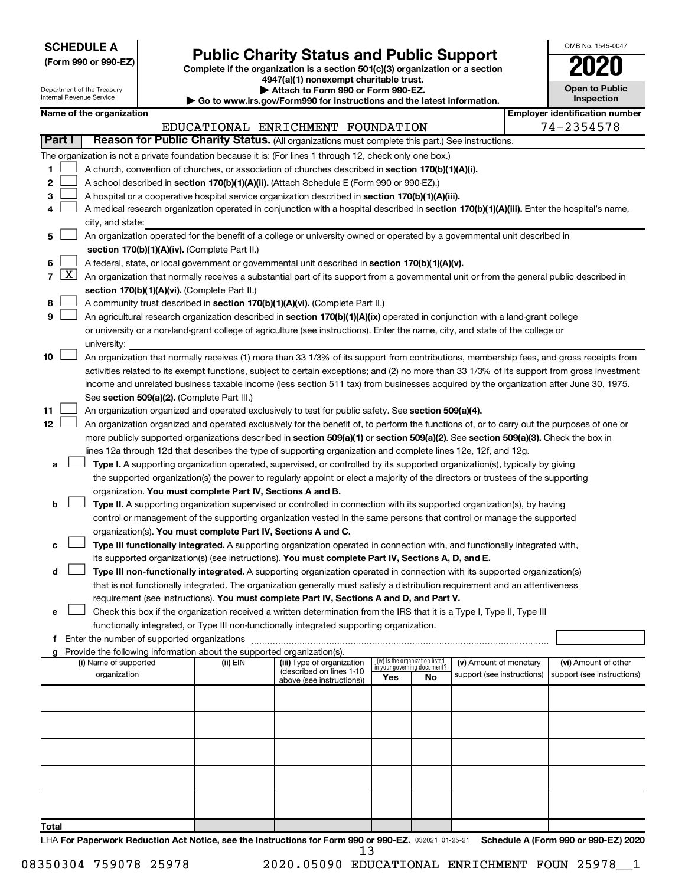| <b>SCHEDULE A</b> |  |
|-------------------|--|
|-------------------|--|

| (Form 990 or 990-EZ) |  |  |  |  |
|----------------------|--|--|--|--|
|----------------------|--|--|--|--|

Form 990 or 990-EZ) **Public Charity Status and Public Support**<br>
Complete if the organization is a section 501(c)(3) organization or a section<br> **2020 4947(a)(1) nonexempt charitable trust.**

| OMB No 1545-0047                    |
|-------------------------------------|
| 020                                 |
| <b>Open to Public</b><br>Inspection |

 $\Box$ 

|        |                 | Department of the Treasury<br>Internal Revenue Service |                                                                                    | Attach to Form 990 or Form 990-EZ.<br>▶ Go to www.irs.gov/Form990 for instructions and the latest information.                                                                                                                                  |     |                                   |                            | <b>Open to Public</b><br><b>Inspection</b> |
|--------|-----------------|--------------------------------------------------------|------------------------------------------------------------------------------------|-------------------------------------------------------------------------------------------------------------------------------------------------------------------------------------------------------------------------------------------------|-----|-----------------------------------|----------------------------|--------------------------------------------|
|        |                 | Name of the organization                               |                                                                                    |                                                                                                                                                                                                                                                 |     |                                   |                            | <b>Employer identification number</b>      |
|        |                 |                                                        |                                                                                    | EDUCATIONAL ENRICHMENT FOUNDATION                                                                                                                                                                                                               |     |                                   |                            | 74-2354578                                 |
|        | Part I          |                                                        |                                                                                    | Reason for Public Charity Status. (All organizations must complete this part.) See instructions.                                                                                                                                                |     |                                   |                            |                                            |
|        |                 |                                                        |                                                                                    |                                                                                                                                                                                                                                                 |     |                                   |                            |                                            |
| 1      |                 |                                                        |                                                                                    | The organization is not a private foundation because it is: (For lines 1 through 12, check only one box.)                                                                                                                                       |     |                                   |                            |                                            |
|        |                 |                                                        |                                                                                    | A church, convention of churches, or association of churches described in section 170(b)(1)(A)(i).                                                                                                                                              |     |                                   |                            |                                            |
| 2<br>3 |                 |                                                        |                                                                                    | A school described in section 170(b)(1)(A)(ii). (Attach Schedule E (Form 990 or 990-EZ).)                                                                                                                                                       |     |                                   |                            |                                            |
| 4      |                 |                                                        |                                                                                    | A hospital or a cooperative hospital service organization described in section 170(b)(1)(A)(iii).<br>A medical research organization operated in conjunction with a hospital described in section 170(b)(1)(A)(iii). Enter the hospital's name, |     |                                   |                            |                                            |
|        |                 | city, and state:                                       |                                                                                    |                                                                                                                                                                                                                                                 |     |                                   |                            |                                            |
| 5      |                 |                                                        |                                                                                    | An organization operated for the benefit of a college or university owned or operated by a governmental unit described in                                                                                                                       |     |                                   |                            |                                            |
|        |                 |                                                        | section 170(b)(1)(A)(iv). (Complete Part II.)                                      |                                                                                                                                                                                                                                                 |     |                                   |                            |                                            |
| 6      |                 |                                                        |                                                                                    | A federal, state, or local government or governmental unit described in section 170(b)(1)(A)(v).                                                                                                                                                |     |                                   |                            |                                            |
|        | $7 \mid X \mid$ |                                                        |                                                                                    | An organization that normally receives a substantial part of its support from a governmental unit or from the general public described in                                                                                                       |     |                                   |                            |                                            |
|        |                 |                                                        | section 170(b)(1)(A)(vi). (Complete Part II.)                                      |                                                                                                                                                                                                                                                 |     |                                   |                            |                                            |
| 8      |                 |                                                        |                                                                                    | A community trust described in section 170(b)(1)(A)(vi). (Complete Part II.)                                                                                                                                                                    |     |                                   |                            |                                            |
| 9      |                 |                                                        |                                                                                    | An agricultural research organization described in section 170(b)(1)(A)(ix) operated in conjunction with a land-grant college                                                                                                                   |     |                                   |                            |                                            |
|        |                 |                                                        |                                                                                    | or university or a non-land-grant college of agriculture (see instructions). Enter the name, city, and state of the college or                                                                                                                  |     |                                   |                            |                                            |
|        |                 | university:                                            |                                                                                    |                                                                                                                                                                                                                                                 |     |                                   |                            |                                            |
| 10     |                 |                                                        |                                                                                    | An organization that normally receives (1) more than 33 1/3% of its support from contributions, membership fees, and gross receipts from                                                                                                        |     |                                   |                            |                                            |
|        |                 |                                                        |                                                                                    | activities related to its exempt functions, subject to certain exceptions; and (2) no more than 33 1/3% of its support from gross investment                                                                                                    |     |                                   |                            |                                            |
|        |                 |                                                        |                                                                                    | income and unrelated business taxable income (less section 511 tax) from businesses acquired by the organization after June 30, 1975.                                                                                                           |     |                                   |                            |                                            |
|        |                 |                                                        | See section 509(a)(2). (Complete Part III.)                                        |                                                                                                                                                                                                                                                 |     |                                   |                            |                                            |
| 11     |                 |                                                        |                                                                                    | An organization organized and operated exclusively to test for public safety. See section 509(a)(4).                                                                                                                                            |     |                                   |                            |                                            |
| 12     |                 |                                                        |                                                                                    | An organization organized and operated exclusively for the benefit of, to perform the functions of, or to carry out the purposes of one or                                                                                                      |     |                                   |                            |                                            |
|        |                 |                                                        |                                                                                    | more publicly supported organizations described in section 509(a)(1) or section 509(a)(2). See section 509(a)(3). Check the box in                                                                                                              |     |                                   |                            |                                            |
|        |                 |                                                        |                                                                                    | lines 12a through 12d that describes the type of supporting organization and complete lines 12e, 12f, and 12g.                                                                                                                                  |     |                                   |                            |                                            |
| a      |                 |                                                        |                                                                                    | Type I. A supporting organization operated, supervised, or controlled by its supported organization(s), typically by giving                                                                                                                     |     |                                   |                            |                                            |
|        |                 |                                                        |                                                                                    | the supported organization(s) the power to regularly appoint or elect a majority of the directors or trustees of the supporting                                                                                                                 |     |                                   |                            |                                            |
|        |                 |                                                        | organization. You must complete Part IV, Sections A and B.                         |                                                                                                                                                                                                                                                 |     |                                   |                            |                                            |
| b      |                 |                                                        |                                                                                    | Type II. A supporting organization supervised or controlled in connection with its supported organization(s), by having                                                                                                                         |     |                                   |                            |                                            |
|        |                 |                                                        |                                                                                    | control or management of the supporting organization vested in the same persons that control or manage the supported                                                                                                                            |     |                                   |                            |                                            |
|        |                 |                                                        | organization(s). You must complete Part IV, Sections A and C.                      |                                                                                                                                                                                                                                                 |     |                                   |                            |                                            |
| c      |                 |                                                        |                                                                                    | Type III functionally integrated. A supporting organization operated in connection with, and functionally integrated with,                                                                                                                      |     |                                   |                            |                                            |
|        |                 |                                                        |                                                                                    | its supported organization(s) (see instructions). You must complete Part IV, Sections A, D, and E.                                                                                                                                              |     |                                   |                            |                                            |
| d      |                 |                                                        |                                                                                    | Type III non-functionally integrated. A supporting organization operated in connection with its supported organization(s)                                                                                                                       |     |                                   |                            |                                            |
|        |                 |                                                        |                                                                                    | that is not functionally integrated. The organization generally must satisfy a distribution requirement and an attentiveness                                                                                                                    |     |                                   |                            |                                            |
|        |                 |                                                        |                                                                                    | requirement (see instructions). You must complete Part IV, Sections A and D, and Part V.                                                                                                                                                        |     |                                   |                            |                                            |
| е      |                 |                                                        |                                                                                    | Check this box if the organization received a written determination from the IRS that it is a Type I, Type II, Type III                                                                                                                         |     |                                   |                            |                                            |
|        |                 |                                                        |                                                                                    | functionally integrated, or Type III non-functionally integrated supporting organization.                                                                                                                                                       |     |                                   |                            |                                            |
|        |                 | <b>f</b> Enter the number of supported organizations   |                                                                                    |                                                                                                                                                                                                                                                 |     |                                   |                            |                                            |
|        |                 | (i) Name of supported                                  | Provide the following information about the supported organization(s).<br>(ii) EIN | (iii) Type of organization                                                                                                                                                                                                                      |     | (iv) Is the organization listed   | (v) Amount of monetary     | (vi) Amount of other                       |
|        |                 | organization                                           |                                                                                    | (described on lines 1-10<br>above (see instructions))                                                                                                                                                                                           | Yes | in vour aovernina document?<br>No | support (see instructions) | support (see instructions)                 |
|        |                 |                                                        |                                                                                    |                                                                                                                                                                                                                                                 |     |                                   |                            |                                            |
|        |                 |                                                        |                                                                                    |                                                                                                                                                                                                                                                 |     |                                   |                            |                                            |
|        |                 |                                                        |                                                                                    |                                                                                                                                                                                                                                                 |     |                                   |                            |                                            |
|        |                 |                                                        |                                                                                    |                                                                                                                                                                                                                                                 |     |                                   |                            |                                            |
|        |                 |                                                        |                                                                                    |                                                                                                                                                                                                                                                 |     |                                   |                            |                                            |
|        |                 |                                                        |                                                                                    |                                                                                                                                                                                                                                                 |     |                                   |                            |                                            |
|        |                 |                                                        |                                                                                    |                                                                                                                                                                                                                                                 |     |                                   |                            |                                            |
|        |                 |                                                        |                                                                                    |                                                                                                                                                                                                                                                 |     |                                   |                            |                                            |
|        |                 |                                                        |                                                                                    |                                                                                                                                                                                                                                                 |     |                                   |                            |                                            |
|        |                 |                                                        |                                                                                    |                                                                                                                                                                                                                                                 |     |                                   |                            |                                            |
| Total  |                 |                                                        |                                                                                    |                                                                                                                                                                                                                                                 |     |                                   |                            |                                            |

LHA For Paperwork Reduction Act Notice, see the Instructions for Form 990 or 990-EZ. 032021 01-25-21 Schedule A (Form 990 or 990-EZ) 2020 13

08350304 759078 25978 2020.05090 EDUCATIONAL ENRICHMENT FOUN 25978 1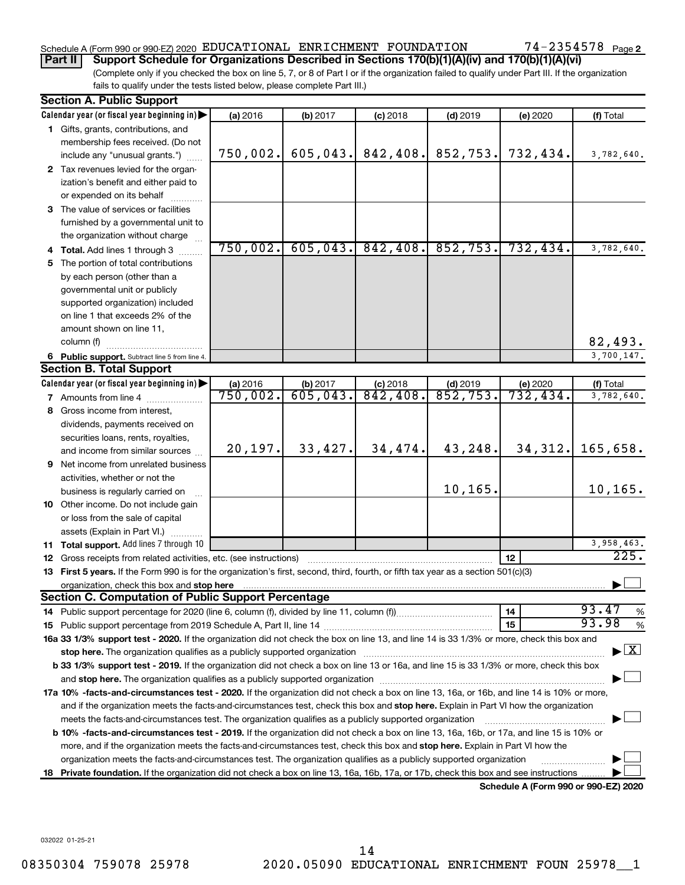### Schedule A (Form 990 or 990-EZ) 2020 Page EDUCATIONAL ENRICHMENT FOUNDATION 74-2354578

**Part II Support Schedule for Organizations Described in Sections 170(b)(1)(A)(iv) and 170(b)(1)(A)(vi)**

(Complete only if you checked the box on line 5, 7, or 8 of Part I or if the organization failed to qualify under Part III. If the organization fails to qualify under the tests listed below, please complete Part III.)

| <b>Section A. Public Support</b>                                                                                                                                                                                               |          |                      |                        |                         |                                      |                                          |
|--------------------------------------------------------------------------------------------------------------------------------------------------------------------------------------------------------------------------------|----------|----------------------|------------------------|-------------------------|--------------------------------------|------------------------------------------|
| Calendar year (or fiscal year beginning in)                                                                                                                                                                                    | (a) 2016 | (b) 2017             | $(c)$ 2018             | $(d)$ 2019              | (e) 2020                             | (f) Total                                |
| 1 Gifts, grants, contributions, and                                                                                                                                                                                            |          |                      |                        |                         |                                      |                                          |
| membership fees received. (Do not                                                                                                                                                                                              |          |                      |                        |                         |                                      |                                          |
| include any "unusual grants.")                                                                                                                                                                                                 | 750,002. | 605,043.             | 842,408.               | 852,753.                | 732,434.                             | 3,782,640.                               |
| 2 Tax revenues levied for the organ-                                                                                                                                                                                           |          |                      |                        |                         |                                      |                                          |
| ization's benefit and either paid to                                                                                                                                                                                           |          |                      |                        |                         |                                      |                                          |
| or expended on its behalf                                                                                                                                                                                                      |          |                      |                        |                         |                                      |                                          |
| 3 The value of services or facilities                                                                                                                                                                                          |          |                      |                        |                         |                                      |                                          |
| furnished by a governmental unit to                                                                                                                                                                                            |          |                      |                        |                         |                                      |                                          |
| the organization without charge                                                                                                                                                                                                |          |                      |                        |                         |                                      |                                          |
| 4 Total. Add lines 1 through 3                                                                                                                                                                                                 | 750,002. |                      | $605, 043.$ 842, 408.  | 852,753.                | 732, 434.                            | 3,782,640.                               |
| 5 The portion of total contributions                                                                                                                                                                                           |          |                      |                        |                         |                                      |                                          |
| by each person (other than a                                                                                                                                                                                                   |          |                      |                        |                         |                                      |                                          |
| governmental unit or publicly                                                                                                                                                                                                  |          |                      |                        |                         |                                      |                                          |
| supported organization) included                                                                                                                                                                                               |          |                      |                        |                         |                                      |                                          |
| on line 1 that exceeds 2% of the                                                                                                                                                                                               |          |                      |                        |                         |                                      |                                          |
| amount shown on line 11,                                                                                                                                                                                                       |          |                      |                        |                         |                                      |                                          |
| column (f)                                                                                                                                                                                                                     |          |                      |                        |                         |                                      | 82,493.                                  |
| 6 Public support. Subtract line 5 from line 4.                                                                                                                                                                                 |          |                      |                        |                         |                                      | 3,700,147.                               |
| <b>Section B. Total Support</b>                                                                                                                                                                                                |          |                      |                        |                         |                                      |                                          |
| Calendar year (or fiscal year beginning in)                                                                                                                                                                                    | (a) 2016 | (b) 2017<br>605,043. | $(c)$ 2018<br>842,408. | (d) $2019$<br>852, 753. | (e) 2020<br>732,434.                 | (f) Total                                |
| <b>7</b> Amounts from line 4                                                                                                                                                                                                   | 750,002. |                      |                        |                         |                                      | 3,782,640.                               |
| 8 Gross income from interest,                                                                                                                                                                                                  |          |                      |                        |                         |                                      |                                          |
| dividends, payments received on                                                                                                                                                                                                |          |                      |                        |                         |                                      |                                          |
| securities loans, rents, royalties,                                                                                                                                                                                            |          |                      |                        |                         |                                      |                                          |
| and income from similar sources                                                                                                                                                                                                | 20, 197. | 33,427.              | 34,474.                | 43,248.                 | 34, 312.                             | 165,658.                                 |
| 9 Net income from unrelated business                                                                                                                                                                                           |          |                      |                        |                         |                                      |                                          |
| activities, whether or not the                                                                                                                                                                                                 |          |                      |                        | 10,165.                 |                                      | 10, 165.                                 |
| business is regularly carried on                                                                                                                                                                                               |          |                      |                        |                         |                                      |                                          |
| 10 Other income. Do not include gain                                                                                                                                                                                           |          |                      |                        |                         |                                      |                                          |
| or loss from the sale of capital                                                                                                                                                                                               |          |                      |                        |                         |                                      |                                          |
| assets (Explain in Part VI.)                                                                                                                                                                                                   |          |                      |                        |                         |                                      | 3,958,463.                               |
| 11 Total support. Add lines 7 through 10<br><b>12</b> Gross receipts from related activities, etc. (see instructions)                                                                                                          |          |                      |                        |                         | 12                                   | 225.                                     |
| 13 First 5 years. If the Form 990 is for the organization's first, second, third, fourth, or fifth tax year as a section 501(c)(3)                                                                                             |          |                      |                        |                         |                                      |                                          |
|                                                                                                                                                                                                                                |          |                      |                        |                         |                                      |                                          |
| <b>Section C. Computation of Public Support Percentage</b>                                                                                                                                                                     |          |                      |                        |                         |                                      |                                          |
|                                                                                                                                                                                                                                |          |                      |                        |                         | 14                                   | 93.47<br>%                               |
|                                                                                                                                                                                                                                |          |                      |                        |                         | 15                                   | 93.98<br>%                               |
| 16a 33 1/3% support test - 2020. If the organization did not check the box on line 13, and line 14 is 33 1/3% or more, check this box and                                                                                      |          |                      |                        |                         |                                      |                                          |
| stop here. The organization qualifies as a publicly supported organization manufactured content and the content of the state of the state of the state of the state of the state of the state of the state of the state of the |          |                      |                        |                         |                                      | $\blacktriangleright$ $\boxed{\text{X}}$ |
| b 33 1/3% support test - 2019. If the organization did not check a box on line 13 or 16a, and line 15 is 33 1/3% or more, check this box                                                                                       |          |                      |                        |                         |                                      |                                          |
|                                                                                                                                                                                                                                |          |                      |                        |                         |                                      |                                          |
| 17a 10% -facts-and-circumstances test - 2020. If the organization did not check a box on line 13, 16a, or 16b, and line 14 is 10% or more,                                                                                     |          |                      |                        |                         |                                      |                                          |
| and if the organization meets the facts-and-circumstances test, check this box and stop here. Explain in Part VI how the organization                                                                                          |          |                      |                        |                         |                                      |                                          |
| meets the facts-and-circumstances test. The organization qualifies as a publicly supported organization                                                                                                                        |          |                      |                        |                         |                                      |                                          |
| b 10% -facts-and-circumstances test - 2019. If the organization did not check a box on line 13, 16a, 16b, or 17a, and line 15 is 10% or                                                                                        |          |                      |                        |                         |                                      |                                          |
| more, and if the organization meets the facts-and-circumstances test, check this box and <b>stop here.</b> Explain in Part VI how the                                                                                          |          |                      |                        |                         |                                      |                                          |
| organization meets the facts-and-circumstances test. The organization qualifies as a publicly supported organization                                                                                                           |          |                      |                        |                         |                                      |                                          |
| 18 Private foundation. If the organization did not check a box on line 13, 16a, 16b, 17a, or 17b, check this box and see instructions                                                                                          |          |                      |                        |                         |                                      |                                          |
|                                                                                                                                                                                                                                |          |                      |                        |                         | Schedule A (Form 990 or 990-EZ) 2020 |                                          |

032022 01-25-21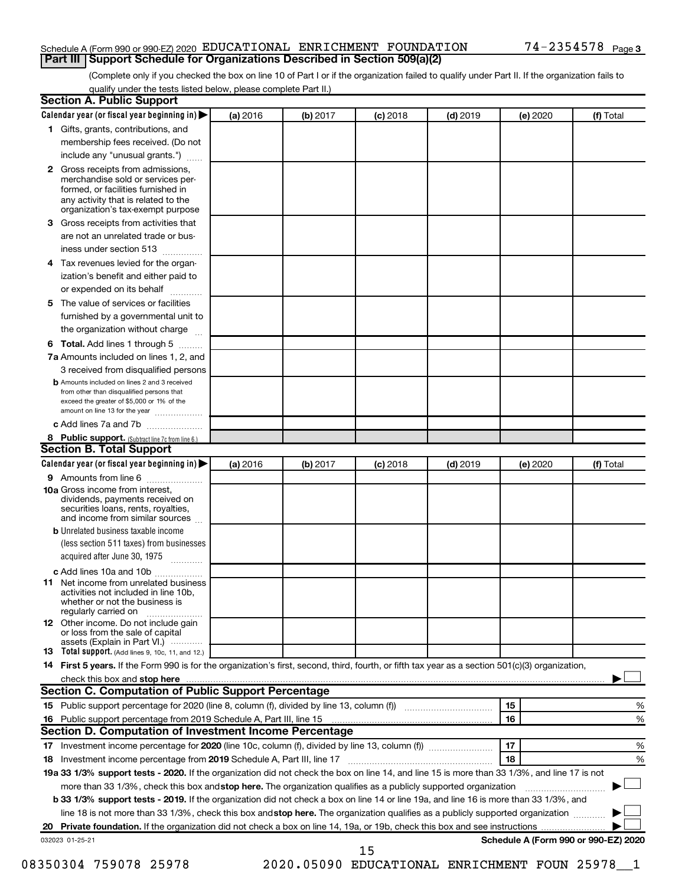#### Schedule A (Form 990 or 990-EZ) 2020 Page EDUCATIONAL ENRICHMENT FOUNDATION 74-2354578 **Part III Support Schedule for Organizations Described in Section 509(a)(2)**

(Complete only if you checked the box on line 10 of Part I or if the organization failed to qualify under Part II. If the organization fails to qualify under the tests listed below, please complete Part II.)

|              | Calendar year (or fiscal year beginning in)                                                                                                                                                                                                                                     | (a) 2016 | (b) 2017 | $(c)$ 2018                                     | $(d)$ 2019 |    | (e) 2020 | (f) Total                            |
|--------------|---------------------------------------------------------------------------------------------------------------------------------------------------------------------------------------------------------------------------------------------------------------------------------|----------|----------|------------------------------------------------|------------|----|----------|--------------------------------------|
|              | 1 Gifts, grants, contributions, and                                                                                                                                                                                                                                             |          |          |                                                |            |    |          |                                      |
|              | membership fees received. (Do not                                                                                                                                                                                                                                               |          |          |                                                |            |    |          |                                      |
|              | include any "unusual grants.")                                                                                                                                                                                                                                                  |          |          |                                                |            |    |          |                                      |
| $\mathbf{2}$ | Gross receipts from admissions,<br>merchandise sold or services per-<br>formed, or facilities furnished in<br>any activity that is related to the<br>organization's tax-exempt purpose                                                                                          |          |          |                                                |            |    |          |                                      |
| 3.           | Gross receipts from activities that                                                                                                                                                                                                                                             |          |          |                                                |            |    |          |                                      |
|              | are not an unrelated trade or bus-                                                                                                                                                                                                                                              |          |          |                                                |            |    |          |                                      |
|              | iness under section 513                                                                                                                                                                                                                                                         |          |          |                                                |            |    |          |                                      |
| 4            | Tax revenues levied for the organ-                                                                                                                                                                                                                                              |          |          |                                                |            |    |          |                                      |
|              | ization's benefit and either paid to<br>or expended on its behalf<br>.                                                                                                                                                                                                          |          |          |                                                |            |    |          |                                      |
| 5            | The value of services or facilities                                                                                                                                                                                                                                             |          |          |                                                |            |    |          |                                      |
|              | furnished by a governmental unit to<br>the organization without charge                                                                                                                                                                                                          |          |          |                                                |            |    |          |                                      |
| 6            | Total. Add lines 1 through 5                                                                                                                                                                                                                                                    |          |          |                                                |            |    |          |                                      |
|              | 7a Amounts included on lines 1, 2, and                                                                                                                                                                                                                                          |          |          |                                                |            |    |          |                                      |
|              | 3 received from disqualified persons                                                                                                                                                                                                                                            |          |          |                                                |            |    |          |                                      |
|              | <b>b</b> Amounts included on lines 2 and 3 received                                                                                                                                                                                                                             |          |          |                                                |            |    |          |                                      |
|              | from other than disqualified persons that<br>exceed the greater of \$5,000 or 1% of the<br>amount on line 13 for the year                                                                                                                                                       |          |          |                                                |            |    |          |                                      |
|              | c Add lines 7a and 7b                                                                                                                                                                                                                                                           |          |          |                                                |            |    |          |                                      |
|              | 8 Public support. (Subtract line 7c from line 6.)                                                                                                                                                                                                                               |          |          |                                                |            |    |          |                                      |
|              | <b>Section B. Total Support</b>                                                                                                                                                                                                                                                 |          |          |                                                |            |    |          |                                      |
|              | Calendar year (or fiscal year beginning in)                                                                                                                                                                                                                                     | (a) 2016 | (b) 2017 | $(c)$ 2018                                     | $(d)$ 2019 |    | (e) 2020 | (f) Total                            |
|              | 9 Amounts from line 6                                                                                                                                                                                                                                                           |          |          |                                                |            |    |          |                                      |
|              | <b>10a</b> Gross income from interest,<br>dividends, payments received on<br>securities loans, rents, royalties,<br>and income from similar sources                                                                                                                             |          |          |                                                |            |    |          |                                      |
|              | <b>b</b> Unrelated business taxable income                                                                                                                                                                                                                                      |          |          |                                                |            |    |          |                                      |
|              | (less section 511 taxes) from businesses<br>acquired after June 30, 1975                                                                                                                                                                                                        |          |          |                                                |            |    |          |                                      |
|              | c Add lines 10a and 10b                                                                                                                                                                                                                                                         |          |          |                                                |            |    |          |                                      |
| 11           | Net income from unrelated business<br>activities not included in line 10b.<br>whether or not the business is<br>regularly carried on                                                                                                                                            |          |          |                                                |            |    |          |                                      |
|              | <b>12</b> Other income. Do not include gain<br>or loss from the sale of capital<br>assets (Explain in Part VI.)                                                                                                                                                                 |          |          |                                                |            |    |          |                                      |
|              | <b>13</b> Total support. (Add lines 9, 10c, 11, and 12.)                                                                                                                                                                                                                        |          |          |                                                |            |    |          |                                      |
|              | 14 First 5 years. If the Form 990 is for the organization's first, second, third, fourth, or fifth tax year as a section 501(c)(3) organization,                                                                                                                                |          |          |                                                |            |    |          |                                      |
|              |                                                                                                                                                                                                                                                                                 |          |          |                                                |            |    |          |                                      |
|              | Section C. Computation of Public Support Percentage                                                                                                                                                                                                                             |          |          |                                                |            |    |          |                                      |
|              |                                                                                                                                                                                                                                                                                 |          |          |                                                |            | 15 |          | %                                    |
|              |                                                                                                                                                                                                                                                                                 |          |          |                                                |            | 16 |          | %                                    |
|              | Section D. Computation of Investment Income Percentage                                                                                                                                                                                                                          |          |          |                                                |            |    |          |                                      |
|              |                                                                                                                                                                                                                                                                                 |          |          |                                                |            | 17 |          | %                                    |
|              |                                                                                                                                                                                                                                                                                 |          |          |                                                |            | 18 |          | %                                    |
|              | 19a 33 1/3% support tests - 2020. If the organization did not check the box on line 14, and line 15 is more than 33 1/3%, and line 17 is not                                                                                                                                    |          |          |                                                |            |    |          |                                      |
|              | more than 33 1/3%, check this box and stop here. The organization qualifies as a publicly supported organization                                                                                                                                                                |          |          |                                                |            |    |          |                                      |
|              | <b>b 33 1/3% support tests - 2019.</b> If the organization did not check a box on line 14 or line 19a, and line 16 is more than 33 1/3%, and<br>line 18 is not more than 33 1/3%, check this box and stop here. The organization qualifies as a publicly supported organization |          |          |                                                |            |    |          |                                      |
|              |                                                                                                                                                                                                                                                                                 |          |          |                                                |            |    |          |                                      |
|              |                                                                                                                                                                                                                                                                                 |          |          |                                                |            |    |          | Schedule A (Form 990 or 990-EZ) 2020 |
|              | 032023 01-25-21                                                                                                                                                                                                                                                                 |          |          | 15                                             |            |    |          |                                      |
|              | 08350304 759078 25978                                                                                                                                                                                                                                                           |          |          | 2020.05090 EDUCATIONAL ENRICHMENT FOUN 25978 1 |            |    |          |                                      |
|              |                                                                                                                                                                                                                                                                                 |          |          |                                                |            |    |          |                                      |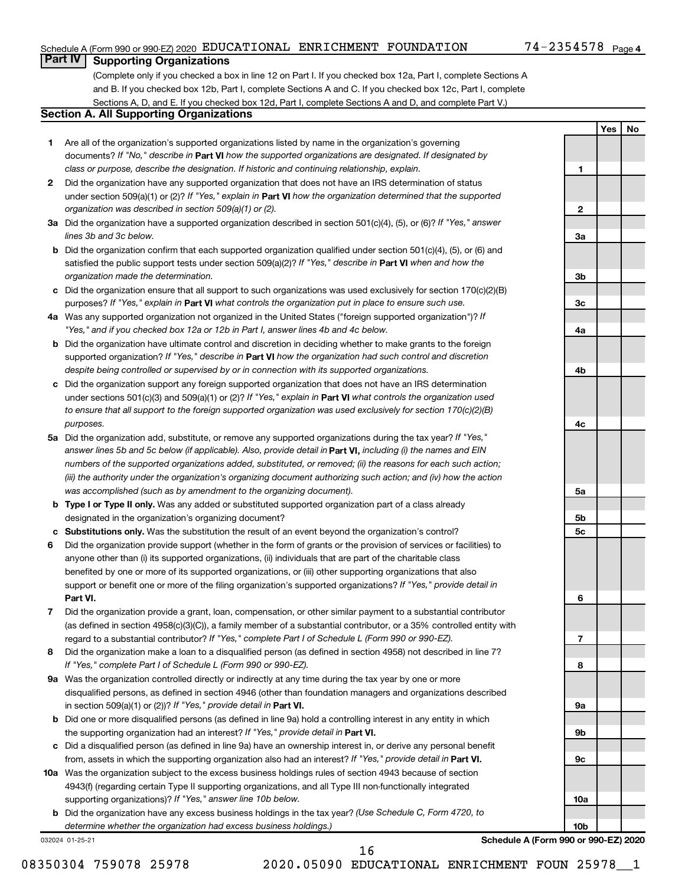#### Schedule A (Form 990 or 990-EZ) 2020 Page EDUCATIONAL ENRICHMENT FOUNDATION 74-2354578

**1**

**2**

**3a**

**3b**

**3c**

**4a**

**4b**

**4c**

**5a**

**5b 5c**

**6**

**7**

**8**

**9a**

**9b**

**9c**

**10a**

**10b**

**Yes No**

### **Part IV Supporting Organizations**

(Complete only if you checked a box in line 12 on Part I. If you checked box 12a, Part I, complete Sections A and B. If you checked box 12b, Part I, complete Sections A and C. If you checked box 12c, Part I, complete Sections A, D, and E. If you checked box 12d, Part I, complete Sections A and D, and complete Part V.)

#### **Section A. All Supporting Organizations**

- **1** Are all of the organization's supported organizations listed by name in the organization's governing documents? If "No," describe in Part VI how the supported organizations are designated. If designated by *class or purpose, describe the designation. If historic and continuing relationship, explain.*
- **2** Did the organization have any supported organization that does not have an IRS determination of status under section 509(a)(1) or (2)? If "Yes," explain in Part **VI** how the organization determined that the supported *organization was described in section 509(a)(1) or (2).*
- **3a** Did the organization have a supported organization described in section 501(c)(4), (5), or (6)? If "Yes," answer *lines 3b and 3c below.*
- **b** Did the organization confirm that each supported organization qualified under section 501(c)(4), (5), or (6) and satisfied the public support tests under section 509(a)(2)? If "Yes," describe in Part VI when and how the *organization made the determination.*
- **c** Did the organization ensure that all support to such organizations was used exclusively for section 170(c)(2)(B) purposes? If "Yes," explain in Part VI what controls the organization put in place to ensure such use.
- **4 a** *If* Was any supported organization not organized in the United States ("foreign supported organization")? *"Yes," and if you checked box 12a or 12b in Part I, answer lines 4b and 4c below.*
- **b** Did the organization have ultimate control and discretion in deciding whether to make grants to the foreign supported organization? If "Yes," describe in Part VI how the organization had such control and discretion *despite being controlled or supervised by or in connection with its supported organizations.*
- **c** Did the organization support any foreign supported organization that does not have an IRS determination under sections 501(c)(3) and 509(a)(1) or (2)? If "Yes," explain in Part VI what controls the organization used *to ensure that all support to the foreign supported organization was used exclusively for section 170(c)(2)(B) purposes.*
- **5a** Did the organization add, substitute, or remove any supported organizations during the tax year? If "Yes," answer lines 5b and 5c below (if applicable). Also, provide detail in **Part VI,** including (i) the names and EIN *numbers of the supported organizations added, substituted, or removed; (ii) the reasons for each such action; (iii) the authority under the organization's organizing document authorizing such action; and (iv) how the action was accomplished (such as by amendment to the organizing document).*
- **b** Type I or Type II only. Was any added or substituted supported organization part of a class already designated in the organization's organizing document?
- **c Substitutions only.**  Was the substitution the result of an event beyond the organization's control?
- **6** Did the organization provide support (whether in the form of grants or the provision of services or facilities) to **Part VI.** support or benefit one or more of the filing organization's supported organizations? If "Yes," provide detail in anyone other than (i) its supported organizations, (ii) individuals that are part of the charitable class benefited by one or more of its supported organizations, or (iii) other supporting organizations that also
- **7** Did the organization provide a grant, loan, compensation, or other similar payment to a substantial contributor regard to a substantial contributor? If "Yes," complete Part I of Schedule L (Form 990 or 990-EZ). (as defined in section 4958(c)(3)(C)), a family member of a substantial contributor, or a 35% controlled entity with
- **8** Did the organization make a loan to a disqualified person (as defined in section 4958) not described in line 7? *If "Yes," complete Part I of Schedule L (Form 990 or 990-EZ).*
- **9 a** Was the organization controlled directly or indirectly at any time during the tax year by one or more in section 509(a)(1) or (2))? If "Yes," provide detail in **Part VI.** disqualified persons, as defined in section 4946 (other than foundation managers and organizations described
- **b** Did one or more disqualified persons (as defined in line 9a) hold a controlling interest in any entity in which the supporting organization had an interest? If "Yes," provide detail in Part VI.
- **c** Did a disqualified person (as defined in line 9a) have an ownership interest in, or derive any personal benefit from, assets in which the supporting organization also had an interest? If "Yes," provide detail in Part VI.
- **10 a** Was the organization subject to the excess business holdings rules of section 4943 because of section supporting organizations)? If "Yes," answer line 10b below. 4943(f) (regarding certain Type II supporting organizations, and all Type III non-functionally integrated
	- **b** Did the organization have any excess business holdings in the tax year? (Use Schedule C, Form 4720, to *determine whether the organization had excess business holdings.)*

032024 01-25-21

**Schedule A (Form 990 or 990-EZ) 2020**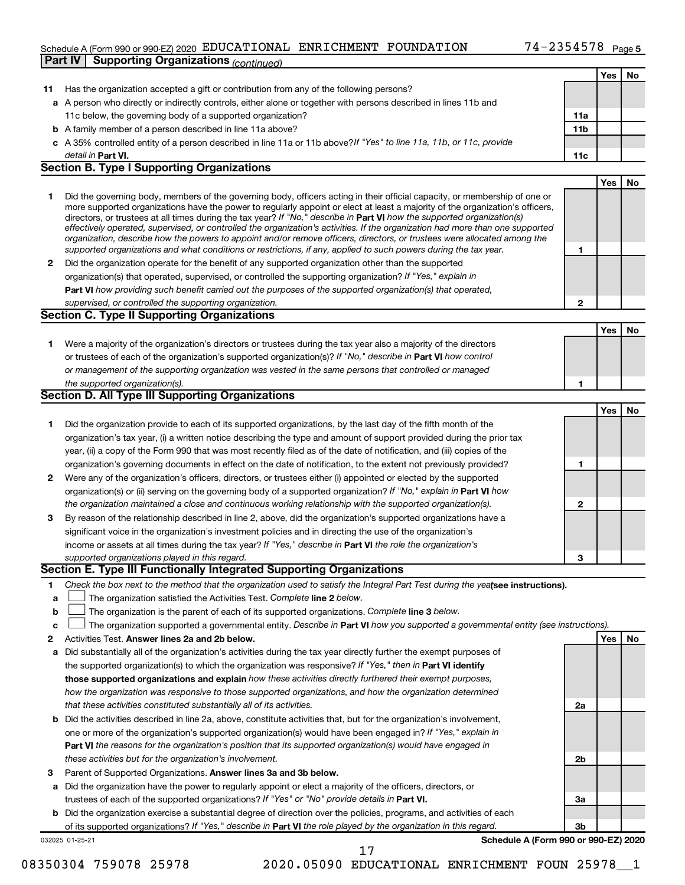#### Schedule A (Form 990 or 990-EZ) 2020 Page EDUCATIONAL ENRICHMENT FOUNDATION 74-2354578 **Part IV Supporting Organizations** *(continued)*

|              |                                                                                                                                   |              | Yes | No |
|--------------|-----------------------------------------------------------------------------------------------------------------------------------|--------------|-----|----|
| 11           | Has the organization accepted a gift or contribution from any of the following persons?                                           |              |     |    |
|              | a A person who directly or indirectly controls, either alone or together with persons described in lines 11b and                  |              |     |    |
|              | 11c below, the governing body of a supported organization?                                                                        | 11a          |     |    |
|              | <b>b</b> A family member of a person described in line 11a above?                                                                 | 11b          |     |    |
|              | c A 35% controlled entity of a person described in line 11a or 11b above? If "Yes" to line 11a, 11b, or 11c, provide              |              |     |    |
|              | detail in Part VI.                                                                                                                | 11c          |     |    |
|              | <b>Section B. Type I Supporting Organizations</b>                                                                                 |              |     |    |
|              |                                                                                                                                   |              | Yes | No |
| 1            | Did the governing body, members of the governing body, officers acting in their official capacity, or membership of one or        |              |     |    |
|              | more supported organizations have the power to regularly appoint or elect at least a majority of the organization's officers,     |              |     |    |
|              | directors, or trustees at all times during the tax year? If "No," describe in Part VI how the supported organization(s)           |              |     |    |
|              | effectively operated, supervised, or controlled the organization's activities. If the organization had more than one supported    |              |     |    |
|              | organization, describe how the powers to appoint and/or remove officers, directors, or trustees were allocated among the          |              |     |    |
|              | supported organizations and what conditions or restrictions, if any, applied to such powers during the tax year.                  | 1            |     |    |
| $\mathbf{2}$ | Did the organization operate for the benefit of any supported organization other than the supported                               |              |     |    |
|              | organization(s) that operated, supervised, or controlled the supporting organization? If "Yes," explain in                        |              |     |    |
|              | Part VI how providing such benefit carried out the purposes of the supported organization(s) that operated,                       |              |     |    |
|              | supervised, or controlled the supporting organization.                                                                            | $\mathbf{2}$ |     |    |
|              | <b>Section C. Type II Supporting Organizations</b>                                                                                |              |     |    |
|              |                                                                                                                                   |              | Yes | No |
| 1            | Were a majority of the organization's directors or trustees during the tax year also a majority of the directors                  |              |     |    |
|              | or trustees of each of the organization's supported organization(s)? If "No," describe in Part VI how control                     |              |     |    |
|              | or management of the supporting organization was vested in the same persons that controlled or managed                            |              |     |    |
|              | the supported organization(s).                                                                                                    | 1            |     |    |
|              | Section D. All Type III Supporting Organizations                                                                                  |              |     |    |
|              |                                                                                                                                   |              | Yes | No |
| 1            | Did the organization provide to each of its supported organizations, by the last day of the fifth month of the                    |              |     |    |
|              | organization's tax year, (i) a written notice describing the type and amount of support provided during the prior tax             |              |     |    |
|              | year, (ii) a copy of the Form 990 that was most recently filed as of the date of notification, and (iii) copies of the            |              |     |    |
|              | organization's governing documents in effect on the date of notification, to the extent not previously provided?                  | 1            |     |    |
| $\mathbf{2}$ | Were any of the organization's officers, directors, or trustees either (i) appointed or elected by the supported                  |              |     |    |
|              | organization(s) or (ii) serving on the governing body of a supported organization? If "No," explain in Part VI how                |              |     |    |
|              | the organization maintained a close and continuous working relationship with the supported organization(s).                       | $\mathbf{2}$ |     |    |
|              | By reason of the relationship described in line 2, above, did the organization's supported organizations have a                   |              |     |    |
| 3            |                                                                                                                                   |              |     |    |
|              | significant voice in the organization's investment policies and in directing the use of the organization's                        |              |     |    |
|              | income or assets at all times during the tax year? If "Yes," describe in Part VI the role the organization's                      |              |     |    |
|              | supported organizations played in this regard.<br>Section E. Type III Functionally Integrated Supporting Organizations            | 3            |     |    |
|              |                                                                                                                                   |              |     |    |
| 1            | Check the box next to the method that the organization used to satisfy the Integral Part Test during the yealsee instructions).   |              |     |    |
| a            | The organization satisfied the Activities Test. Complete line 2 below.                                                            |              |     |    |
| b            | The organization is the parent of each of its supported organizations. Complete line 3 below.                                     |              |     |    |
| с            | The organization supported a governmental entity. Describe in Part VI how you supported a governmental entity (see instructions). |              |     |    |
| 2            | Activities Test. Answer lines 2a and 2b below.                                                                                    |              | Yes | No |
| а            | Did substantially all of the organization's activities during the tax year directly further the exempt purposes of                |              |     |    |
|              | the supported organization(s) to which the organization was responsive? If "Yes," then in Part VI identify                        |              |     |    |
|              | those supported organizations and explain how these activities directly furthered their exempt purposes,                          |              |     |    |
|              | how the organization was responsive to those supported organizations, and how the organization determined                         |              |     |    |
|              | that these activities constituted substantially all of its activities.                                                            | 2a           |     |    |
| b            | Did the activities described in line 2a, above, constitute activities that, but for the organization's involvement,               |              |     |    |
|              | one or more of the organization's supported organization(s) would have been engaged in? If "Yes," explain in                      |              |     |    |
|              | Part VI the reasons for the organization's position that its supported organization(s) would have engaged in                      |              |     |    |
|              | these activities but for the organization's involvement.                                                                          | 2b           |     |    |
| з            | Parent of Supported Organizations. Answer lines 3a and 3b below.                                                                  |              |     |    |
| а            | Did the organization have the power to regularly appoint or elect a majority of the officers, directors, or                       |              |     |    |
|              | trustees of each of the supported organizations? If "Yes" or "No" provide details in Part VI.                                     | За           |     |    |
|              | b Did the organization exercise a substantial degree of direction over the policies, programs, and activities of each             |              |     |    |
|              | of its supported organizations? If "Yes," describe in Part VI the role played by the organization in this regard.                 | 3b           |     |    |
|              | Schedule A (Form 990 or 990-EZ) 2020<br>032025 01-25-21                                                                           |              |     |    |
|              | 17                                                                                                                                |              |     |    |

08350304 759078 25978 2020.05090 EDUCATIONAL ENRICHMENT FOUN 25978 1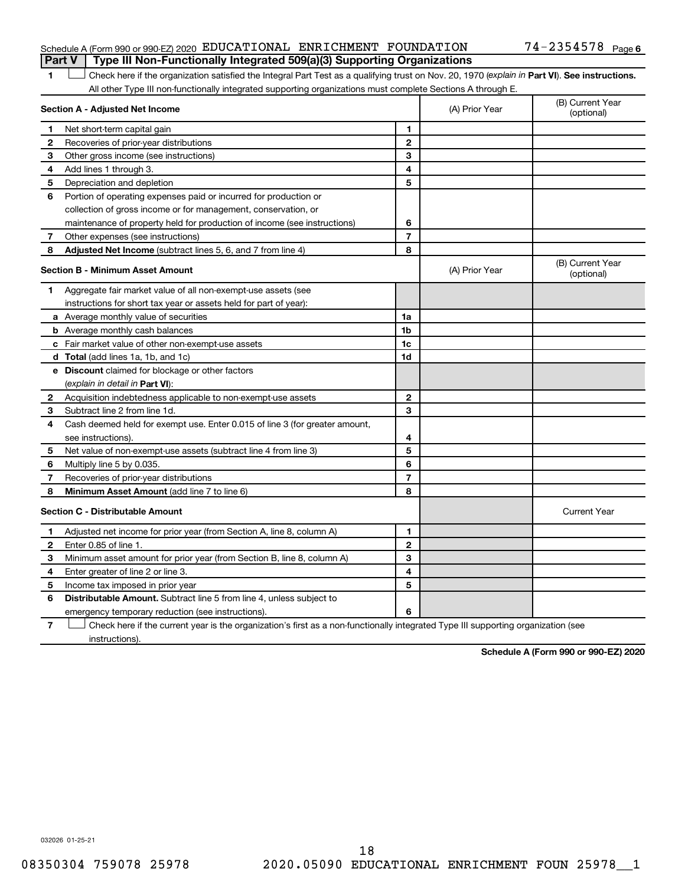#### Schedule A (Form 990 or 990-EZ) 2020 Page EDUCATIONAL ENRICHMENT FOUNDATION 74-2354578 **Part V Type III Non-Functionally Integrated 509(a)(3) Supporting Organizations**

1 **Letter See instructions.** Check here if the organization satisfied the Integral Part Test as a qualifying trust on Nov. 20, 1970 (*explain in* Part **VI**). See instructions. All other Type III non-functionally integrated supporting organizations must complete Sections A through E.

| Section A - Adjusted Net Income |                                                                             |                | (A) Prior Year | (B) Current Year<br>(optional) |
|---------------------------------|-----------------------------------------------------------------------------|----------------|----------------|--------------------------------|
| 1                               | Net short-term capital gain                                                 | 1              |                |                                |
| $\mathbf{2}$                    | Recoveries of prior-year distributions                                      | $\mathbf{2}$   |                |                                |
| З                               | Other gross income (see instructions)                                       | З              |                |                                |
| 4                               | Add lines 1 through 3.                                                      | 4              |                |                                |
| 5                               | Depreciation and depletion                                                  | 5              |                |                                |
| 6                               | Portion of operating expenses paid or incurred for production or            |                |                |                                |
|                                 | collection of gross income or for management, conservation, or              |                |                |                                |
|                                 | maintenance of property held for production of income (see instructions)    | 6              |                |                                |
| 7                               | Other expenses (see instructions)                                           | $\overline{7}$ |                |                                |
| 8                               | Adjusted Net Income (subtract lines 5, 6, and 7 from line 4)                | 8              |                |                                |
|                                 | <b>Section B - Minimum Asset Amount</b>                                     |                | (A) Prior Year | (B) Current Year<br>(optional) |
| 1.                              | Aggregate fair market value of all non-exempt-use assets (see               |                |                |                                |
|                                 | instructions for short tax year or assets held for part of year):           |                |                |                                |
|                                 | a Average monthly value of securities                                       | 1a             |                |                                |
|                                 | <b>b</b> Average monthly cash balances                                      | 1b             |                |                                |
|                                 | c Fair market value of other non-exempt-use assets                          | 1c             |                |                                |
|                                 | d Total (add lines 1a, 1b, and 1c)                                          | 1d             |                |                                |
|                                 | e Discount claimed for blockage or other factors                            |                |                |                                |
|                                 | (explain in detail in <b>Part VI</b> ):                                     |                |                |                                |
| $\mathbf{2}$                    | Acquisition indebtedness applicable to non-exempt-use assets                | $\mathbf{2}$   |                |                                |
| 3                               | Subtract line 2 from line 1d.                                               | 3              |                |                                |
| 4                               | Cash deemed held for exempt use. Enter 0.015 of line 3 (for greater amount, |                |                |                                |
|                                 | see instructions).                                                          | 4              |                |                                |
| 5                               | Net value of non-exempt-use assets (subtract line 4 from line 3)            | 5              |                |                                |
| 6                               | Multiply line 5 by 0.035.                                                   | 6              |                |                                |
| 7                               | Recoveries of prior-year distributions                                      | $\overline{7}$ |                |                                |
| 8                               | <b>Minimum Asset Amount (add line 7 to line 6)</b>                          | 8              |                |                                |
|                                 | <b>Section C - Distributable Amount</b>                                     |                |                | <b>Current Year</b>            |
| 1.                              | Adjusted net income for prior year (from Section A, line 8, column A)       | 1              |                |                                |
| 2                               | Enter 0.85 of line 1.                                                       | $\overline{2}$ |                |                                |
| 3                               | Minimum asset amount for prior year (from Section B, line 8, column A)      | 3              |                |                                |
| 4                               | Enter greater of line 2 or line 3.                                          | 4              |                |                                |
| 5                               | Income tax imposed in prior year                                            | 5              |                |                                |
| 6                               | Distributable Amount. Subtract line 5 from line 4, unless subject to        |                |                |                                |
|                                 | emergency temporary reduction (see instructions).                           | 6              |                |                                |
|                                 |                                                                             |                |                |                                |

**7** Check here if the current year is the organization's first as a non-functionally integrated Type III supporting organization (see † instructions).

**Schedule A (Form 990 or 990-EZ) 2020**

032026 01-25-21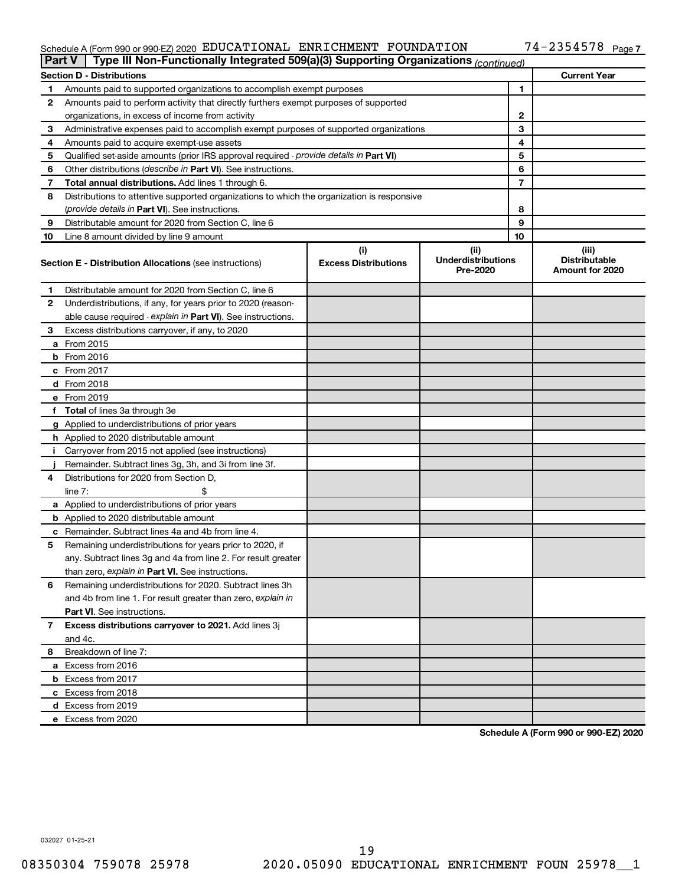#### Schedule A (Form 990 or 990-EZ) 2020 EDUCATIONAL ENRICHMENT FOUNDATION /4-2354578 Page EDUCATIONAL ENRICHMENT FOUNDATION 74-2354578

|    | Type III Non-Functionally Integrated 509(a)(3) Supporting Organizations (continued)<br><b>Part V</b> |                             |                                       |    |                                         |  |
|----|------------------------------------------------------------------------------------------------------|-----------------------------|---------------------------------------|----|-----------------------------------------|--|
|    | <b>Section D - Distributions</b>                                                                     |                             |                                       |    | <b>Current Year</b>                     |  |
| 1  | Amounts paid to supported organizations to accomplish exempt purposes                                |                             |                                       |    |                                         |  |
| 2  | Amounts paid to perform activity that directly furthers exempt purposes of supported                 |                             |                                       |    |                                         |  |
|    | organizations, in excess of income from activity                                                     |                             |                                       |    |                                         |  |
| 3  | Administrative expenses paid to accomplish exempt purposes of supported organizations                |                             |                                       | 3  |                                         |  |
| 4  | Amounts paid to acquire exempt-use assets                                                            |                             |                                       | 4  |                                         |  |
| 5  | Qualified set-aside amounts (prior IRS approval required - provide details in Part VI)               |                             |                                       | 5  |                                         |  |
| 6  | Other distributions ( <i>describe in Part VI</i> ). See instructions.                                |                             |                                       | 6  |                                         |  |
| 7  | Total annual distributions. Add lines 1 through 6.                                                   |                             |                                       | 7  |                                         |  |
| 8  | Distributions to attentive supported organizations to which the organization is responsive           |                             |                                       |    |                                         |  |
|    | (provide details in Part VI). See instructions.                                                      |                             |                                       | 8  |                                         |  |
| 9  | Distributable amount for 2020 from Section C, line 6                                                 |                             |                                       | 9  |                                         |  |
| 10 | Line 8 amount divided by line 9 amount                                                               |                             |                                       | 10 |                                         |  |
|    |                                                                                                      | (i)                         | (ii)                                  |    | (iii)                                   |  |
|    | <b>Section E - Distribution Allocations (see instructions)</b>                                       | <b>Excess Distributions</b> | <b>Underdistributions</b><br>Pre-2020 |    | <b>Distributable</b><br>Amount for 2020 |  |
| 1  | Distributable amount for 2020 from Section C, line 6                                                 |                             |                                       |    |                                         |  |
| 2  | Underdistributions, if any, for years prior to 2020 (reason-                                         |                             |                                       |    |                                         |  |
|    | able cause required - explain in Part VI). See instructions.                                         |                             |                                       |    |                                         |  |
| 3  | Excess distributions carryover, if any, to 2020                                                      |                             |                                       |    |                                         |  |
|    | a From 2015                                                                                          |                             |                                       |    |                                         |  |
|    | <b>b</b> From 2016                                                                                   |                             |                                       |    |                                         |  |
|    | $c$ From 2017                                                                                        |                             |                                       |    |                                         |  |
|    | d From 2018                                                                                          |                             |                                       |    |                                         |  |
|    | e From 2019                                                                                          |                             |                                       |    |                                         |  |
|    | f Total of lines 3a through 3e                                                                       |                             |                                       |    |                                         |  |
|    | g Applied to underdistributions of prior years                                                       |                             |                                       |    |                                         |  |
|    | <b>h</b> Applied to 2020 distributable amount                                                        |                             |                                       |    |                                         |  |
| Ť. | Carryover from 2015 not applied (see instructions)                                                   |                             |                                       |    |                                         |  |
|    | Remainder. Subtract lines 3g, 3h, and 3i from line 3f.                                               |                             |                                       |    |                                         |  |
| 4  | Distributions for 2020 from Section D,                                                               |                             |                                       |    |                                         |  |
|    | line $7:$                                                                                            |                             |                                       |    |                                         |  |
|    | a Applied to underdistributions of prior years                                                       |                             |                                       |    |                                         |  |
|    | <b>b</b> Applied to 2020 distributable amount                                                        |                             |                                       |    |                                         |  |
|    | <b>c</b> Remainder. Subtract lines 4a and 4b from line 4.                                            |                             |                                       |    |                                         |  |
| 5  | Remaining underdistributions for years prior to 2020, if                                             |                             |                                       |    |                                         |  |
|    | any. Subtract lines 3g and 4a from line 2. For result greater                                        |                             |                                       |    |                                         |  |
|    | than zero, explain in Part VI. See instructions.                                                     |                             |                                       |    |                                         |  |
| 6  | Remaining underdistributions for 2020. Subtract lines 3h                                             |                             |                                       |    |                                         |  |
|    | and 4b from line 1. For result greater than zero, explain in                                         |                             |                                       |    |                                         |  |
|    | <b>Part VI.</b> See instructions.                                                                    |                             |                                       |    |                                         |  |
| 7  | Excess distributions carryover to 2021. Add lines 3j                                                 |                             |                                       |    |                                         |  |
|    | and 4c.                                                                                              |                             |                                       |    |                                         |  |
| 8  | Breakdown of line 7:                                                                                 |                             |                                       |    |                                         |  |
|    | a Excess from 2016                                                                                   |                             |                                       |    |                                         |  |
|    | <b>b</b> Excess from 2017                                                                            |                             |                                       |    |                                         |  |
|    | c Excess from 2018                                                                                   |                             |                                       |    |                                         |  |
|    | d Excess from 2019                                                                                   |                             |                                       |    |                                         |  |
|    | e Excess from 2020                                                                                   |                             |                                       |    |                                         |  |
|    |                                                                                                      |                             |                                       |    |                                         |  |

**Schedule A (Form 990 or 990-EZ) 2020**

032027 01-25-21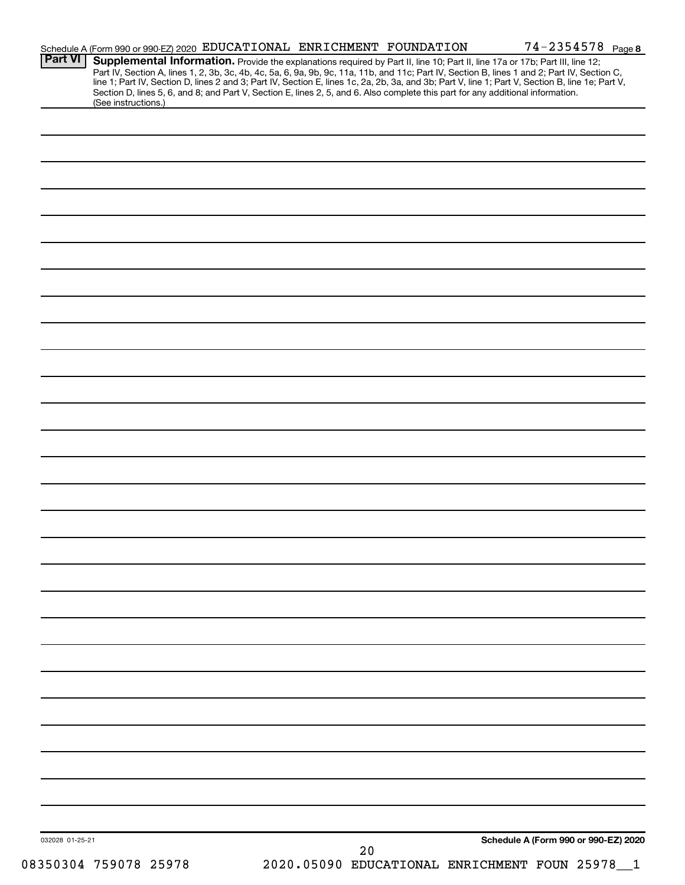| <b>Part VI</b>  | Schedule A (Form 990 or 990-EZ) 2020 EDUCATIONAL ENRICHMENT FOUNDATION                                                                                                                                                                                                        |  |    |  | $74 - 2354578$ Page 8                        |  |
|-----------------|-------------------------------------------------------------------------------------------------------------------------------------------------------------------------------------------------------------------------------------------------------------------------------|--|----|--|----------------------------------------------|--|
|                 | Supplemental Information. Provide the explanations required by Part II, line 10; Part II, line 17a or 17b; Part III, line 12;<br>Part IV, Section A, lines 1, 2, 3b, 3c, 4b, 4c, 5a, 6, 9a, 9b, 9c, 11a, 11b, and 11c; Part IV, Section B, lines 1 and 2; Part IV, Section C, |  |    |  |                                              |  |
|                 | line 1; Part IV, Section D, lines 2 and 3; Part IV, Section E, lines 1c, 2a, 2b, 3a, and 3b; Part V, line 1; Part V, Section B, line 1e; Part V,                                                                                                                              |  |    |  |                                              |  |
|                 | Section D, lines 5, 6, and 8; and Part V, Section E, lines 2, 5, and 6. Also complete this part for any additional information.                                                                                                                                               |  |    |  |                                              |  |
|                 | (See instructions.)                                                                                                                                                                                                                                                           |  |    |  |                                              |  |
|                 |                                                                                                                                                                                                                                                                               |  |    |  |                                              |  |
|                 |                                                                                                                                                                                                                                                                               |  |    |  |                                              |  |
|                 |                                                                                                                                                                                                                                                                               |  |    |  |                                              |  |
|                 |                                                                                                                                                                                                                                                                               |  |    |  |                                              |  |
|                 |                                                                                                                                                                                                                                                                               |  |    |  |                                              |  |
|                 |                                                                                                                                                                                                                                                                               |  |    |  |                                              |  |
|                 |                                                                                                                                                                                                                                                                               |  |    |  |                                              |  |
|                 |                                                                                                                                                                                                                                                                               |  |    |  |                                              |  |
|                 |                                                                                                                                                                                                                                                                               |  |    |  |                                              |  |
|                 |                                                                                                                                                                                                                                                                               |  |    |  |                                              |  |
|                 |                                                                                                                                                                                                                                                                               |  |    |  |                                              |  |
|                 |                                                                                                                                                                                                                                                                               |  |    |  |                                              |  |
|                 |                                                                                                                                                                                                                                                                               |  |    |  |                                              |  |
|                 |                                                                                                                                                                                                                                                                               |  |    |  |                                              |  |
|                 |                                                                                                                                                                                                                                                                               |  |    |  |                                              |  |
|                 |                                                                                                                                                                                                                                                                               |  |    |  |                                              |  |
|                 |                                                                                                                                                                                                                                                                               |  |    |  |                                              |  |
|                 |                                                                                                                                                                                                                                                                               |  |    |  |                                              |  |
|                 |                                                                                                                                                                                                                                                                               |  |    |  |                                              |  |
|                 |                                                                                                                                                                                                                                                                               |  |    |  |                                              |  |
|                 |                                                                                                                                                                                                                                                                               |  |    |  |                                              |  |
|                 |                                                                                                                                                                                                                                                                               |  |    |  |                                              |  |
|                 |                                                                                                                                                                                                                                                                               |  |    |  |                                              |  |
|                 |                                                                                                                                                                                                                                                                               |  |    |  |                                              |  |
|                 |                                                                                                                                                                                                                                                                               |  |    |  |                                              |  |
|                 |                                                                                                                                                                                                                                                                               |  |    |  |                                              |  |
|                 |                                                                                                                                                                                                                                                                               |  |    |  |                                              |  |
|                 |                                                                                                                                                                                                                                                                               |  |    |  |                                              |  |
|                 |                                                                                                                                                                                                                                                                               |  |    |  |                                              |  |
|                 |                                                                                                                                                                                                                                                                               |  |    |  |                                              |  |
|                 |                                                                                                                                                                                                                                                                               |  |    |  |                                              |  |
|                 |                                                                                                                                                                                                                                                                               |  |    |  |                                              |  |
|                 |                                                                                                                                                                                                                                                                               |  |    |  |                                              |  |
|                 |                                                                                                                                                                                                                                                                               |  |    |  |                                              |  |
|                 |                                                                                                                                                                                                                                                                               |  |    |  |                                              |  |
|                 |                                                                                                                                                                                                                                                                               |  |    |  |                                              |  |
|                 |                                                                                                                                                                                                                                                                               |  |    |  |                                              |  |
|                 |                                                                                                                                                                                                                                                                               |  |    |  |                                              |  |
|                 |                                                                                                                                                                                                                                                                               |  |    |  |                                              |  |
|                 |                                                                                                                                                                                                                                                                               |  |    |  |                                              |  |
|                 |                                                                                                                                                                                                                                                                               |  |    |  |                                              |  |
|                 |                                                                                                                                                                                                                                                                               |  |    |  |                                              |  |
|                 |                                                                                                                                                                                                                                                                               |  |    |  |                                              |  |
|                 |                                                                                                                                                                                                                                                                               |  |    |  |                                              |  |
|                 |                                                                                                                                                                                                                                                                               |  |    |  |                                              |  |
|                 |                                                                                                                                                                                                                                                                               |  |    |  |                                              |  |
|                 |                                                                                                                                                                                                                                                                               |  |    |  |                                              |  |
|                 |                                                                                                                                                                                                                                                                               |  |    |  |                                              |  |
|                 |                                                                                                                                                                                                                                                                               |  |    |  |                                              |  |
|                 |                                                                                                                                                                                                                                                                               |  |    |  |                                              |  |
|                 |                                                                                                                                                                                                                                                                               |  |    |  |                                              |  |
|                 |                                                                                                                                                                                                                                                                               |  |    |  |                                              |  |
|                 |                                                                                                                                                                                                                                                                               |  |    |  |                                              |  |
|                 |                                                                                                                                                                                                                                                                               |  |    |  |                                              |  |
| 032028 01-25-21 |                                                                                                                                                                                                                                                                               |  | 20 |  | Schedule A (Form 990 or 990-EZ) 2020         |  |
|                 | 08350304 759078 25978                                                                                                                                                                                                                                                         |  |    |  | 2020.05090 EDUCATIONAL ENRICHMENT FOUN 25978 |  |
|                 |                                                                                                                                                                                                                                                                               |  |    |  |                                              |  |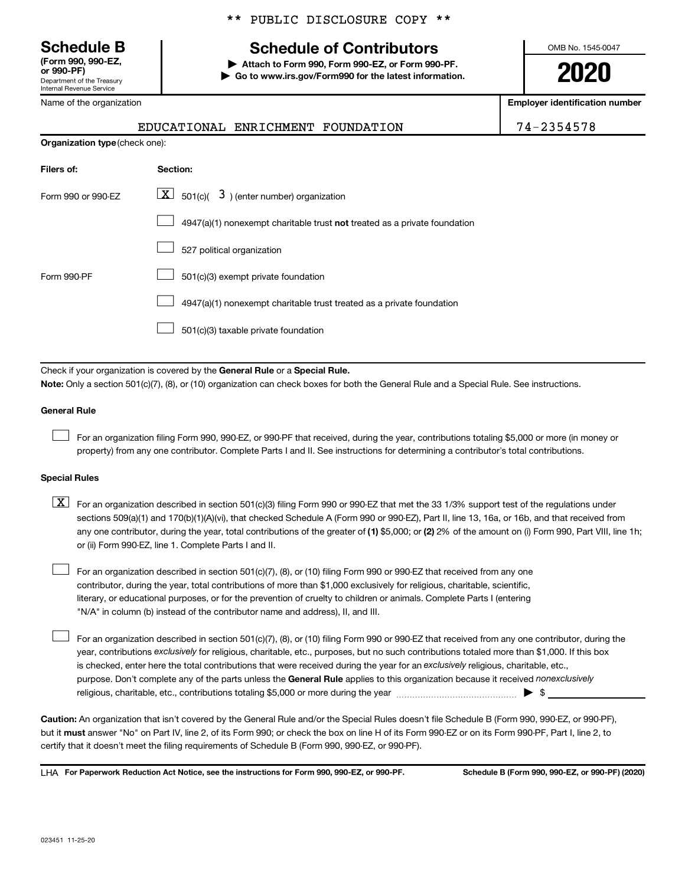**(Form 990, 990-EZ,**

Department of the Treasury Internal Revenue Service

Name of the organization

#### \*\* PUBLIC DISCLOSURE COPY \*\*

# **Schedule B Schedule of Contributors**

**or 990-PF) | Attach to Form 990, Form 990-EZ, or Form 990-PF. | Go to www.irs.gov/Form990 for the latest information.** OMB No. 1545-0047

**2020**

**Employer identification number**

|                     | EDUCATIONAL ENRICHMENT<br>FOUNDATION                                                                                                      | 74-2354578 |  |  |  |  |  |
|---------------------|-------------------------------------------------------------------------------------------------------------------------------------------|------------|--|--|--|--|--|
|                     | Organization type (check one):                                                                                                            |            |  |  |  |  |  |
| Filers of:          | Section:                                                                                                                                  |            |  |  |  |  |  |
| Form 990 or 990-EZ  |                                                                                                                                           |            |  |  |  |  |  |
|                     | 4947(a)(1) nonexempt charitable trust not treated as a private foundation                                                                 |            |  |  |  |  |  |
|                     | 527 political organization                                                                                                                |            |  |  |  |  |  |
| Form 990-PF         | 501(c)(3) exempt private foundation                                                                                                       |            |  |  |  |  |  |
|                     | 4947(a)(1) nonexempt charitable trust treated as a private foundation                                                                     |            |  |  |  |  |  |
|                     | 501(c)(3) taxable private foundation                                                                                                      |            |  |  |  |  |  |
|                     |                                                                                                                                           |            |  |  |  |  |  |
|                     | Check if your organization is covered by the General Rule or a Special Rule.                                                              |            |  |  |  |  |  |
|                     | Note: Only a section 501(c)(7), (8), or (10) organization can check boxes for both the General Rule and a Special Rule. See instructions. |            |  |  |  |  |  |
| <b>General Rule</b> |                                                                                                                                           |            |  |  |  |  |  |

For an organization filing Form 990, 990-EZ, or 990-PF that received, during the year, contributions totaling \$5,000 or more (in money or property) from any one contributor. Complete Parts I and II. See instructions for determining a contributor's total contributions.

#### **Special Rules**

 $\Box$ 

 $\Box$ 

any one contributor, during the year, total contributions of the greater of (1) \$5,000; or (2) 2% of the amount on (i) Form 990, Part VIII, line 1h;  $\boxed{\text{X}}$  For an organization described in section 501(c)(3) filing Form 990 or 990-EZ that met the 33 1/3% support test of the regulations under sections 509(a)(1) and 170(b)(1)(A)(vi), that checked Schedule A (Form 990 or 990-EZ), Part II, line 13, 16a, or 16b, and that received from or (ii) Form 990-EZ, line 1. Complete Parts I and II.

For an organization described in section 501(c)(7), (8), or (10) filing Form 990 or 990-EZ that received from any one contributor, during the year, total contributions of more than \$1,000 exclusively for religious, charitable, scientific, literary, or educational purposes, or for the prevention of cruelty to children or animals. Complete Parts I (entering "N/A" in column (b) instead of the contributor name and address), II, and III.  $\Box$ 

purpose. Don't complete any of the parts unless the General Rule applies to this organization because it received nonexclusively year, contributions exclusively for religious, charitable, etc., purposes, but no such contributions totaled more than \$1,000. If this box is checked, enter here the total contributions that were received during the year for an exclusively religious, charitable, etc., For an organization described in section 501(c)(7), (8), or (10) filing Form 990 or 990-EZ that received from any one contributor, during the religious, charitable, etc., contributions totaling \$5,000 or more during the year  $~\ldots\ldots\ldots\ldots\ldots\ldots\ldots\ldots\blacktriangleright~$ \$

**Caution:**  An organization that isn't covered by the General Rule and/or the Special Rules doesn't file Schedule B (Form 990, 990-EZ, or 990-PF),  **must** but it answer "No" on Part IV, line 2, of its Form 990; or check the box on line H of its Form 990-EZ or on its Form 990-PF, Part I, line 2, to certify that it doesn't meet the filing requirements of Schedule B (Form 990, 990-EZ, or 990-PF).

**For Paperwork Reduction Act Notice, see the instructions for Form 990, 990-EZ, or 990-PF. Schedule B (Form 990, 990-EZ, or 990-PF) (2020)** LHA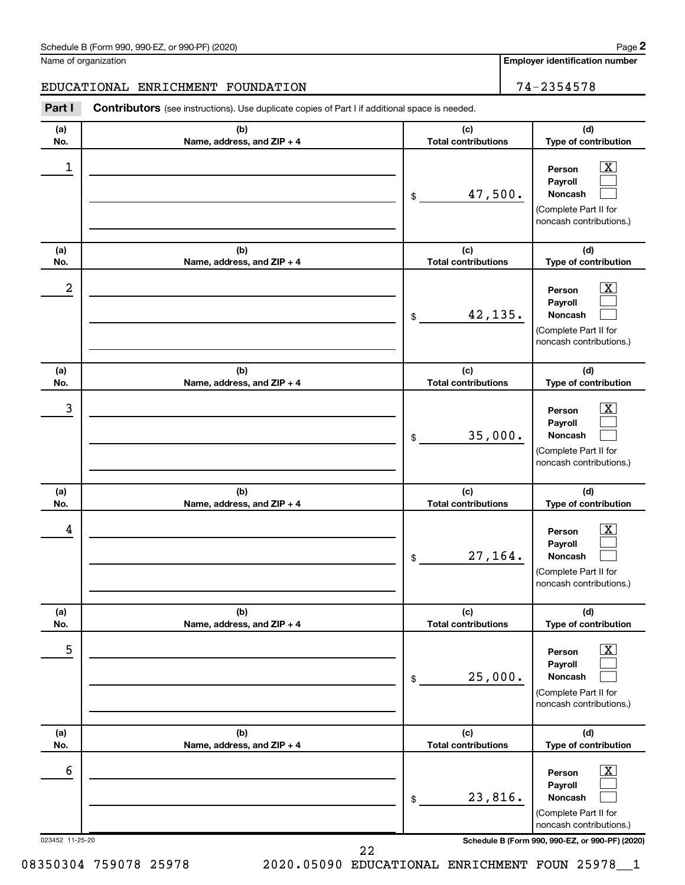#### Schedule B (Form 990, 990-EZ, or 990-PF) (2020)

Name of organization

#### EDUCATIONAL ENRICHMENT FOUNDATION 74-2354578

**Part I** Contributors (see instructions). Use duplicate copies of Part I if additional space is needed.

| (a)<br>No.      | (b)<br>Name, address, and ZIP + 4 | (c)<br><b>Total contributions</b> | (d)<br>Type of contribution                                                                                                      |
|-----------------|-----------------------------------|-----------------------------------|----------------------------------------------------------------------------------------------------------------------------------|
| 1               |                                   | 47,500.<br>\$                     | x<br>Person<br>Payroll<br><b>Noncash</b><br>(Complete Part II for<br>noncash contributions.)                                     |
| (a)<br>No.      | (b)<br>Name, address, and ZIP + 4 | (c)<br><b>Total contributions</b> | (d)<br>Type of contribution                                                                                                      |
| 2               |                                   | 42,135.<br>\$                     | x<br>Person<br>Payroll<br><b>Noncash</b><br>(Complete Part II for<br>noncash contributions.)                                     |
| (a)<br>No.      | (b)<br>Name, address, and ZIP + 4 | (c)<br><b>Total contributions</b> | (d)<br>Type of contribution                                                                                                      |
| 3               |                                   | 35,000.<br>\$                     | x<br>Person<br>Payroll<br><b>Noncash</b><br>(Complete Part II for<br>noncash contributions.)                                     |
| (a)<br>No.      | (b)<br>Name, address, and ZIP + 4 | (c)<br><b>Total contributions</b> | (d)<br>Type of contribution                                                                                                      |
| 4               |                                   | 27,164.<br>\$                     | x<br>Person<br>Payroll<br><b>Noncash</b><br>(Complete Part II for<br>noncash contributions.)                                     |
| (a)<br>No.      | (b)<br>Name, address, and ZIP + 4 | (c)<br><b>Total contributions</b> | (d)<br>Type of contribution                                                                                                      |
| 5               |                                   | 25,000.<br>\$                     | $\boxed{\textbf{X}}$<br>Person<br>Payroll<br>Noncash<br>(Complete Part II for<br>noncash contributions.)                         |
| (a)             | (b)                               | (c)<br><b>Total contributions</b> | (d)                                                                                                                              |
| No.<br>6        | Name, address, and ZIP + 4        | 23,816.<br>\$                     | Type of contribution<br>$\boxed{\textbf{X}}$<br>Person<br>Payroll<br>Noncash<br>(Complete Part II for<br>noncash contributions.) |
| 023452 11-25-20 |                                   |                                   | Schedule B (Form 990, 990-EZ, or 990-PF) (2020)                                                                                  |

08350304 759078 25978 2020.05090 EDUCATIONAL ENRICHMENT FOUN 25978 1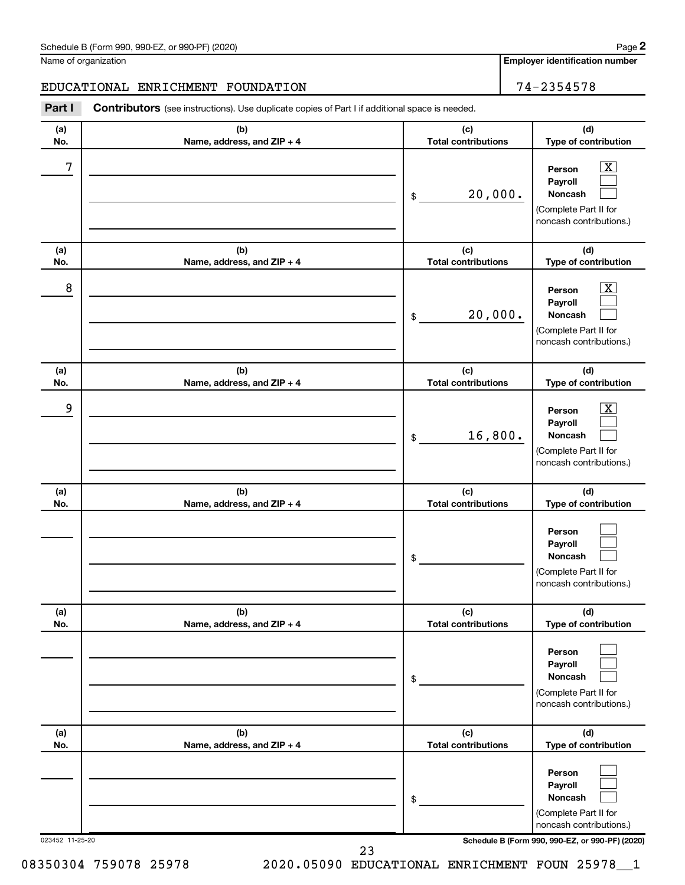#### Schedule B (Form 990, 990-EZ, or 990-PF) (2020)

Name of organization

#### EDUCATIONAL ENRICHMENT FOUNDATION 74-2354578

**Part I** Contributors (see instructions). Use duplicate copies of Part I if additional space is needed.

| (c)<br><b>Total contributions</b><br>20,000.<br>\$<br>(c)<br><b>Total contributions</b><br>20,000.<br>\$<br>(c) | (d)<br>Type of contribution<br>x<br>Person<br>Payroll<br><b>Noncash</b><br>(Complete Part II for<br>noncash contributions.)<br>(d)<br>Type of contribution<br>х<br>Person<br>Payroll<br><b>Noncash</b><br>(Complete Part II for<br>noncash contributions.) |
|-----------------------------------------------------------------------------------------------------------------|------------------------------------------------------------------------------------------------------------------------------------------------------------------------------------------------------------------------------------------------------------|
|                                                                                                                 |                                                                                                                                                                                                                                                            |
|                                                                                                                 |                                                                                                                                                                                                                                                            |
|                                                                                                                 |                                                                                                                                                                                                                                                            |
|                                                                                                                 |                                                                                                                                                                                                                                                            |
| <b>Total contributions</b>                                                                                      | (d)<br>Type of contribution                                                                                                                                                                                                                                |
| 16,800.<br>\$                                                                                                   | х<br>Person<br>Payroll<br><b>Noncash</b><br>(Complete Part II for<br>noncash contributions.)                                                                                                                                                               |
| (c)<br><b>Total contributions</b>                                                                               | (d)<br>Type of contribution                                                                                                                                                                                                                                |
| \$                                                                                                              | Person<br>Payroll<br><b>Noncash</b><br>(Complete Part II for<br>noncash contributions.)                                                                                                                                                                    |
| (c)                                                                                                             | (d)<br>Type of contribution                                                                                                                                                                                                                                |
| \$                                                                                                              | Person<br>Payroll<br>Noncash<br>(Complete Part II for<br>noncash contributions.)                                                                                                                                                                           |
|                                                                                                                 | (d)<br>Type of contribution                                                                                                                                                                                                                                |
| (c)                                                                                                             | Person                                                                                                                                                                                                                                                     |
|                                                                                                                 | <b>Total contributions</b><br><b>Total contributions</b>                                                                                                                                                                                                   |

08350304 759078 25978 2020.05090 EDUCATIONAL ENRICHMENT FOUN 25978 1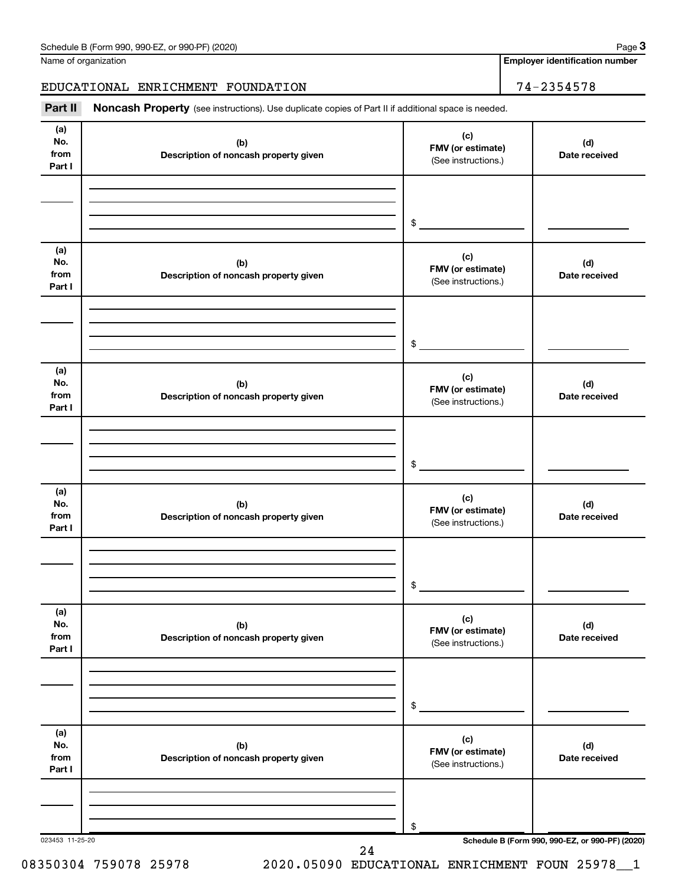Name of organization

**Employer identification number**

EDUCATIONAL ENRICHMENT FOUNDATION 74-2354578

Part II Noncash Property (see instructions). Use duplicate copies of Part II if additional space is needed.

| (b)<br>Description of noncash property given | (c)<br>FMV (or estimate)<br>(See instructions.) | (d)<br>Date received |
|----------------------------------------------|-------------------------------------------------|----------------------|
|                                              | \$                                              |                      |
| (b)<br>Description of noncash property given | (c)<br>FMV (or estimate)<br>(See instructions.) | (d)<br>Date received |
|                                              | \$                                              |                      |
| (b)<br>Description of noncash property given | (c)<br>FMV (or estimate)<br>(See instructions.) | (d)<br>Date received |
|                                              | \$                                              |                      |
| (b)<br>Description of noncash property given | (c)<br>FMV (or estimate)<br>(See instructions.) | (d)<br>Date received |
|                                              | \$                                              |                      |
| (b)<br>Description of noncash property given | (c)<br>FMV (or estimate)<br>(See instructions.) | (d)<br>Date received |
|                                              | \$                                              |                      |
| (b)<br>Description of noncash property given | (c)<br>FMV (or estimate)<br>(See instructions.) | (d)<br>Date received |
|                                              | \$                                              |                      |
|                                              |                                                 |                      |

08350304 759078 25978 2020.05090 EDUCATIONAL ENRICHMENT FOUN 25978 1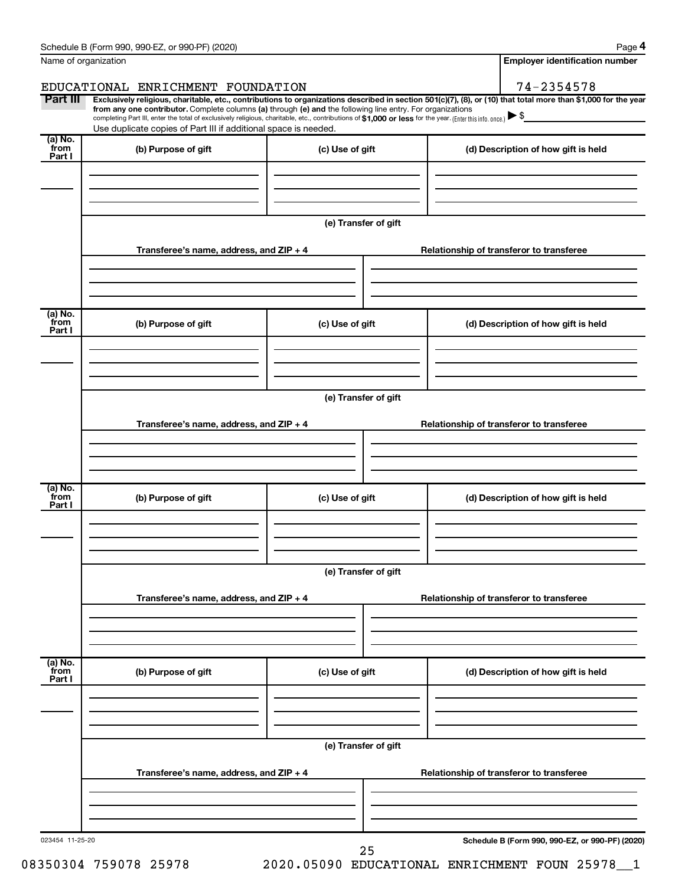|                           | Schedule B (Form 990, 990-EZ, or 990-PF) (2020)                                                                                                                                                                                                                                                                                           |                                       | Page 4                                                                                                                                                         |  |  |
|---------------------------|-------------------------------------------------------------------------------------------------------------------------------------------------------------------------------------------------------------------------------------------------------------------------------------------------------------------------------------------|---------------------------------------|----------------------------------------------------------------------------------------------------------------------------------------------------------------|--|--|
|                           | Name of organization                                                                                                                                                                                                                                                                                                                      | <b>Employer identification number</b> |                                                                                                                                                                |  |  |
|                           | EDUCATIONAL ENRICHMENT FOUNDATION                                                                                                                                                                                                                                                                                                         |                                       | 74-2354578                                                                                                                                                     |  |  |
| Part III                  | from any one contributor. Complete columns (a) through (e) and the following line entry. For organizations<br>completing Part III, enter the total of exclusively religious, charitable, etc., contributions of \$1,000 or less for the year. (Enter this info. once.)<br>Use duplicate copies of Part III if additional space is needed. |                                       | Exclusively religious, charitable, etc., contributions to organizations described in section 501(c)(7), (8), or (10) that total more than \$1,000 for the year |  |  |
| (a) No.<br>from           | (b) Purpose of gift                                                                                                                                                                                                                                                                                                                       | (c) Use of gift                       | (d) Description of how gift is held                                                                                                                            |  |  |
| Part I                    |                                                                                                                                                                                                                                                                                                                                           |                                       |                                                                                                                                                                |  |  |
|                           |                                                                                                                                                                                                                                                                                                                                           | (e) Transfer of gift                  |                                                                                                                                                                |  |  |
|                           | Transferee's name, address, and ZIP + 4                                                                                                                                                                                                                                                                                                   |                                       | Relationship of transferor to transferee                                                                                                                       |  |  |
| (a) No.<br>from           | (b) Purpose of gift                                                                                                                                                                                                                                                                                                                       | (c) Use of gift                       | (d) Description of how gift is held                                                                                                                            |  |  |
| Part I                    |                                                                                                                                                                                                                                                                                                                                           |                                       |                                                                                                                                                                |  |  |
|                           |                                                                                                                                                                                                                                                                                                                                           | (e) Transfer of gift                  |                                                                                                                                                                |  |  |
|                           | Transferee's name, address, and ZIP + 4                                                                                                                                                                                                                                                                                                   |                                       | Relationship of transferor to transferee                                                                                                                       |  |  |
|                           |                                                                                                                                                                                                                                                                                                                                           |                                       |                                                                                                                                                                |  |  |
| (a) No.<br>from<br>Part I | (b) Purpose of gift                                                                                                                                                                                                                                                                                                                       | (c) Use of gift                       | (d) Description of how gift is held                                                                                                                            |  |  |
|                           |                                                                                                                                                                                                                                                                                                                                           |                                       |                                                                                                                                                                |  |  |
|                           |                                                                                                                                                                                                                                                                                                                                           | (e) Transfer of gift                  |                                                                                                                                                                |  |  |
|                           | Transferee's name, address, and ZIP + 4                                                                                                                                                                                                                                                                                                   |                                       | Relationship of transferor to transferee                                                                                                                       |  |  |
|                           |                                                                                                                                                                                                                                                                                                                                           |                                       |                                                                                                                                                                |  |  |
| (a) No.<br>from<br>Part I | (b) Purpose of gift                                                                                                                                                                                                                                                                                                                       | (c) Use of gift                       | (d) Description of how gift is held                                                                                                                            |  |  |
|                           |                                                                                                                                                                                                                                                                                                                                           |                                       |                                                                                                                                                                |  |  |
|                           | (e) Transfer of gift                                                                                                                                                                                                                                                                                                                      |                                       |                                                                                                                                                                |  |  |
|                           | Transferee's name, address, and ZIP + 4                                                                                                                                                                                                                                                                                                   |                                       | Relationship of transferor to transferee                                                                                                                       |  |  |
|                           |                                                                                                                                                                                                                                                                                                                                           |                                       |                                                                                                                                                                |  |  |
| 023454 11-25-20           |                                                                                                                                                                                                                                                                                                                                           | 25                                    | Schedule B (Form 990, 990-EZ, or 990-PF) (2020)                                                                                                                |  |  |

08350304 759078 25978 2020.05090 EDUCATIONAL ENRICHMENT FOUN 25978\_\_1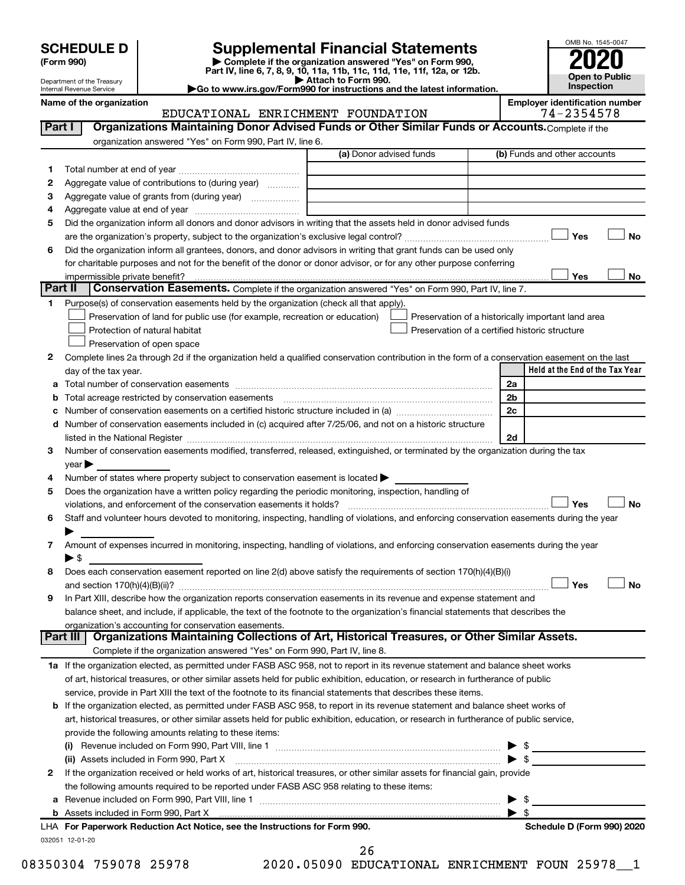| <b>SCHEDULE D</b> |  |
|-------------------|--|
|-------------------|--|

Department of the Treasury Internal Revenue Service

# **SCHEDULE D Supplemental Financial Statements**<br> **Form 990 2020**<br> **Part IV** line 6.7.8.9.10, 11a, 11b, 11d, 11d, 11d, 11d, 11d, 12a, 0r, 12b

**(Form 990) | Complete if the organization answered "Yes" on Form 990, Part IV, line 6, 7, 8, 9, 10, 11a, 11b, 11c, 11d, 11e, 11f, 12a, or 12b.**

**| Attach to Form 990. |Go to www.irs.gov/Form990 for instructions and the latest information.**



#### Name of the organization<br>
EDUCATIONAL ENRICHMENT FOUNDATION<br>
74-2354578 EDUCATIONAL ENRICHMENT FOUNDATION

| Part I  | Organizations Maintaining Donor Advised Funds or Other Similar Funds or Accounts. Complete if the                                                                                                                             |                         |  |                                                    |  |
|---------|-------------------------------------------------------------------------------------------------------------------------------------------------------------------------------------------------------------------------------|-------------------------|--|----------------------------------------------------|--|
|         | organization answered "Yes" on Form 990, Part IV, line 6.                                                                                                                                                                     |                         |  |                                                    |  |
|         |                                                                                                                                                                                                                               | (a) Donor advised funds |  | (b) Funds and other accounts                       |  |
| 1.      |                                                                                                                                                                                                                               |                         |  |                                                    |  |
| 2       | Aggregate value of contributions to (during year)                                                                                                                                                                             |                         |  |                                                    |  |
| 3       | Aggregate value of grants from (during year)                                                                                                                                                                                  |                         |  |                                                    |  |
| 4       |                                                                                                                                                                                                                               |                         |  |                                                    |  |
| 5       | Did the organization inform all donors and donor advisors in writing that the assets held in donor advised funds                                                                                                              |                         |  |                                                    |  |
|         |                                                                                                                                                                                                                               |                         |  | Yes<br><b>No</b>                                   |  |
| 6       | Did the organization inform all grantees, donors, and donor advisors in writing that grant funds can be used only                                                                                                             |                         |  |                                                    |  |
|         | for charitable purposes and not for the benefit of the donor or donor advisor, or for any other purpose conferring                                                                                                            |                         |  |                                                    |  |
|         | impermissible private benefit?                                                                                                                                                                                                |                         |  | Yes<br>No                                          |  |
| Part II | Conservation Easements. Complete if the organization answered "Yes" on Form 990, Part IV, line 7.                                                                                                                             |                         |  |                                                    |  |
| 1.      | Purpose(s) of conservation easements held by the organization (check all that apply).                                                                                                                                         |                         |  |                                                    |  |
|         | Preservation of land for public use (for example, recreation or education)                                                                                                                                                    |                         |  | Preservation of a historically important land area |  |
|         | Protection of natural habitat                                                                                                                                                                                                 |                         |  | Preservation of a certified historic structure     |  |
|         | Preservation of open space                                                                                                                                                                                                    |                         |  |                                                    |  |
| 2       | Complete lines 2a through 2d if the organization held a qualified conservation contribution in the form of a conservation easement on the last                                                                                |                         |  | Held at the End of the Tax Year                    |  |
|         | day of the tax year.                                                                                                                                                                                                          |                         |  | 2a                                                 |  |
| b       | Total acreage restricted by conservation easements                                                                                                                                                                            |                         |  | 2b                                                 |  |
| с       | Number of conservation easements on a certified historic structure included in (a) manufacture included in (a)                                                                                                                |                         |  | 2c                                                 |  |
|         | d Number of conservation easements included in (c) acquired after 7/25/06, and not on a historic structure                                                                                                                    |                         |  |                                                    |  |
|         | listed in the National Register [11, 1200] [12] The National Register [11, 1200] [12] The National Register [11, 1200] [12] The National Register [11, 1200] [12] The National Register [11, 1200] [12] The National Register |                         |  | 2d                                                 |  |
| з       | Number of conservation easements modified, transferred, released, extinguished, or terminated by the organization during the tax                                                                                              |                         |  |                                                    |  |
|         | $year \blacktriangleright$                                                                                                                                                                                                    |                         |  |                                                    |  |
| 4       | Number of states where property subject to conservation easement is located >                                                                                                                                                 |                         |  |                                                    |  |
| 5       | Does the organization have a written policy regarding the periodic monitoring, inspection, handling of                                                                                                                        |                         |  |                                                    |  |
|         | violations, and enforcement of the conservation easements it holds?                                                                                                                                                           |                         |  | Yes<br><b>No</b>                                   |  |
| 6       | Staff and volunteer hours devoted to monitoring, inspecting, handling of violations, and enforcing conservation easements during the year                                                                                     |                         |  |                                                    |  |
|         |                                                                                                                                                                                                                               |                         |  |                                                    |  |
| 7       | Amount of expenses incurred in monitoring, inspecting, handling of violations, and enforcing conservation easements during the year                                                                                           |                         |  |                                                    |  |
|         | ▶ \$                                                                                                                                                                                                                          |                         |  |                                                    |  |
| 8       | Does each conservation easement reported on line 2(d) above satisfy the requirements of section 170(h)(4)(B)(i)                                                                                                               |                         |  |                                                    |  |
|         |                                                                                                                                                                                                                               |                         |  | Yes<br>No                                          |  |
| 9       | In Part XIII, describe how the organization reports conservation easements in its revenue and expense statement and                                                                                                           |                         |  |                                                    |  |
|         | balance sheet, and include, if applicable, the text of the footnote to the organization's financial statements that describes the                                                                                             |                         |  |                                                    |  |
|         | organization's accounting for conservation easements.<br>Organizations Maintaining Collections of Art, Historical Treasures, or Other Similar Assets.<br>Part III                                                             |                         |  |                                                    |  |
|         | Complete if the organization answered "Yes" on Form 990, Part IV, line 8.                                                                                                                                                     |                         |  |                                                    |  |
|         | 1a If the organization elected, as permitted under FASB ASC 958, not to report in its revenue statement and balance sheet works                                                                                               |                         |  |                                                    |  |
|         | of art, historical treasures, or other similar assets held for public exhibition, education, or research in furtherance of public                                                                                             |                         |  |                                                    |  |
|         | service, provide in Part XIII the text of the footnote to its financial statements that describes these items.                                                                                                                |                         |  |                                                    |  |
|         | b If the organization elected, as permitted under FASB ASC 958, to report in its revenue statement and balance sheet works of                                                                                                 |                         |  |                                                    |  |
|         | art, historical treasures, or other similar assets held for public exhibition, education, or research in furtherance of public service,                                                                                       |                         |  |                                                    |  |
|         | provide the following amounts relating to these items:                                                                                                                                                                        |                         |  |                                                    |  |
|         |                                                                                                                                                                                                                               |                         |  |                                                    |  |
|         | (ii) Assets included in Form 990, Part X [11] [2000] [2010] Assets included in Form 990, Part X [11] [11] Assets included in Form 990, Part X                                                                                 |                         |  | $\blacktriangleright$ s                            |  |
| 2       | If the organization received or held works of art, historical treasures, or other similar assets for financial gain, provide                                                                                                  |                         |  |                                                    |  |
|         | the following amounts required to be reported under FASB ASC 958 relating to these items:                                                                                                                                     |                         |  |                                                    |  |
|         |                                                                                                                                                                                                                               |                         |  | \$                                                 |  |
|         |                                                                                                                                                                                                                               |                         |  | $\blacktriangleright$ s                            |  |
|         | LHA For Paperwork Reduction Act Notice, see the Instructions for Form 990.                                                                                                                                                    |                         |  | Schedule D (Form 990) 2020                         |  |
|         | 032051 12-01-20                                                                                                                                                                                                               |                         |  |                                                    |  |

08350304 759078 25978 2020.05090 EDUCATIONAL ENRICHMENT FOUN 25978 1 26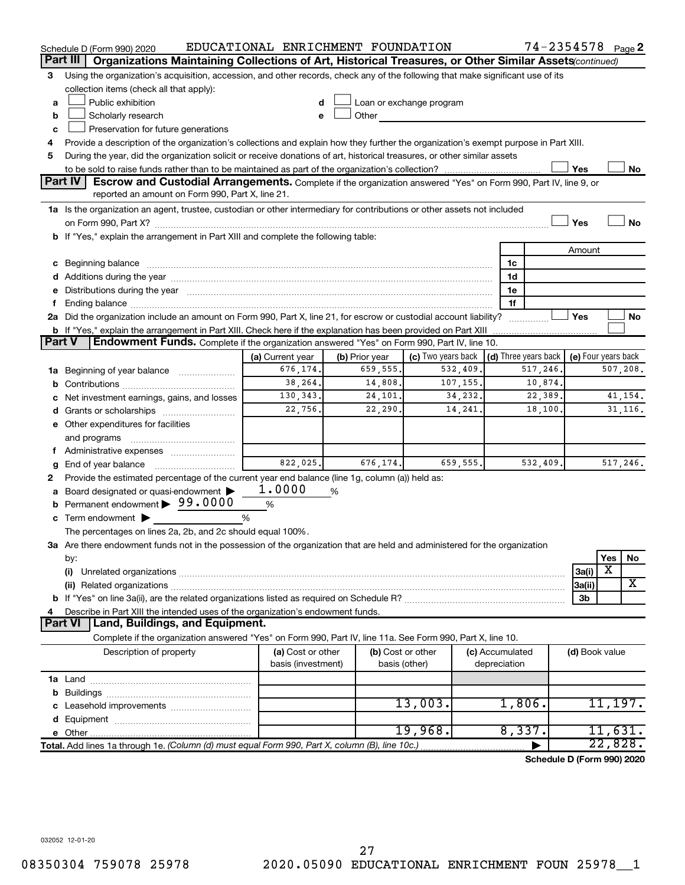|        | Schedule D (Form 990) 2020                                                                                                                                                                                                     | EDUCATIONAL ENRICHMENT FOUNDATION                     |                |                                                                                                                                                                                                                                |          | 74-2354578 Page 2                    |                     |         |           |
|--------|--------------------------------------------------------------------------------------------------------------------------------------------------------------------------------------------------------------------------------|-------------------------------------------------------|----------------|--------------------------------------------------------------------------------------------------------------------------------------------------------------------------------------------------------------------------------|----------|--------------------------------------|---------------------|---------|-----------|
|        | Organizations Maintaining Collections of Art, Historical Treasures, or Other Similar Assets (continued)<br>Part III                                                                                                            |                                                       |                |                                                                                                                                                                                                                                |          |                                      |                     |         |           |
| 3      | Using the organization's acquisition, accession, and other records, check any of the following that make significant use of its                                                                                                |                                                       |                |                                                                                                                                                                                                                                |          |                                      |                     |         |           |
|        | collection items (check all that apply):                                                                                                                                                                                       |                                                       |                |                                                                                                                                                                                                                                |          |                                      |                     |         |           |
| a      | Public exhibition<br>Loan or exchange program                                                                                                                                                                                  |                                                       |                |                                                                                                                                                                                                                                |          |                                      |                     |         |           |
| b      | Scholarly research                                                                                                                                                                                                             |                                                       |                | Other and the control of the control of the control of the control of the control of the control of the control of the control of the control of the control of the control of the control of the control of the control of th |          |                                      |                     |         |           |
| c      | Preservation for future generations                                                                                                                                                                                            |                                                       |                |                                                                                                                                                                                                                                |          |                                      |                     |         |           |
| 4      | Provide a description of the organization's collections and explain how they further the organization's exempt purpose in Part XIII.                                                                                           |                                                       |                |                                                                                                                                                                                                                                |          |                                      |                     |         |           |
| 5      | During the year, did the organization solicit or receive donations of art, historical treasures, or other similar assets                                                                                                       |                                                       |                |                                                                                                                                                                                                                                |          |                                      |                     |         |           |
|        |                                                                                                                                                                                                                                |                                                       |                |                                                                                                                                                                                                                                |          |                                      | Yes                 |         | No        |
|        | Part IV<br><b>Escrow and Custodial Arrangements.</b> Complete if the organization answered "Yes" on Form 990, Part IV, line 9, or                                                                                              |                                                       |                |                                                                                                                                                                                                                                |          |                                      |                     |         |           |
|        | reported an amount on Form 990, Part X, line 21.                                                                                                                                                                               |                                                       |                |                                                                                                                                                                                                                                |          |                                      |                     |         |           |
|        | 1a Is the organization an agent, trustee, custodian or other intermediary for contributions or other assets not included                                                                                                       |                                                       |                |                                                                                                                                                                                                                                |          |                                      |                     |         |           |
|        |                                                                                                                                                                                                                                |                                                       |                |                                                                                                                                                                                                                                |          |                                      | Yes                 |         | <b>No</b> |
|        | b If "Yes," explain the arrangement in Part XIII and complete the following table:                                                                                                                                             |                                                       |                |                                                                                                                                                                                                                                |          |                                      |                     |         |           |
|        |                                                                                                                                                                                                                                |                                                       |                |                                                                                                                                                                                                                                |          |                                      | Amount              |         |           |
|        | c Beginning balance measurements and the contract of the contract of the contract of the contract of the contract of the contract of the contract of the contract of the contract of the contract of the contract of the contr |                                                       |                |                                                                                                                                                                                                                                |          | 1c                                   |                     |         |           |
|        | d Additions during the year manufactured and an account of the year manufactured and account of the year manufactured and account of the year manufactured and account of the year manufactured and account of the year manufa |                                                       |                |                                                                                                                                                                                                                                |          | 1d                                   |                     |         |           |
|        | e Distributions during the year manufactured and an account of the year manufactured and account of the year manufactured and account of the state of the state of the state of the state of the state of the state of the sta |                                                       |                |                                                                                                                                                                                                                                |          | 1е                                   |                     |         |           |
| f.     |                                                                                                                                                                                                                                |                                                       |                |                                                                                                                                                                                                                                |          | 1f                                   |                     |         |           |
|        | 2a Did the organization include an amount on Form 990, Part X, line 21, for escrow or custodial account liability?                                                                                                             |                                                       |                |                                                                                                                                                                                                                                |          | .                                    | Yes                 |         | No        |
|        |                                                                                                                                                                                                                                |                                                       |                |                                                                                                                                                                                                                                |          |                                      |                     |         |           |
| Part V | <b>Endowment Funds.</b> Complete if the organization answered "Yes" on Form 990, Part IV, line 10.                                                                                                                             |                                                       |                |                                                                                                                                                                                                                                |          |                                      |                     |         |           |
|        |                                                                                                                                                                                                                                | (a) Current year                                      | (b) Prior year | (c) Two years back                                                                                                                                                                                                             |          | $\vert$ (d) Three years back $\vert$ | (e) Four years back |         |           |
|        | 659,555.<br>532, 409.<br>507, 208.<br>676,174.<br>517,246.<br>1a Beginning of year balance                                                                                                                                     |                                                       |                |                                                                                                                                                                                                                                |          |                                      |                     |         |           |
|        | 38,264.<br>107,155.<br>14,808.<br>10,874.                                                                                                                                                                                      |                                                       |                |                                                                                                                                                                                                                                |          |                                      |                     |         |           |
|        | c Net investment earnings, gains, and losses                                                                                                                                                                                   | 130, 343.<br>22,389.<br>41,154.<br>24,101.<br>34,232. |                |                                                                                                                                                                                                                                |          |                                      |                     |         |           |
|        |                                                                                                                                                                                                                                | 22,756.<br>31, 116.<br>22,290.<br>14,241.<br>18,100.  |                |                                                                                                                                                                                                                                |          |                                      |                     |         |           |
|        | e Other expenditures for facilities                                                                                                                                                                                            |                                                       |                |                                                                                                                                                                                                                                |          |                                      |                     |         |           |
|        | and programs                                                                                                                                                                                                                   |                                                       |                |                                                                                                                                                                                                                                |          |                                      |                     |         |           |
|        | f Administrative expenses                                                                                                                                                                                                      |                                                       |                |                                                                                                                                                                                                                                |          |                                      |                     |         |           |
| g      |                                                                                                                                                                                                                                | 822,025.                                              | 676, 174.      |                                                                                                                                                                                                                                | 659,555. | 532,409.                             |                     |         | 517, 246. |
| 2      | Provide the estimated percentage of the current year end balance (line 1g, column (a)) held as:                                                                                                                                |                                                       |                |                                                                                                                                                                                                                                |          |                                      |                     |         |           |
|        | a Board designated or quasi-endowment >                                                                                                                                                                                        | 1.0000                                                | %              |                                                                                                                                                                                                                                |          |                                      |                     |         |           |
| b      | Permanent endowment > 99.0000                                                                                                                                                                                                  | %                                                     |                |                                                                                                                                                                                                                                |          |                                      |                     |         |           |
|        | c Term endowment $\blacktriangleright$                                                                                                                                                                                         | %                                                     |                |                                                                                                                                                                                                                                |          |                                      |                     |         |           |
|        | The percentages on lines 2a, 2b, and 2c should equal 100%.                                                                                                                                                                     |                                                       |                |                                                                                                                                                                                                                                |          |                                      |                     |         |           |
|        | 3a Are there endowment funds not in the possession of the organization that are held and administered for the organization                                                                                                     |                                                       |                |                                                                                                                                                                                                                                |          |                                      |                     |         |           |
|        | by:                                                                                                                                                                                                                            |                                                       |                |                                                                                                                                                                                                                                |          |                                      |                     | Yes     | No        |
|        | (i)                                                                                                                                                                                                                            |                                                       |                |                                                                                                                                                                                                                                |          |                                      | 3a(i)               | X       |           |
|        |                                                                                                                                                                                                                                |                                                       |                |                                                                                                                                                                                                                                |          |                                      | 3a(ii)              |         | X         |
|        |                                                                                                                                                                                                                                |                                                       |                |                                                                                                                                                                                                                                |          |                                      | 3b                  |         |           |
| 4      | Describe in Part XIII the intended uses of the organization's endowment funds.                                                                                                                                                 |                                                       |                |                                                                                                                                                                                                                                |          |                                      |                     |         |           |
|        | Land, Buildings, and Equipment.<br><b>Part VI</b>                                                                                                                                                                              |                                                       |                |                                                                                                                                                                                                                                |          |                                      |                     |         |           |
|        | Complete if the organization answered "Yes" on Form 990, Part IV, line 11a. See Form 990, Part X, line 10.                                                                                                                     |                                                       |                |                                                                                                                                                                                                                                |          |                                      |                     |         |           |
|        | Description of property                                                                                                                                                                                                        | (a) Cost or other                                     |                | (b) Cost or other                                                                                                                                                                                                              |          | (c) Accumulated                      | (d) Book value      |         |           |
|        |                                                                                                                                                                                                                                | basis (investment)                                    |                | basis (other)                                                                                                                                                                                                                  |          | depreciation                         |                     |         |           |
|        |                                                                                                                                                                                                                                |                                                       |                |                                                                                                                                                                                                                                |          |                                      |                     |         |           |
|        |                                                                                                                                                                                                                                |                                                       |                | 13,003.                                                                                                                                                                                                                        |          | 1,806.                               |                     | 11,197. |           |
|        |                                                                                                                                                                                                                                |                                                       |                |                                                                                                                                                                                                                                |          |                                      |                     |         |           |
|        |                                                                                                                                                                                                                                |                                                       |                | 19,968.                                                                                                                                                                                                                        |          | 8,337.                               |                     | 11,631. |           |
|        |                                                                                                                                                                                                                                |                                                       |                |                                                                                                                                                                                                                                |          |                                      |                     | 22,828. |           |
|        | Total. Add lines 1a through 1e. (Column (d) must equal Form 990, Part X, column (B), line 10c.)                                                                                                                                |                                                       |                |                                                                                                                                                                                                                                |          |                                      |                     |         |           |
|        |                                                                                                                                                                                                                                |                                                       |                |                                                                                                                                                                                                                                |          | Schedule D (Form 990) 2020           |                     |         |           |

032052 12-01-20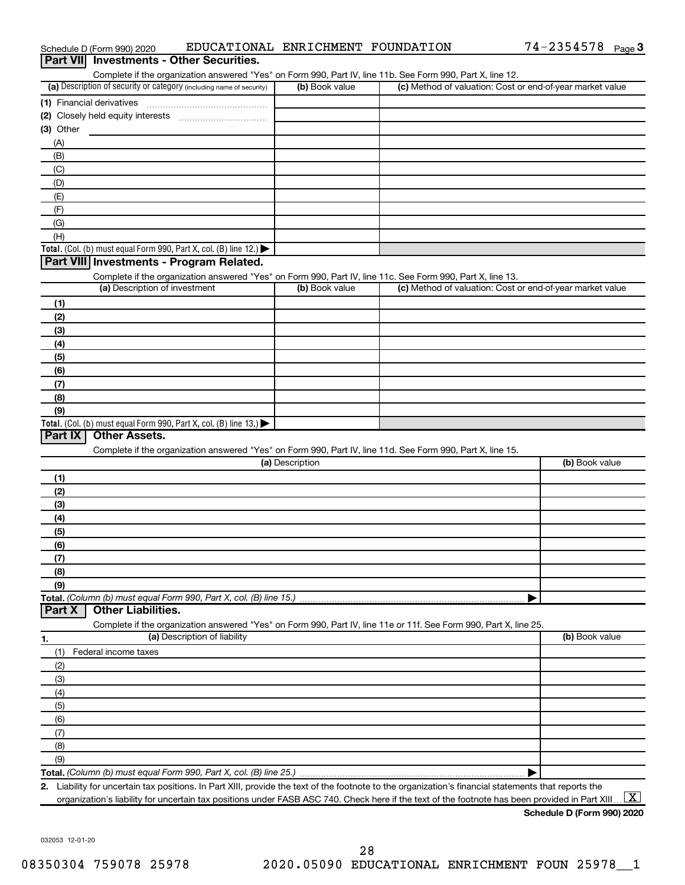| Part VII Investments - Other Securities.                                                                                                                                           |                 |                                                           |                |
|------------------------------------------------------------------------------------------------------------------------------------------------------------------------------------|-----------------|-----------------------------------------------------------|----------------|
| Complete if the organization answered "Yes" on Form 990, Part IV, line 11b. See Form 990, Part X, line 12.<br>(a) Description of security or category (including name of security) | (b) Book value  | (c) Method of valuation: Cost or end-of-year market value |                |
| (1) Financial derivatives                                                                                                                                                          |                 |                                                           |                |
|                                                                                                                                                                                    |                 |                                                           |                |
| $(3)$ Other                                                                                                                                                                        |                 |                                                           |                |
| (A)                                                                                                                                                                                |                 |                                                           |                |
| (B)                                                                                                                                                                                |                 |                                                           |                |
| (C)                                                                                                                                                                                |                 |                                                           |                |
| (D)                                                                                                                                                                                |                 |                                                           |                |
| (E)                                                                                                                                                                                |                 |                                                           |                |
| (F)                                                                                                                                                                                |                 |                                                           |                |
| (G)                                                                                                                                                                                |                 |                                                           |                |
| (H)                                                                                                                                                                                |                 |                                                           |                |
| Total. (Col. (b) must equal Form 990, Part X, col. (B) line 12.)                                                                                                                   |                 |                                                           |                |
| Part VIII Investments - Program Related.                                                                                                                                           |                 |                                                           |                |
| Complete if the organization answered "Yes" on Form 990, Part IV, line 11c. See Form 990, Part X, line 13.                                                                         |                 |                                                           |                |
| (a) Description of investment                                                                                                                                                      | (b) Book value  | (c) Method of valuation: Cost or end-of-year market value |                |
| (1)                                                                                                                                                                                |                 |                                                           |                |
| (2)                                                                                                                                                                                |                 |                                                           |                |
| (3)                                                                                                                                                                                |                 |                                                           |                |
| (4)                                                                                                                                                                                |                 |                                                           |                |
| (5)                                                                                                                                                                                |                 |                                                           |                |
| (6)                                                                                                                                                                                |                 |                                                           |                |
| (7)                                                                                                                                                                                |                 |                                                           |                |
| (8)                                                                                                                                                                                |                 |                                                           |                |
| (9)                                                                                                                                                                                |                 |                                                           |                |
| Total. (Col. (b) must equal Form 990, Part X, col. (B) line 13.)                                                                                                                   |                 |                                                           |                |
| Part IX<br><b>Other Assets.</b>                                                                                                                                                    |                 |                                                           |                |
| Complete if the organization answered "Yes" on Form 990, Part IV, line 11d. See Form 990, Part X, line 15.                                                                         |                 |                                                           |                |
|                                                                                                                                                                                    | (a) Description |                                                           | (b) Book value |
| (1)                                                                                                                                                                                |                 |                                                           |                |
| (2)                                                                                                                                                                                |                 |                                                           |                |
| (3)                                                                                                                                                                                |                 |                                                           |                |
| (4)                                                                                                                                                                                |                 |                                                           |                |
| (5)                                                                                                                                                                                |                 |                                                           |                |
| (6)                                                                                                                                                                                |                 |                                                           |                |
| (7)                                                                                                                                                                                |                 |                                                           |                |
| (8)                                                                                                                                                                                |                 |                                                           |                |
| (9)                                                                                                                                                                                |                 |                                                           |                |
| Total. (Column (b) must equal Form 990, Part X, col. (B) line 15.)                                                                                                                 |                 |                                                           |                |
| <b>Other Liabilities.</b><br>Part X                                                                                                                                                |                 |                                                           |                |
| Complete if the organization answered "Yes" on Form 990, Part IV, line 11e or 11f. See Form 990, Part X, line 25.                                                                  |                 |                                                           |                |
| (a) Description of liability<br>1.                                                                                                                                                 |                 |                                                           | (b) Book value |
| Federal income taxes<br>(1)                                                                                                                                                        |                 |                                                           |                |
| (2)                                                                                                                                                                                |                 |                                                           |                |
| (3)                                                                                                                                                                                |                 |                                                           |                |
| (4)                                                                                                                                                                                |                 |                                                           |                |
| (5)                                                                                                                                                                                |                 |                                                           |                |
| (6)                                                                                                                                                                                |                 |                                                           |                |
| (7)                                                                                                                                                                                |                 |                                                           |                |
| (8)                                                                                                                                                                                |                 |                                                           |                |
| (9)                                                                                                                                                                                |                 |                                                           |                |
|                                                                                                                                                                                    |                 |                                                           |                |
| 2. Liability for uncertain tax positions. In Part XIII, provide the text of the footnote to the organization's financial statements that reports the                               |                 |                                                           |                |

Schedule D (Form 990) 2020  $\quad$  EDUCATIONAL ENRICHMENT FOUNDATION  $\quad$  74-2354578  $_{\rm Page}$ 

**Schedule D (Form 990) 2020** organization's liability for uncertain tax positions under FASB ASC 740. Check here if the text of the footnote has been provided in Part XIII ...  $\fbox{\bf X}$ 

74-2354578 Page 3

032053 12-01-20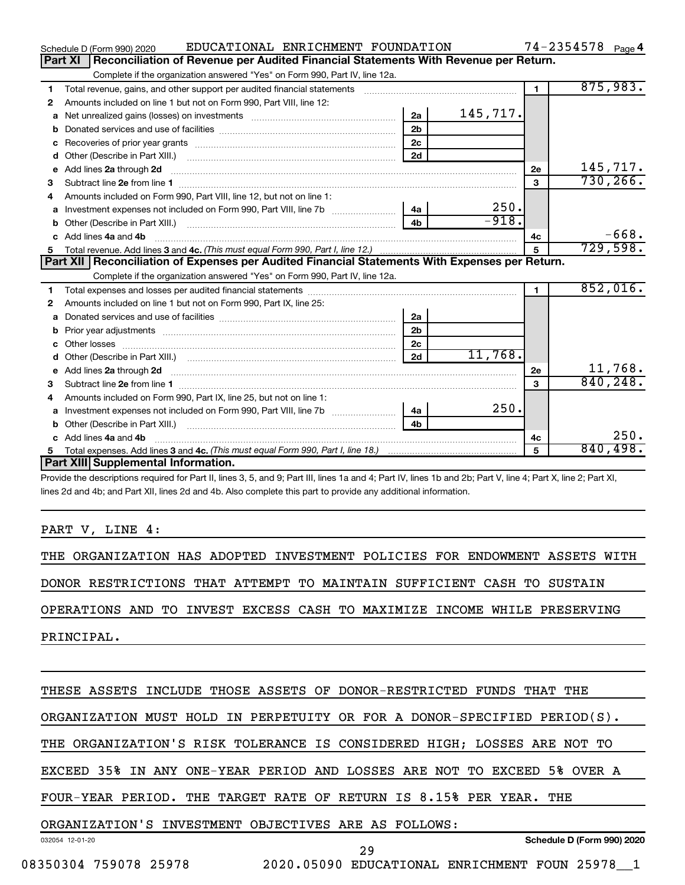|   | EDUCATIONAL ENRICHMENT FOUNDATION<br>Schedule D (Form 990) 2020                                                                                                                                                                     |                |          |                | $74 - 2354578$ Page 4    |
|---|-------------------------------------------------------------------------------------------------------------------------------------------------------------------------------------------------------------------------------------|----------------|----------|----------------|--------------------------|
|   | Reconciliation of Revenue per Audited Financial Statements With Revenue per Return.<br>Part XI                                                                                                                                      |                |          |                |                          |
|   | Complete if the organization answered "Yes" on Form 990, Part IV, line 12a.                                                                                                                                                         |                |          |                |                          |
| 1 | Total revenue, gains, and other support per audited financial statements                                                                                                                                                            |                |          | $\blacksquare$ | 875,983.                 |
| 2 | Amounts included on line 1 but not on Form 990, Part VIII, line 12:                                                                                                                                                                 |                |          |                |                          |
| a |                                                                                                                                                                                                                                     | 2a             | 145,717. |                |                          |
| b |                                                                                                                                                                                                                                     | 2 <sub>b</sub> |          |                |                          |
| c |                                                                                                                                                                                                                                     | 2 <sub>c</sub> |          |                |                          |
| d |                                                                                                                                                                                                                                     | 2d             |          |                |                          |
| е | Add lines 2a through 2d <b>contained a contained a contained a contained a</b> contained a contained a contained a contained a contained a contained a contained a contained a contained a contained a contained a contained a cont |                |          | 2e             | 145,717.                 |
| 3 |                                                                                                                                                                                                                                     |                |          | 3              | 730, 266.                |
| 4 | Amounts included on Form 990, Part VIII, line 12, but not on line 1:                                                                                                                                                                |                |          |                |                          |
|   |                                                                                                                                                                                                                                     |                | 250.     |                |                          |
|   |                                                                                                                                                                                                                                     | 4 <sub>h</sub> | $-918.$  |                |                          |
|   | c Add lines 4a and 4b                                                                                                                                                                                                               |                |          | 4c             | $-668.$                  |
|   |                                                                                                                                                                                                                                     |                |          | $\mathbf{5}$   | 729,598.                 |
|   | Part XII   Reconciliation of Expenses per Audited Financial Statements With Expenses per Return.                                                                                                                                    |                |          |                |                          |
|   | Complete if the organization answered "Yes" on Form 990, Part IV, line 12a.                                                                                                                                                         |                |          |                |                          |
| 1 |                                                                                                                                                                                                                                     |                |          | $\blacksquare$ | 852,016.                 |
| 2 | Amounts included on line 1 but not on Form 990, Part IX, line 25:                                                                                                                                                                   |                |          |                |                          |
| a |                                                                                                                                                                                                                                     | 2a             |          |                |                          |
| b |                                                                                                                                                                                                                                     | 2 <sub>b</sub> |          |                |                          |
|   |                                                                                                                                                                                                                                     | 2 <sub>c</sub> |          |                |                          |
| d |                                                                                                                                                                                                                                     | 2d             | 11,768.  |                |                          |
|   |                                                                                                                                                                                                                                     |                |          | 2e             | $\frac{11,768}{840,248}$ |
| 3 |                                                                                                                                                                                                                                     |                |          | 3              |                          |
| 4 | Amounts included on Form 990, Part IX, line 25, but not on line 1:                                                                                                                                                                  |                |          |                |                          |
| a | Investment expenses not included on Form 990, Part VIII, line 7b   4a                                                                                                                                                               |                | 250.     |                |                          |
|   |                                                                                                                                                                                                                                     | 4 <sub>h</sub> |          |                |                          |
|   | c Add lines 4a and 4b                                                                                                                                                                                                               |                |          | 4c             | 250.                     |
|   |                                                                                                                                                                                                                                     |                |          | 5              | 840,498.                 |
|   | Part XIII Supplemental Information.                                                                                                                                                                                                 |                |          |                |                          |

Provide the descriptions required for Part II, lines 3, 5, and 9; Part III, lines 1a and 4; Part IV, lines 1b and 2b; Part V, line 4; Part X, line 2; Part XI, lines 2d and 4b; and Part XII, lines 2d and 4b. Also complete this part to provide any additional information.

#### PART V, LINE 4:

THE ORGANIZATION HAS ADOPTED INVESTMENT POLICIES FOR ENDOWMENT ASSETS WITH DONOR RESTRICTIONS THAT ATTEMPT TO MAINTAIN SUFFICIENT CASH TO SUSTAIN OPERATIONS AND TO INVEST EXCESS CASH TO MAXIMIZE INCOME WHILE PRESERVING

PRINCIPAL.

032054 12-01-20 **Schedule D (Form 990) 2020** THESE ASSETS INCLUDE THOSE ASSETS OF DONOR-RESTRICTED FUNDS THAT THE ORGANIZATION MUST HOLD IN PERPETUITY OR FOR A DONOR-SPECIFIED PERIOD(S). THE ORGANIZATION'S RISK TOLERANCE IS CONSIDERED HIGH; LOSSES ARE NOT TO EXCEED 35% IN ANY ONE-YEAR PERIOD AND LOSSES ARE NOT TO EXCEED 5% OVER A FOUR-YEAR PERIOD. THE TARGET RATE OF RETURN IS 8.15% PER YEAR. THE ORGANIZATION'S INVESTMENT OBJECTIVES ARE AS FOLLOWS: 29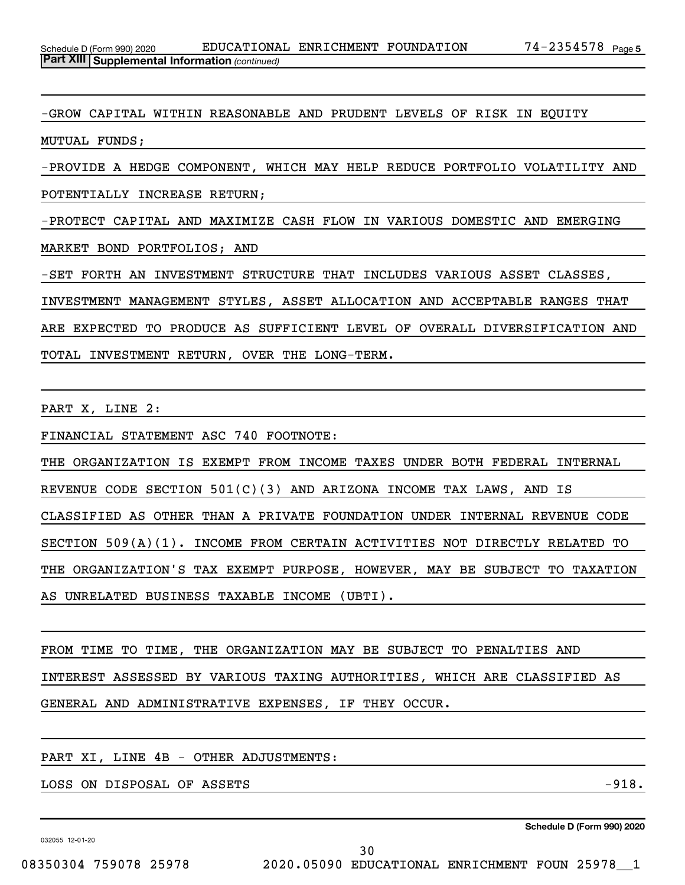-GROW CAPITAL WITHIN REASONABLE AND PRUDENT LEVELS OF RISK IN EQUITY MUTUAL FUNDS;

-PROVIDE A HEDGE COMPONENT, WHICH MAY HELP REDUCE PORTFOLIO VOLATILITY AND POTENTIALLY INCREASE RETURN;

-PROTECT CAPITAL AND MAXIMIZE CASH FLOW IN VARIOUS DOMESTIC AND EMERGING MARKET BOND PORTFOLIOS; AND

-SET FORTH AN INVESTMENT STRUCTURE THAT INCLUDES VARIOUS ASSET CLASSES, INVESTMENT MANAGEMENT STYLES, ASSET ALLOCATION AND ACCEPTABLE RANGES THAT ARE EXPECTED TO PRODUCE AS SUFFICIENT LEVEL OF OVERALL DIVERSIFICATION AND TOTAL INVESTMENT RETURN, OVER THE LONG-TERM.

PART X, LINE 2:

FINANCIAL STATEMENT ASC 740 FOOTNOTE:

THE ORGANIZATION IS EXEMPT FROM INCOME TAXES UNDER BOTH FEDERAL INTERNAL REVENUE CODE SECTION 501(C)(3) AND ARIZONA INCOME TAX LAWS, AND IS CLASSIFIED AS OTHER THAN A PRIVATE FOUNDATION UNDER INTERNAL REVENUE CODE SECTION 509(A)(1). INCOME FROM CERTAIN ACTIVITIES NOT DIRECTLY RELATED TO THE ORGANIZATION'S TAX EXEMPT PURPOSE, HOWEVER, MAY BE SUBJECT TO TAXATION AS UNRELATED BUSINESS TAXABLE INCOME (UBTI).

FROM TIME TO TIME, THE ORGANIZATION MAY BE SUBJECT TO PENALTIES AND INTEREST ASSESSED BY VARIOUS TAXING AUTHORITIES, WHICH ARE CLASSIFIED AS GENERAL AND ADMINISTRATIVE EXPENSES, IF THEY OCCUR.

PART XI, LINE 4B - OTHER ADJUSTMENTS:

LOSS ON DISPOSAL OF ASSETS  $-918.$ 

032055 12-01-20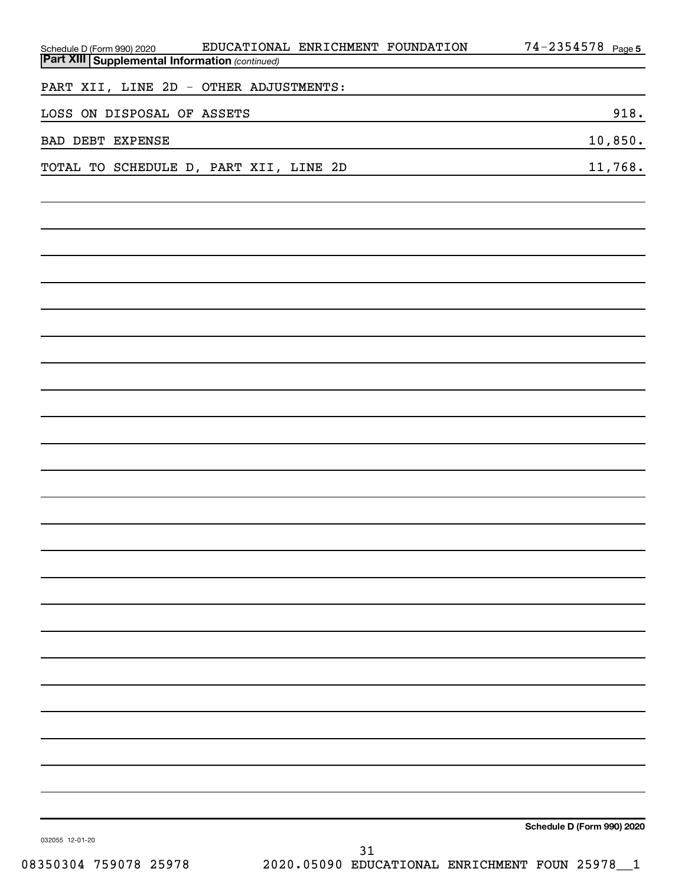| Schedule D (Form 990) 2020                            | EDUCATIONAL ENRICHMENT FOUNDATION |    | 74-2354578 Page 5          |
|-------------------------------------------------------|-----------------------------------|----|----------------------------|
| <b>Part XIII Supplemental Information (continued)</b> |                                   |    |                            |
| PART XII, LINE 2D - OTHER ADJUSTMENTS:                |                                   |    |                            |
| LOSS ON DISPOSAL OF ASSETS                            |                                   |    | 918.                       |
| <b>BAD DEBT EXPENSE</b>                               |                                   |    | 10,850.                    |
| TOTAL TO SCHEDULE D, PART XII, LINE 2D                |                                   |    | 11,768.                    |
|                                                       |                                   |    |                            |
|                                                       |                                   |    |                            |
|                                                       |                                   |    |                            |
|                                                       |                                   |    |                            |
|                                                       |                                   |    |                            |
|                                                       |                                   |    |                            |
|                                                       |                                   |    |                            |
|                                                       |                                   |    |                            |
|                                                       |                                   |    |                            |
|                                                       |                                   |    |                            |
|                                                       |                                   |    |                            |
|                                                       |                                   |    |                            |
|                                                       |                                   |    |                            |
|                                                       |                                   |    |                            |
|                                                       |                                   |    |                            |
|                                                       |                                   |    |                            |
|                                                       |                                   |    |                            |
|                                                       |                                   |    |                            |
|                                                       |                                   |    |                            |
|                                                       |                                   |    |                            |
|                                                       |                                   |    |                            |
|                                                       |                                   |    |                            |
|                                                       |                                   |    |                            |
|                                                       |                                   |    |                            |
|                                                       |                                   |    | Schedule D (Form 990) 2020 |
| 032055 12-01-20                                       |                                   | 31 |                            |

08350304 759078 25978 2020.05090 EDUCATIONAL ENRICHMENT FOUN 25978\_\_1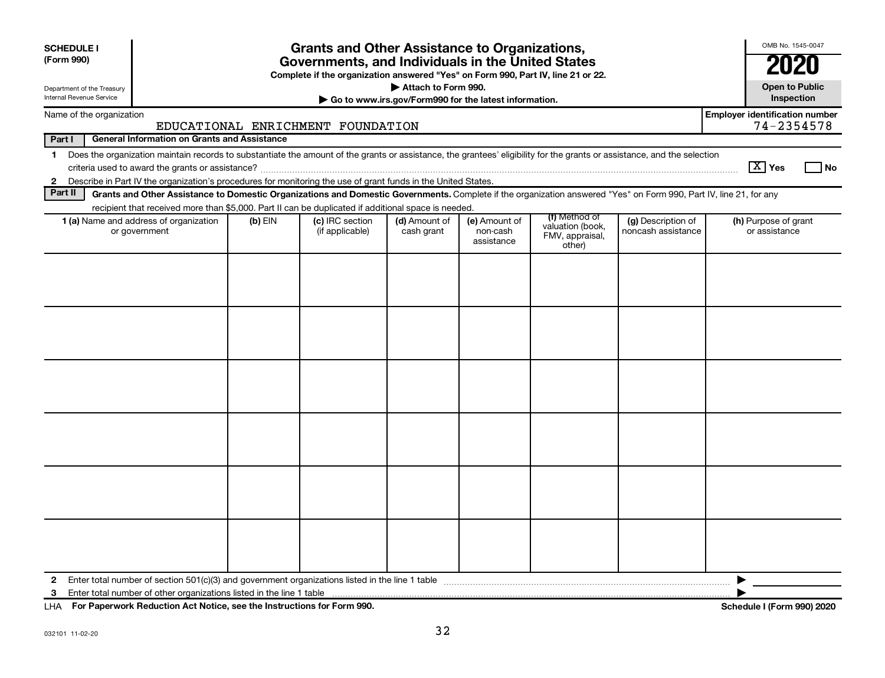| <b>SCHEDULE I</b><br>(Form 990)                                                                                                               |                                                                                                                                                                          |           | <b>Grants and Other Assistance to Organizations,</b><br>Governments, and Individuals in the United States<br>Complete if the organization answered "Yes" on Form 990, Part IV, line 21 or 22. |                             |                                         |                                                                |                                          | OMB No. 1545-0047<br>2020<br><b>Open to Public</b>  |
|-----------------------------------------------------------------------------------------------------------------------------------------------|--------------------------------------------------------------------------------------------------------------------------------------------------------------------------|-----------|-----------------------------------------------------------------------------------------------------------------------------------------------------------------------------------------------|-----------------------------|-----------------------------------------|----------------------------------------------------------------|------------------------------------------|-----------------------------------------------------|
| Attach to Form 990.<br>Department of the Treasury<br><b>Internal Revenue Service</b><br>Go to www.irs.gov/Form990 for the latest information. |                                                                                                                                                                          |           |                                                                                                                                                                                               |                             |                                         |                                                                |                                          | Inspection                                          |
|                                                                                                                                               | Name of the organization                                                                                                                                                 |           | EDUCATIONAL ENRICHMENT FOUNDATION                                                                                                                                                             |                             |                                         |                                                                |                                          | <b>Employer identification number</b><br>74-2354578 |
| Part I                                                                                                                                        | <b>General Information on Grants and Assistance</b>                                                                                                                      |           |                                                                                                                                                                                               |                             |                                         |                                                                |                                          |                                                     |
| $\mathbf 1$                                                                                                                                   | Does the organization maintain records to substantiate the amount of the grants or assistance, the grantees' eligibility for the grants or assistance, and the selection |           |                                                                                                                                                                                               |                             |                                         |                                                                |                                          | $\boxed{\text{X}}$ Yes<br><b>No</b>                 |
| $2^{\circ}$                                                                                                                                   | Describe in Part IV the organization's procedures for monitoring the use of grant funds in the United States.                                                            |           |                                                                                                                                                                                               |                             |                                         |                                                                |                                          |                                                     |
| Part II                                                                                                                                       | Grants and Other Assistance to Domestic Organizations and Domestic Governments. Complete if the organization answered "Yes" on Form 990, Part IV, line 21, for any       |           |                                                                                                                                                                                               |                             |                                         |                                                                |                                          |                                                     |
|                                                                                                                                               | recipient that received more than \$5,000. Part II can be duplicated if additional space is needed.<br>1 (a) Name and address of organization<br>or government           | $(b)$ EIN | (c) IRC section<br>(if applicable)                                                                                                                                                            | (d) Amount of<br>cash grant | (e) Amount of<br>non-cash<br>assistance | (f) Method of<br>valuation (book,<br>FMV, appraisal,<br>other) | (g) Description of<br>noncash assistance | (h) Purpose of grant<br>or assistance               |
|                                                                                                                                               |                                                                                                                                                                          |           |                                                                                                                                                                                               |                             |                                         |                                                                |                                          |                                                     |
| $\mathbf{2}$                                                                                                                                  |                                                                                                                                                                          |           |                                                                                                                                                                                               |                             |                                         |                                                                |                                          |                                                     |
| 3                                                                                                                                             |                                                                                                                                                                          |           |                                                                                                                                                                                               |                             |                                         |                                                                |                                          |                                                     |

**For Paperwork Reduction Act Notice, see the Instructions for Form 990. Schedule I (Form 990) 2020** LHA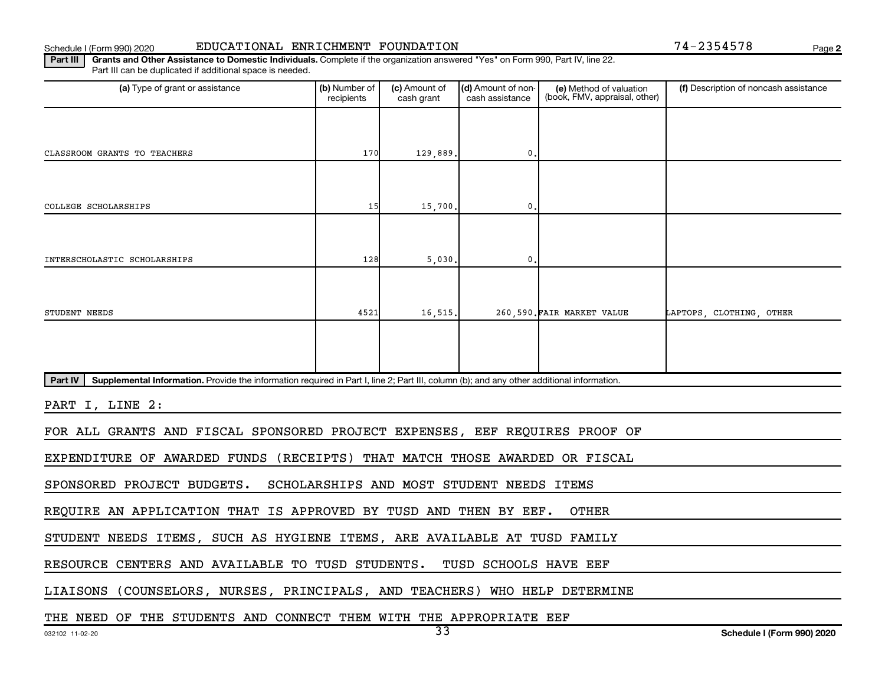#### Schedule I (Form 990) 2020 EDUCATIONAL ENRICHMENT FOUNDATION Page

**2**

Part III | Grants and Other Assistance to Domestic Individuals. Complete if the organization answered "Yes" on Form 990, Part IV, line 22. Part III can be duplicated if additional space is needed.

| (a) Type of grant or assistance                                                                                                                      | (b) Number of<br>recipients | (c) Amount of<br>cash grant | (d) Amount of non-<br>cash assistance     | (e) Method of valuation<br>(book, FMV, appraisal, other) | (f) Description of noncash assistance |  |  |
|------------------------------------------------------------------------------------------------------------------------------------------------------|-----------------------------|-----------------------------|-------------------------------------------|----------------------------------------------------------|---------------------------------------|--|--|
|                                                                                                                                                      |                             |                             |                                           |                                                          |                                       |  |  |
| CLASSROOM GRANTS TO TEACHERS                                                                                                                         | 170                         | 129,889.                    | 0.                                        |                                                          |                                       |  |  |
|                                                                                                                                                      |                             |                             |                                           |                                                          |                                       |  |  |
| COLLEGE SCHOLARSHIPS                                                                                                                                 | 15                          | 15,700.                     | $\mathbf{0}$ .                            |                                                          |                                       |  |  |
|                                                                                                                                                      |                             |                             |                                           |                                                          |                                       |  |  |
| INTERSCHOLASTIC SCHOLARSHIPS                                                                                                                         | 128                         | 5,030.                      | $\mathbf{0}$ .                            |                                                          |                                       |  |  |
|                                                                                                                                                      |                             |                             |                                           |                                                          |                                       |  |  |
| STUDENT NEEDS                                                                                                                                        | 4521                        | 16,515.                     |                                           | 260,590. FAIR MARKET VALUE                               | LAPTOPS CLOTHING OTHER                |  |  |
|                                                                                                                                                      |                             |                             |                                           |                                                          |                                       |  |  |
|                                                                                                                                                      |                             |                             |                                           |                                                          |                                       |  |  |
| Part IV<br>Supplemental Information. Provide the information required in Part I, line 2; Part III, column (b); and any other additional information. |                             |                             |                                           |                                                          |                                       |  |  |
| PART I, LINE 2:                                                                                                                                      |                             |                             |                                           |                                                          |                                       |  |  |
| FOR ALL GRANTS AND FISCAL SPONSORED PROJECT EXPENSES, EEF REQUIRES PROOF OF                                                                          |                             |                             |                                           |                                                          |                                       |  |  |
| EXPENDITURE OF AWARDED FUNDS                                                                                                                         |                             |                             |                                           | (RECEIPTS) THAT MATCH THOSE AWARDED OR FISCAL            |                                       |  |  |
| SPONSORED PROJECT BUDGETS.                                                                                                                           |                             |                             | SCHOLARSHIPS AND MOST STUDENT NEEDS ITEMS |                                                          |                                       |  |  |
| REQUIRE AN APPLICATION THAT IS APPROVED BY TUSD AND THEN BY EEF.                                                                                     |                             |                             |                                           | <b>OTHER</b>                                             |                                       |  |  |
| STUDENT NEEDS ITEMS, SUCH AS HYGIENE ITEMS, ARE AVAILABLE AT TUSD FAMILY                                                                             |                             |                             |                                           |                                                          |                                       |  |  |
| RESOURCE CENTERS AND AVAILABLE TO TUSD STUDENTS.                                                                                                     |                             |                             | TUSD SCHOOLS HAVE EEF                     |                                                          |                                       |  |  |
| LIAISONS (COUNSELORS, NURSES, PRINCIPALS, AND TEACHERS) WHO HELP DETERMINE                                                                           |                             |                             |                                           |                                                          |                                       |  |  |
| THE NEED OF THE STUDENTS AND CONNECT THEM WITH THE APPROPRIATE EEF                                                                                   |                             |                             |                                           |                                                          |                                       |  |  |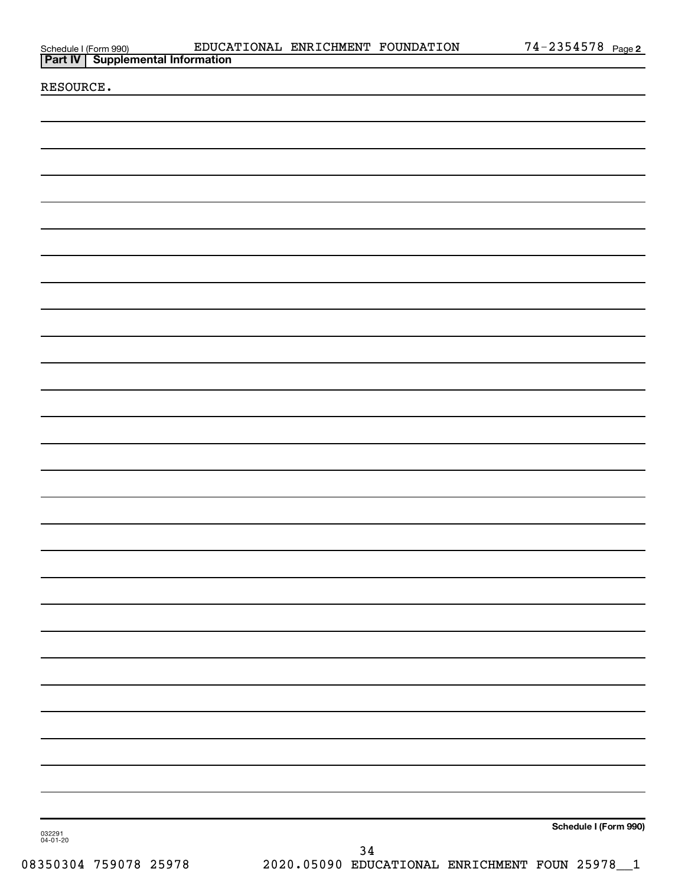|                                                                        | EDUCATIONAL ENRICHMENT FOUNDATION |      | <u>74-2354578 Page2</u> |
|------------------------------------------------------------------------|-----------------------------------|------|-------------------------|
| Schedule I (Form 990) EDUCA<br><b>Part IV</b> Supplemental Information |                                   |      |                         |
|                                                                        |                                   |      |                         |
| RESOURCE.                                                              |                                   |      |                         |
|                                                                        |                                   |      |                         |
|                                                                        |                                   |      |                         |
|                                                                        |                                   |      |                         |
|                                                                        |                                   |      |                         |
|                                                                        |                                   |      |                         |
|                                                                        |                                   |      |                         |
|                                                                        |                                   |      |                         |
|                                                                        |                                   |      |                         |
|                                                                        |                                   |      |                         |
|                                                                        |                                   |      |                         |
|                                                                        |                                   |      |                         |
|                                                                        |                                   |      |                         |
|                                                                        |                                   |      |                         |
|                                                                        |                                   |      |                         |
|                                                                        |                                   |      |                         |
|                                                                        |                                   |      |                         |
|                                                                        |                                   |      |                         |
|                                                                        |                                   |      |                         |
|                                                                        |                                   |      |                         |
|                                                                        |                                   |      |                         |
|                                                                        |                                   |      |                         |
|                                                                        |                                   |      |                         |
|                                                                        |                                   |      |                         |
|                                                                        |                                   |      |                         |
|                                                                        |                                   |      |                         |
|                                                                        |                                   |      |                         |
|                                                                        |                                   |      |                         |
|                                                                        |                                   |      |                         |
|                                                                        |                                   |      |                         |
|                                                                        |                                   |      |                         |
|                                                                        |                                   |      |                         |
|                                                                        |                                   |      |                         |
|                                                                        |                                   |      |                         |
|                                                                        |                                   |      |                         |
|                                                                        |                                   |      |                         |
|                                                                        |                                   |      |                         |
|                                                                        |                                   |      |                         |
|                                                                        |                                   |      |                         |
|                                                                        |                                   |      |                         |
|                                                                        |                                   |      |                         |
|                                                                        |                                   |      |                         |
|                                                                        |                                   |      |                         |
|                                                                        |                                   |      |                         |
|                                                                        |                                   |      |                         |
|                                                                        |                                   |      |                         |
|                                                                        |                                   |      |                         |
|                                                                        |                                   |      |                         |
|                                                                        |                                   |      |                         |
|                                                                        |                                   |      |                         |
| 032291<br>04-01-20                                                     |                                   |      | Schedule I (Form 990)   |
|                                                                        |                                   | $34$ |                         |
|                                                                        |                                   |      |                         |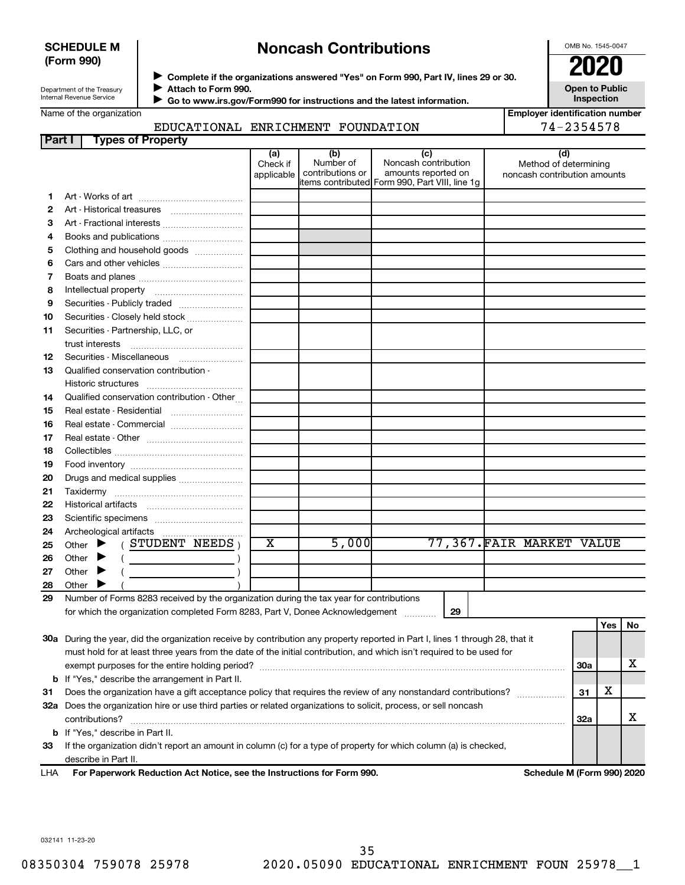#### **SCHEDULE M (Form 990)**

# **Noncash Contributions**

OMB No. 1545-0047

Department of the Treasury Internal Revenue Service

◆ Complete if the organizations answered "Yes" on Form 990, Part IV, lines 29 or 30.<br>● Complete if the organizations answered "Yes" on Form 990, Part IV, lines 29 or 30. **Attach to Form 990.**  $\blacktriangleright$ 

 $\blacktriangleright$ 

 **Go to www.irs.gov/Form990 for instructions and the latest information.**

**Open to Public Inspection Employer identification number**

| Name of the organization |  |
|--------------------------|--|
|--------------------------|--|

**Part I Types of Property**

EDUCATIONAL ENRICHMENT FOUNDATION

 $\overline{a}$ 

|               | RICHMENT FOUNDATION                            |                                                | 74-2354578                   |
|---------------|------------------------------------------------|------------------------------------------------|------------------------------|
|               |                                                |                                                |                              |
| (a)<br>eck if | (b)<br>Number of                               | (C)<br>Noncash contribution                    | (d)<br>Method of determining |
|               | المتحارب والمتحافظ والمطالب والأستطاع والمتحدة | المدامي المستطرع والمستحدث والمستحدث والمستحدث |                              |

|    |                                                                                                                                | Check if<br>applicable | Number of<br>contributions or | Noncash contribution<br>amounts reported on    | Method of determining<br>noncash contribution amounts |     |     |    |
|----|--------------------------------------------------------------------------------------------------------------------------------|------------------------|-------------------------------|------------------------------------------------|-------------------------------------------------------|-----|-----|----|
|    |                                                                                                                                |                        |                               | items contributed Form 990, Part VIII, line 1g |                                                       |     |     |    |
| 1  |                                                                                                                                |                        |                               |                                                |                                                       |     |     |    |
| 2  |                                                                                                                                |                        |                               |                                                |                                                       |     |     |    |
| з  | Art - Fractional interests                                                                                                     |                        |                               |                                                |                                                       |     |     |    |
| 4  |                                                                                                                                |                        |                               |                                                |                                                       |     |     |    |
| 5  | Clothing and household goods                                                                                                   |                        |                               |                                                |                                                       |     |     |    |
| 6  | Cars and other vehicles                                                                                                        |                        |                               |                                                |                                                       |     |     |    |
| 7  |                                                                                                                                |                        |                               |                                                |                                                       |     |     |    |
| 8  |                                                                                                                                |                        |                               |                                                |                                                       |     |     |    |
| 9  | Securities - Publicly traded                                                                                                   |                        |                               |                                                |                                                       |     |     |    |
| 10 | Securities - Closely held stock                                                                                                |                        |                               |                                                |                                                       |     |     |    |
| 11 | Securities - Partnership, LLC, or                                                                                              |                        |                               |                                                |                                                       |     |     |    |
|    | trust interests                                                                                                                |                        |                               |                                                |                                                       |     |     |    |
| 12 | Securities - Miscellaneous                                                                                                     |                        |                               |                                                |                                                       |     |     |    |
| 13 | Qualified conservation contribution -                                                                                          |                        |                               |                                                |                                                       |     |     |    |
|    |                                                                                                                                |                        |                               |                                                |                                                       |     |     |    |
| 14 | Qualified conservation contribution - Other                                                                                    |                        |                               |                                                |                                                       |     |     |    |
| 15 |                                                                                                                                |                        |                               |                                                |                                                       |     |     |    |
| 16 | Real estate - Commercial                                                                                                       |                        |                               |                                                |                                                       |     |     |    |
| 17 |                                                                                                                                |                        |                               |                                                |                                                       |     |     |    |
| 18 |                                                                                                                                |                        |                               |                                                |                                                       |     |     |    |
| 19 |                                                                                                                                |                        |                               |                                                |                                                       |     |     |    |
| 20 | Drugs and medical supplies                                                                                                     |                        |                               |                                                |                                                       |     |     |    |
| 21 |                                                                                                                                |                        |                               |                                                |                                                       |     |     |    |
| 22 |                                                                                                                                |                        |                               |                                                |                                                       |     |     |    |
| 23 |                                                                                                                                |                        |                               |                                                |                                                       |     |     |    |
| 24 |                                                                                                                                |                        |                               |                                                |                                                       |     |     |    |
| 25 | Other $\blacktriangleright$ (STUDENT NEEDS)                                                                                    | X                      | 5,000                         |                                                | 77,367. FAIR MARKET VALUE                             |     |     |    |
| 26 | Other $\blacktriangleright$                                                                                                    |                        |                               |                                                |                                                       |     |     |    |
| 27 | Other $\blacktriangleright$                                                                                                    |                        |                               |                                                |                                                       |     |     |    |
| 28 | Other $\blacktriangleright$                                                                                                    |                        |                               |                                                |                                                       |     |     |    |
| 29 | Number of Forms 8283 received by the organization during the tax year for contributions                                        |                        |                               |                                                |                                                       |     |     |    |
|    | for which the organization completed Form 8283, Part V, Donee Acknowledgement                                                  |                        |                               | 29                                             |                                                       |     |     |    |
|    |                                                                                                                                |                        |                               |                                                |                                                       |     | Yes | No |
|    | 30a During the year, did the organization receive by contribution any property reported in Part I, lines 1 through 28, that it |                        |                               |                                                |                                                       |     |     |    |
|    | must hold for at least three years from the date of the initial contribution, and which isn't required to be used for          |                        |                               |                                                |                                                       |     |     |    |
|    |                                                                                                                                |                        |                               |                                                |                                                       | 30a |     | x. |
|    | <b>b</b> If "Yes," describe the arrangement in Part II.                                                                        |                        |                               |                                                |                                                       |     |     |    |
| 31 | Does the organization have a gift acceptance policy that requires the review of any nonstandard contributions?                 |                        |                               |                                                |                                                       | 31  | х   |    |
|    | 32a Does the organization hire or use third parties or related organizations to solicit, process, or sell noncash              |                        |                               |                                                |                                                       |     |     |    |
|    | contributions?                                                                                                                 |                        |                               |                                                |                                                       | 32a |     | X  |

**For Paperwork Reduction Act Notice, see the Instructions for Form 990. Schedule M (Form 990) 2020** LHA

**33** If the organization didn't report an amount in column (c) for a type of property for which column (a) is checked,

032141 11-23-20

**b** If "Yes," describe in Part II.

describe in Part II.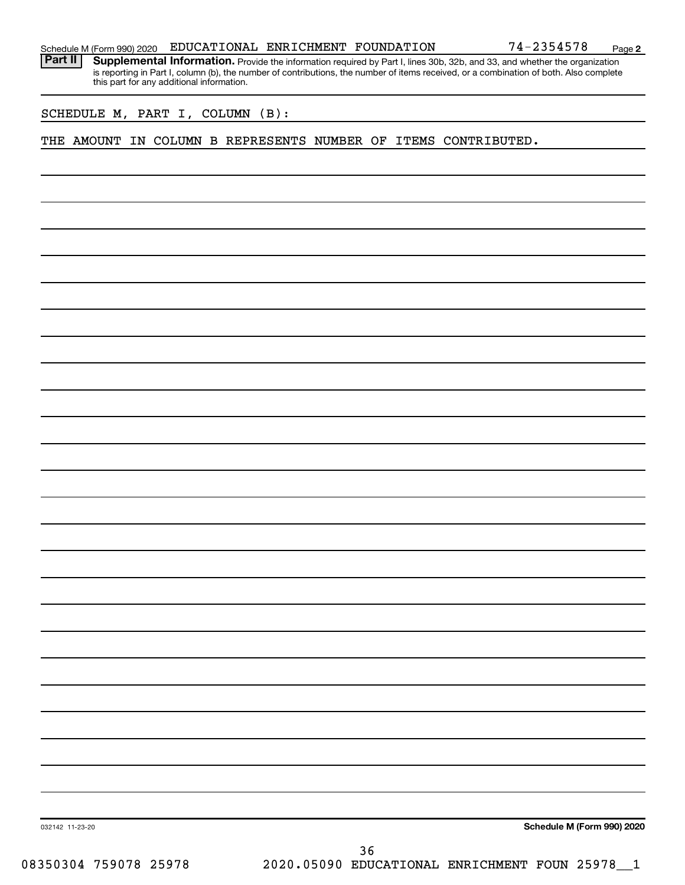|  |  |  | Schedule M (Form 990) 2020 EDUCATIONAL ENRICHMENT FOUNDATION |  |  | 74-2354578 | Page |  |
|--|--|--|--------------------------------------------------------------|--|--|------------|------|--|
|--|--|--|--------------------------------------------------------------|--|--|------------|------|--|

**2**

Part II | Supplemental Information. Provide the information required by Part I, lines 30b, 32b, and 33, and whether the organization is reporting in Part I, column (b), the number of contributions, the number of items received, or a combination of both. Also complete this part for any additional information.

SCHEDULE M, PART I, COLUMN (B):

THE AMOUNT IN COLUMN B REPRESENTS NUMBER OF ITEMS CONTRIBUTED.

**Schedule M (Form 990) 2020**

032142 11-23-20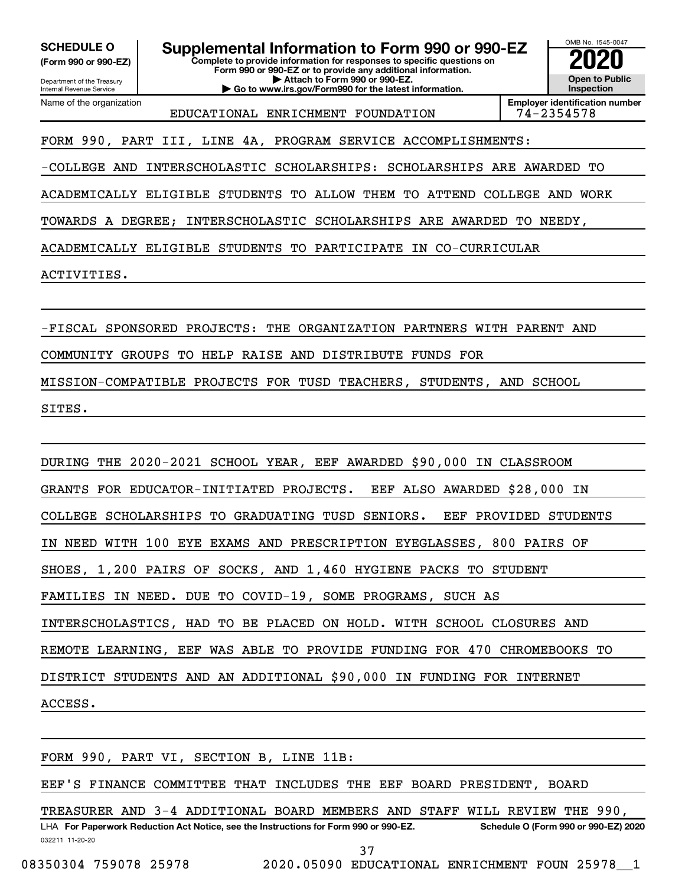**(Form 990 or 990-EZ)**

Department of the Treasury Internal Revenue Service Name of the organization

**Complete to provide information for responses to specific questions on Form 990 or 990-EZ or to provide any additional information. | Attach to Form 990 or 990-EZ. | Go to www.irs.gov/Form990 for the latest information. SCHEDULE O Supplemental Information to Form 990 or 990-EZ 2020**<br>(Form 990 or 990-EZ) **2020** 



EDUCATIONAL ENRICHMENT FOUNDATION 74-2354578

## FORM 990, PART III, LINE 4A, PROGRAM SERVICE ACCOMPLISHMENTS:

-COLLEGE AND INTERSCHOLASTIC SCHOLARSHIPS: SCHOLARSHIPS ARE AWARDED TO

ACADEMICALLY ELIGIBLE STUDENTS TO ALLOW THEM TO ATTEND COLLEGE AND WORK

TOWARDS A DEGREE; INTERSCHOLASTIC SCHOLARSHIPS ARE AWARDED TO NEEDY,

ACADEMICALLY ELIGIBLE STUDENTS TO PARTICIPATE IN CO-CURRICULAR

ACTIVITIES.

-FISCAL SPONSORED PROJECTS: THE ORGANIZATION PARTNERS WITH PARENT AND

COMMUNITY GROUPS TO HELP RAISE AND DISTRIBUTE FUNDS FOR

MISSION-COMPATIBLE PROJECTS FOR TUSD TEACHERS, STUDENTS, AND SCHOOL

SITES.

DURING THE 2020-2021 SCHOOL YEAR, EEF AWARDED \$90,000 IN CLASSROOM GRANTS FOR EDUCATOR-INITIATED PROJECTS. EEF ALSO AWARDED \$28,000 IN COLLEGE SCHOLARSHIPS TO GRADUATING TUSD SENIORS. EEF PROVIDED STUDENTS IN NEED WITH 100 EYE EXAMS AND PRESCRIPTION EYEGLASSES, 800 PAIRS OF SHOES, 1,200 PAIRS OF SOCKS, AND 1,460 HYGIENE PACKS TO STUDENT FAMILIES IN NEED. DUE TO COVID-19, SOME PROGRAMS, SUCH AS INTERSCHOLASTICS, HAD TO BE PLACED ON HOLD. WITH SCHOOL CLOSURES AND REMOTE LEARNING, EEF WAS ABLE TO PROVIDE FUNDING FOR 470 CHROMEBOOKS TO DISTRICT STUDENTS AND AN ADDITIONAL \$90,000 IN FUNDING FOR INTERNET ACCESS.

FORM 990, PART VI, SECTION B, LINE 11B:

EEF'S FINANCE COMMITTEE THAT INCLUDES THE EEF BOARD PRESIDENT, BOARD

032211 11-20-20 **For Paperwork Reduction Act Notice, see the Instructions for Form 990 or 990-EZ. Schedule O (Form 990 or 990-EZ) 2020** LHA TREASURER AND 3-4 ADDITIONAL BOARD MEMBERS AND STAFF WILL REVIEW THE 990,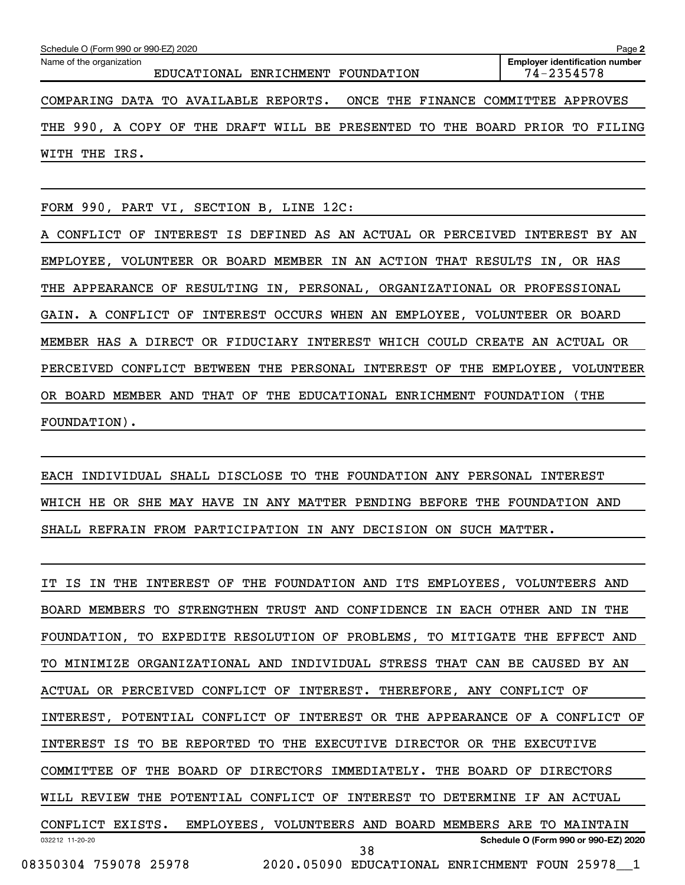| Schedule O (Form 990 or 990-EZ) 2020<br>Page 2                              |                                                         |  |  |  |  |  |  |
|-----------------------------------------------------------------------------|---------------------------------------------------------|--|--|--|--|--|--|
| Name of the organization<br>EDUCATIONAL ENRICHMENT FOUNDATION               | <b>Employer identification number</b><br>$74 - 2354578$ |  |  |  |  |  |  |
| COMPARING DATA TO AVAILABLE REPORTS. ONCE THE FINANCE COMMITTEE APPROVES    |                                                         |  |  |  |  |  |  |
| THE 990, A COPY OF THE DRAFT WILL BE PRESENTED TO THE BOARD PRIOR TO FILING |                                                         |  |  |  |  |  |  |
| WITH THE IRS.                                                               |                                                         |  |  |  |  |  |  |

FORM 990, PART VI, SECTION B, LINE 12C:

A CONFLICT OF INTEREST IS DEFINED AS AN ACTUAL OR PERCEIVED INTEREST BY AN EMPLOYEE, VOLUNTEER OR BOARD MEMBER IN AN ACTION THAT RESULTS IN, OR HAS THE APPEARANCE OF RESULTING IN, PERSONAL, ORGANIZATIONAL OR PROFESSIONAL GAIN. A CONFLICT OF INTEREST OCCURS WHEN AN EMPLOYEE, VOLUNTEER OR BOARD MEMBER HAS A DIRECT OR FIDUCIARY INTEREST WHICH COULD CREATE AN ACTUAL OR PERCEIVED CONFLICT BETWEEN THE PERSONAL INTEREST OF THE EMPLOYEE, VOLUNTEER OR BOARD MEMBER AND THAT OF THE EDUCATIONAL ENRICHMENT FOUNDATION (THE FOUNDATION).

EACH INDIVIDUAL SHALL DISCLOSE TO THE FOUNDATION ANY PERSONAL INTEREST WHICH HE OR SHE MAY HAVE IN ANY MATTER PENDING BEFORE THE FOUNDATION AND SHALL REFRAIN FROM PARTICIPATION IN ANY DECISION ON SUCH MATTER.

032212 11-20-20 **Schedule O (Form 990 or 990-EZ) 2020** IT IS IN THE INTEREST OF THE FOUNDATION AND ITS EMPLOYEES, VOLUNTEERS AND BOARD MEMBERS TO STRENGTHEN TRUST AND CONFIDENCE IN EACH OTHER AND IN THE FOUNDATION, TO EXPEDITE RESOLUTION OF PROBLEMS, TO MITIGATE THE EFFECT AND TO MINIMIZE ORGANIZATIONAL AND INDIVIDUAL STRESS THAT CAN BE CAUSED BY AN ACTUAL OR PERCEIVED CONFLICT OF INTEREST. THEREFORE, ANY CONFLICT OF INTEREST, POTENTIAL CONFLICT OF INTEREST OR THE APPEARANCE OF A CONFLICT OF INTEREST IS TO BE REPORTED TO THE EXECUTIVE DIRECTOR OR THE EXECUTIVE COMMITTEE OF THE BOARD OF DIRECTORS IMMEDIATELY. THE BOARD OF DIRECTORS WILL REVIEW THE POTENTIAL CONFLICT OF INTEREST TO DETERMINE IF AN ACTUAL CONFLICT EXISTS. EMPLOYEES, VOLUNTEERS AND BOARD MEMBERS ARE TO MAINTAIN 08350304 759078 25978 2020.05090 EDUCATIONAL ENRICHMENT FOUN 25978\_\_1 38